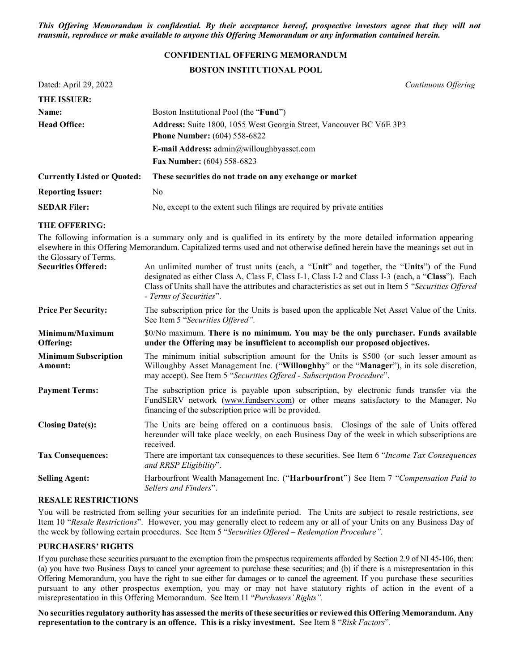*This Offering Memorandum is confidential. By their acceptance hereof, prospective investors agree that they will not transmit, reproduce or make available to anyone this Offering Memorandum or any information contained herein.* 

#### **CONFIDENTIAL OFFERING MEMORANDUM**

#### **BOSTON INSTITUTIONAL POOL**

 *Continuous Offering* Boston Institutional Pool (the "**Fund**") Dated: April 29, 2022 **THE ISSUER: Name: Head Office: Address:** Suite 1800, 1055 West Georgia Street, Vancouver BC V6E 3P3 **Phone Number:** (604) 558-6822 **E-mail Address:** admin@willoughbyasset.com **Fax Number:** (604) 558-6823 **Currently Listed or Quoted: These securities do not trade on any exchange or market Reporting Issuer:** No **SEDAR Filer:** No, except to the extent such filings are required by private entities

#### **THE OFFERING:**

The following information is a summary only and is qualified in its entirety by the more detailed information appearing elsewhere in this Offering Memorandum. Capitalized terms used and not otherwise defined herein have the meanings set out in the Glossary of Terms.

| $\frac{1}{2}$                          |                                                                                                                                                                                                                                                                                                                                    |
|----------------------------------------|------------------------------------------------------------------------------------------------------------------------------------------------------------------------------------------------------------------------------------------------------------------------------------------------------------------------------------|
| <b>Securities Offered:</b>             | An unlimited number of trust units (each, a "Unit" and together, the "Units") of the Fund<br>designated as either Class A, Class F, Class I-1, Class I-2 and Class I-3 (each, a "Class"). Each<br>Class of Units shall have the attributes and characteristics as set out in Item 5 "Securities Offered<br>- Terms of Securities". |
| <b>Price Per Security:</b>             | The subscription price for the Units is based upon the applicable Net Asset Value of the Units.<br>See Item 5 "Securities Offered".                                                                                                                                                                                                |
| Minimum/Maximum<br>Offering:           | \$0/No maximum. There is no minimum. You may be the only purchaser. Funds available<br>under the Offering may be insufficient to accomplish our proposed objectives.                                                                                                                                                               |
| <b>Minimum Subscription</b><br>Amount: | The minimum initial subscription amount for the Units is \$500 (or such lesser amount as<br>Willoughby Asset Management Inc. ("Willoughby" or the "Manager"), in its sole discretion,<br>may accept). See Item 5 "Securities Offered - Subscription Procedure".                                                                    |
| <b>Payment Terms:</b>                  | The subscription price is payable upon subscription, by electronic funds transfer via the<br>FundSERV network (www.fundserv.com) or other means satisfactory to the Manager. No<br>financing of the subscription price will be provided.                                                                                           |
| <b>Closing Date(s):</b>                | The Units are being offered on a continuous basis. Closings of the sale of Units offered<br>hereunder will take place weekly, on each Business Day of the week in which subscriptions are<br>received.                                                                                                                             |
| <b>Tax Consequences:</b>               | There are important tax consequences to these securities. See Item 6 "Income Tax Consequences"<br>and RRSP Eligibility".                                                                                                                                                                                                           |
| <b>Selling Agent:</b>                  | Harbourfront Wealth Management Inc. ("Harbourfront") See Item 7 "Compensation Paid to<br>Sellers and Finders".                                                                                                                                                                                                                     |

### **RESALE RESTRICTIONS**

You will be restricted from selling your securities for an indefinite period. The Units are subject to resale restrictions, see Item 10 "*Resale Restrictions*". However, you may generally elect to redeem any or all of your Units on any Business Day of the week by following certain procedures. See Item 5 "*Securities Offered – Redemption Procedure".*

### **PURCHASERS' RIGHTS**

If you purchase these securities pursuant to the exemption from the prospectus requirements afforded by Section 2.9 of NI 45-106, then: (a) you have two Business Days to cancel your agreement to purchase these securities; and (b) if there is a misrepresentation in this Offering Memorandum, you have the right to sue either for damages or to cancel the agreement. If you purchase these securities pursuant to any other prospectus exemption, you may or may not have statutory rights of action in the event of a misrepresentation in this Offering Memorandum. See Item 11 "*Purchasers' Rights"*.

**No securities regulatory authority has assessed the merits of these securities or reviewed this Offering Memorandum. Any representation to the contrary is an offence. This is a risky investment.** See Item 8 "*Risk Factors*".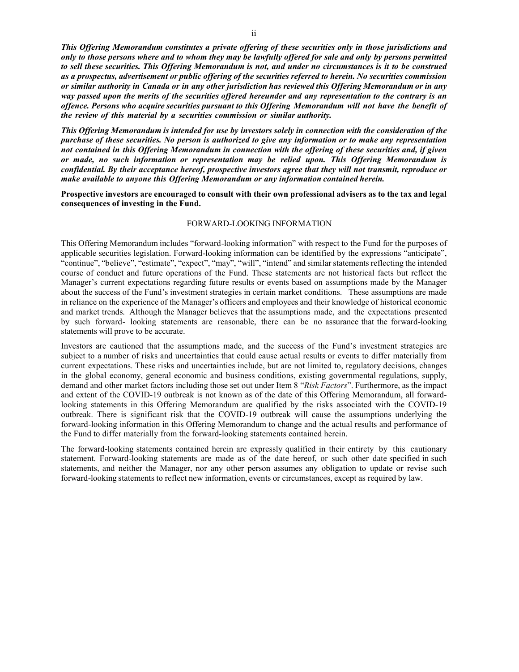*This Offering Memorandum constitutes a private offering of these securities only in those jurisdictions and only to those persons where and to whom they may be lawfully offered for sale and only by persons permitted to sell these securities. This Offering Memorandum is not, and under no circumstances is it to be construed as a prospectus, advertisement or public offering of the securities referred to herein. No securities commission or similar authority in Canada or in any other jurisdiction has reviewed this Offering Memorandum or in any way passed upon the merits of the securities offered hereunder and any representation to the contrary is an offence. Persons who acquire securities pursuant to this Offering Memorandum will not have the benefit of the review of this material by a securities commission or similar authority.* 

*This Offering Memorandum is intended for use by investors solely in connection with the consideration of the purchase of these securities. No person is authorized to give any information or to make any representation not contained in this Offering Memorandum in connection with the offering of these securities and, if given or made, no such information or representation may be relied upon. This Offering Memorandum is confidential. By their acceptance hereof, prospective investors agree that they will not transmit, reproduce or make available to anyone this Offering Memorandum or any information contained herein.* 

**Prospective investors are encouraged to consult with their own professional advisers as to the tax and legal consequences of investing in the Fund.** 

#### FORWARD-LOOKING INFORMATION

This Offering Memorandum includes "forward-looking information" with respect to the Fund for the purposes of applicable securities legislation. Forward-looking information can be identified by the expressions "anticipate", "continue", "believe", "estimate", "expect", "may", "will", "intend" and similar statements reflecting the intended course of conduct and future operations of the Fund. These statements are not historical facts but reflect the Manager's current expectations regarding future results or events based on assumptions made by the Manager about the success of the Fund's investment strategies in certain market conditions. These assumptions are made in reliance on the experience of the Manager's officers and employees and their knowledge of historical economic and market trends. Although the Manager believes that the assumptions made, and the expectations presented by such forward- looking statements are reasonable, there can be no assurance that the forward-looking statements will prove to be accurate.

Investors are cautioned that the assumptions made, and the success of the Fund's investment strategies are subject to a number of risks and uncertainties that could cause actual results or events to differ materially from current expectations. These risks and uncertainties include, but are not limited to, regulatory decisions, changes in the global economy, general economic and business conditions, existing governmental regulations, supply, demand and other market factors including those set out under Item 8 "*Risk Factors*". Furthermore, as the impact and extent of the COVID-19 outbreak is not known as of the date of this Offering Memorandum, all forwardlooking statements in this Offering Memorandum are qualified by the risks associated with the COVID-19 outbreak. There is significant risk that the COVID-19 outbreak will cause the assumptions underlying the forward-looking information in this Offering Memorandum to change and the actual results and performance of the Fund to differ materially from the forward-looking statements contained herein.

The forward-looking statements contained herein are expressly qualified in their entirety by this cautionary statement. Forward-looking statements are made as of the date hereof, or such other date specified in such statements, and neither the Manager, nor any other person assumes any obligation to update or revise such forward-looking statements to reflect new information, events or circumstances, except as required by law.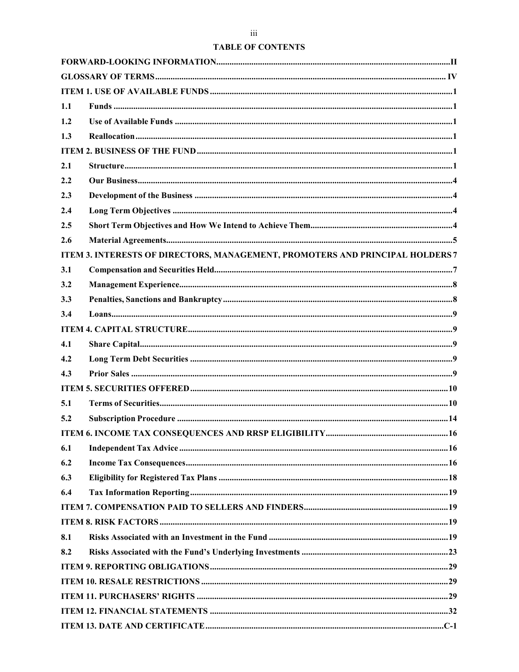# **TABLE OF CONTENTS**

| 1.1 |                                                                               |  |
|-----|-------------------------------------------------------------------------------|--|
| 1.2 |                                                                               |  |
| 1.3 |                                                                               |  |
|     |                                                                               |  |
| 2.1 |                                                                               |  |
| 2.2 |                                                                               |  |
| 2.3 |                                                                               |  |
| 2.4 |                                                                               |  |
| 2.5 |                                                                               |  |
| 2.6 |                                                                               |  |
|     | ITEM 3. INTERESTS OF DIRECTORS, MANAGEMENT, PROMOTERS AND PRINCIPAL HOLDERS 7 |  |
| 3.1 |                                                                               |  |
| 3.2 |                                                                               |  |
| 3.3 |                                                                               |  |
| 3.4 |                                                                               |  |
|     |                                                                               |  |
| 4.1 |                                                                               |  |
| 4.2 |                                                                               |  |
| 4.3 |                                                                               |  |
|     |                                                                               |  |
| 5.1 |                                                                               |  |
| 5.2 |                                                                               |  |
|     |                                                                               |  |
| 6.1 |                                                                               |  |
| 6.2 |                                                                               |  |
| 6.3 |                                                                               |  |
| 6.4 |                                                                               |  |
|     |                                                                               |  |
|     |                                                                               |  |
| 8.1 |                                                                               |  |
| 8.2 |                                                                               |  |
|     |                                                                               |  |
|     |                                                                               |  |
|     |                                                                               |  |
|     |                                                                               |  |
|     |                                                                               |  |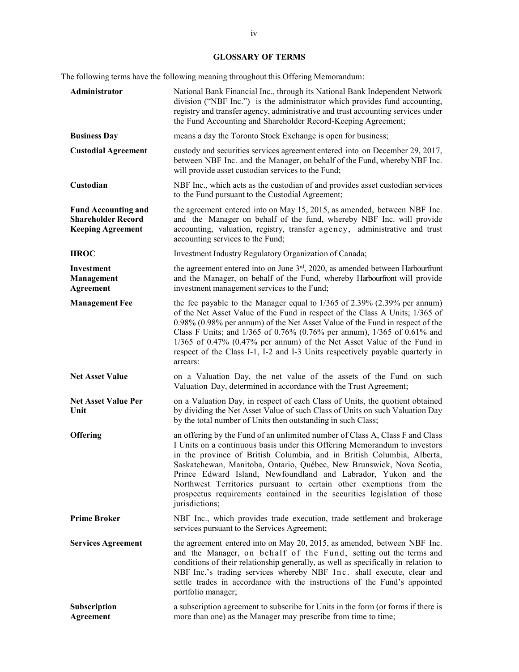# **GLOSSARY OF TERMS**

The following terms have the following meaning throughout this Offering Memorandum:

| Administrator                                                                       | National Bank Financial Inc., through its National Bank Independent Network<br>division ("NBF Inc.") is the administrator which provides fund accounting,<br>registry and transfer agency, administrative and trust accounting services under<br>the Fund Accounting and Shareholder Record-Keeping Agreement;                                                                                                                                                                                                                                     |
|-------------------------------------------------------------------------------------|----------------------------------------------------------------------------------------------------------------------------------------------------------------------------------------------------------------------------------------------------------------------------------------------------------------------------------------------------------------------------------------------------------------------------------------------------------------------------------------------------------------------------------------------------|
| <b>Business Day</b>                                                                 | means a day the Toronto Stock Exchange is open for business;                                                                                                                                                                                                                                                                                                                                                                                                                                                                                       |
| <b>Custodial Agreement</b>                                                          | custody and securities services agreement entered into on December 29, 2017,<br>between NBF Inc. and the Manager, on behalf of the Fund, whereby NBF Inc.<br>will provide asset custodian services to the Fund;                                                                                                                                                                                                                                                                                                                                    |
| Custodian                                                                           | NBF Inc., which acts as the custodian of and provides asset custodian services<br>to the Fund pursuant to the Custodial Agreement;                                                                                                                                                                                                                                                                                                                                                                                                                 |
| <b>Fund Accounting and</b><br><b>Shareholder Record</b><br><b>Keeping Agreement</b> | the agreement entered into on May 15, 2015, as amended, between NBF Inc.<br>and the Manager on behalf of the fund, whereby NBF Inc. will provide<br>accounting, valuation, registry, transfer agency, administrative and trust<br>accounting services to the Fund;                                                                                                                                                                                                                                                                                 |
| <b>IIROC</b>                                                                        | Investment Industry Regulatory Organization of Canada;                                                                                                                                                                                                                                                                                                                                                                                                                                                                                             |
| Investment<br>Management<br>Agreement                                               | the agreement entered into on June $3rd$ , 2020, as amended between Harbourfront<br>and the Manager, on behalf of the Fund, whereby Harbourfront will provide<br>investment management services to the Fund;                                                                                                                                                                                                                                                                                                                                       |
| <b>Management Fee</b>                                                               | the fee payable to the Manager equal to $1/365$ of $2.39\%$ (2.39% per annum)<br>of the Net Asset Value of the Fund in respect of the Class A Units; 1/365 of<br>0.98% (0.98% per annum) of the Net Asset Value of the Fund in respect of the<br>Class F Units; and 1/365 of 0.76% (0.76% per annum), 1/365 of 0.61% and<br>1/365 of 0.47% (0.47% per annum) of the Net Asset Value of the Fund in<br>respect of the Class I-1, I-2 and I-3 Units respectively payable quarterly in<br>arrears:                                                    |
| <b>Net Asset Value</b>                                                              | on a Valuation Day, the net value of the assets of the Fund on such<br>Valuation Day, determined in accordance with the Trust Agreement;                                                                                                                                                                                                                                                                                                                                                                                                           |
| <b>Net Asset Value Per</b><br>Unit                                                  | on a Valuation Day, in respect of each Class of Units, the quotient obtained<br>by dividing the Net Asset Value of such Class of Units on such Valuation Day<br>by the total number of Units then outstanding in such Class;                                                                                                                                                                                                                                                                                                                       |
| Offering                                                                            | an offering by the Fund of an unlimited number of Class A, Class F and Class<br>I Units on a continuous basis under this Offering Memorandum to investors<br>in the province of British Columbia, and in British Columbia, Alberta,<br>Saskatchewan, Manitoba, Ontario, Québec, New Brunswick, Nova Scotia,<br>Prince Edward Island, Newfoundland and Labrador, Yukon and the<br>Northwest Territories pursuant to certain other exemptions from the<br>prospectus requirements contained in the securities legislation of those<br>jurisdictions; |
| <b>Prime Broker</b>                                                                 | NBF Inc., which provides trade execution, trade settlement and brokerage<br>services pursuant to the Services Agreement;                                                                                                                                                                                                                                                                                                                                                                                                                           |
| <b>Services Agreement</b>                                                           | the agreement entered into on May 20, 2015, as amended, between NBF Inc.<br>and the Manager, on behalf of the Fund, setting out the terms and<br>conditions of their relationship generally, as well as specifically in relation to<br>NBF Inc.'s trading services whereby NBF Inc. shall execute, clear and<br>settle trades in accordance with the instructions of the Fund's appointed<br>portfolio manager;                                                                                                                                    |
| Subscription<br>Agreement                                                           | a subscription agreement to subscribe for Units in the form (or forms if there is<br>more than one) as the Manager may prescribe from time to time;                                                                                                                                                                                                                                                                                                                                                                                                |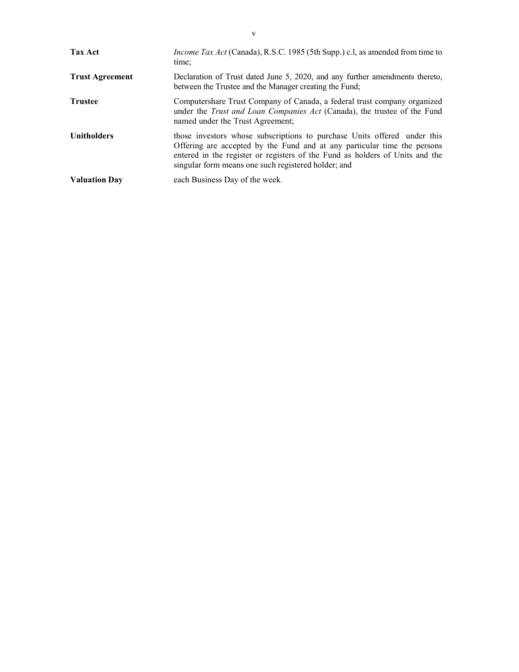| <b>Tax Act</b>         | <i>Income Tax Act</i> (Canada), R.S.C. 1985 (5th Supp.) c.l, as amended from time to<br>time;                                                                                                                                                                                               |
|------------------------|---------------------------------------------------------------------------------------------------------------------------------------------------------------------------------------------------------------------------------------------------------------------------------------------|
| <b>Trust Agreement</b> | Declaration of Trust dated June 5, 2020, and any further amendments thereto,<br>between the Trustee and the Manager creating the Fund;                                                                                                                                                      |
| <b>Trustee</b>         | Computershare Trust Company of Canada, a federal trust company organized<br>under the Trust and Loan Companies Act (Canada), the trustee of the Fund<br>named under the Trust Agreement;                                                                                                    |
| <b>Unitholders</b>     | those investors whose subscriptions to purchase Units offered under this<br>Offering are accepted by the Fund and at any particular time the persons<br>entered in the register or registers of the Fund as holders of Units and the<br>singular form means one such registered holder; and |
| <b>Valuation Day</b>   | each Business Day of the week.                                                                                                                                                                                                                                                              |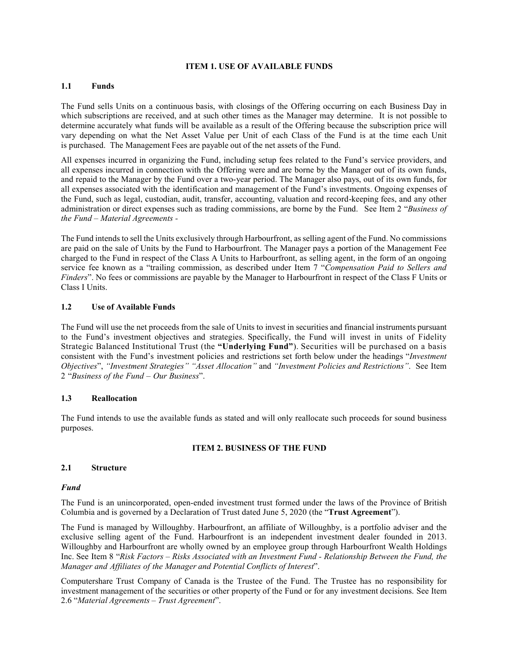#### **ITEM 1. USE OF AVAILABLE FUNDS**

#### **1.1 Funds**

The Fund sells Units on a continuous basis, with closings of the Offering occurring on each Business Day in which subscriptions are received, and at such other times as the Manager may determine. It is not possible to determine accurately what funds will be available as a result of the Offering because the subscription price will vary depending on what the Net Asset Value per Unit of each Class of the Fund is at the time each Unit is purchased. The Management Fees are payable out of the net assets of the Fund.

All expenses incurred in organizing the Fund, including setup fees related to the Fund's service providers, and all expenses incurred in connection with the Offering were and are borne by the Manager out of its own funds, and repaid to the Manager by the Fund over a two-year period. The Manager also pays, out of its own funds, for all expenses associated with the identification and management of the Fund's investments. Ongoing expenses of the Fund, such as legal, custodian, audit, transfer, accounting, valuation and record-keeping fees, and any other administration or direct expenses such as trading commissions, are borne by the Fund. See Item 2 "*Business of the Fund – Material Agreements -* 

The Fund intends to sell the Units exclusively through Harbourfront, as selling agent of the Fund. No commissions are paid on the sale of Units by the Fund to Harbourfront. The Manager pays a portion of the Management Fee charged to the Fund in respect of the Class A Units to Harbourfront, as selling agent, in the form of an ongoing service fee known as a "trailing commission, as described under Item 7 "*Compensation Paid to Sellers and Finders*". No fees or commissions are payable by the Manager to Harbourfront in respect of the Class F Units or Class I Units.

#### **1.2 Use of Available Funds**

The Fund will use the net proceeds from the sale of Units to invest in securities and financial instruments pursuant to the Fund's investment objectives and strategies. Specifically, the Fund will invest in units of Fidelity Strategic Balanced Institutional Trust (the **"Underlying Fund"**). Securities will be purchased on a basis consistent with the Fund's investment policies and restrictions set forth below under the headings "*Investment Objectives*", *"Investment Strategies" "Asset Allocation"* and *"Investment Policies and Restrictions"*. See Item 2 "*Business of the Fund – Our Business*".

#### **1.3 Reallocation**

The Fund intends to use the available funds as stated and will only reallocate such proceeds for sound business purposes.

### **ITEM 2. BUSINESS OF THE FUND**

#### **2.1 Structure**

#### *Fund*

The Fund is an unincorporated, open-ended investment trust formed under the laws of the Province of British Columbia and is governed by a Declaration of Trust dated June 5, 2020 (the "**Trust Agreement**").

The Fund is managed by Willoughby. Harbourfront, an affiliate of Willoughby, is a portfolio adviser and the exclusive selling agent of the Fund. Harbourfront is an independent investment dealer founded in 2013. Willoughby and Harbourfront are wholly owned by an employee group through Harbourfront Wealth Holdings Inc. See Item 8 "*Risk Factors – Risks Associated with an Investment Fund - Relationship Between the Fund, the Manager and Affiliates of the Manager and Potential Conflicts of Interest*".

Computershare Trust Company of Canada is the Trustee of the Fund. The Trustee has no responsibility for investment management of the securities or other property of the Fund or for any investment decisions. See Item 2.6 "*Material Agreements – Trust Agreement*".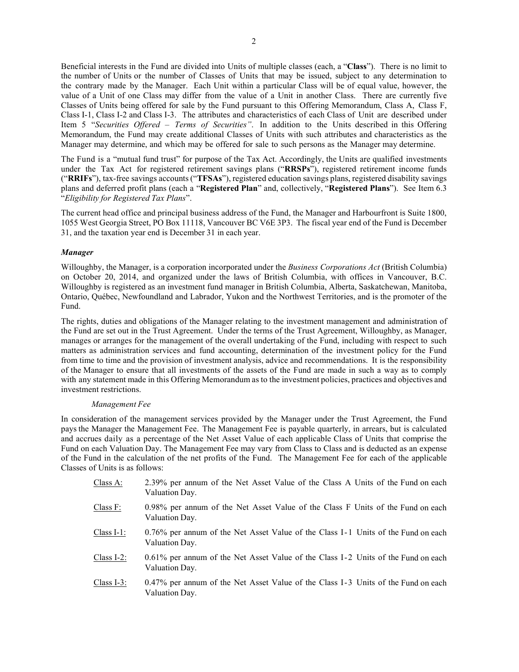Beneficial interests in the Fund are divided into Units of multiple classes (each, a "**Class**"). There is no limit to the number of Units or the number of Classes of Units that may be issued, subject to any determination to the contrary made by the Manager. Each Unit within a particular Class will be of equal value, however, the value of a Unit of one Class may differ from the value of a Unit in another Class. There are currently five Classes of Units being offered for sale by the Fund pursuant to this Offering Memorandum, Class A, Class F, Class I-1, Class I-2 and Class I-3. The attributes and characteristics of each Class of Unit are described under Item 5 "*Securities Offered – Terms of Securities"*. In addition to the Units described in this Offering Memorandum, the Fund may create additional Classes of Units with such attributes and characteristics as the Manager may determine, and which may be offered for sale to such persons as the Manager may determine.

The Fund is a "mutual fund trust" for purpose of the Tax Act. Accordingly, the Units are qualified investments under the Tax Act for registered retirement savings plans ("**RRSPs**"), registered retirement income funds ("**RRIFs**"), tax-free savings accounts ("**TFSAs**"), registered education savings plans, registered disability savings plans and deferred profit plans (each a "**Registered Plan**" and, collectively, "**Registered Plans**"). See Item 6.3 "*Eligibility for Registered Tax Plans*".

The current head office and principal business address of the Fund, the Manager and Harbourfront is Suite 1800, 1055 West Georgia Street, PO Box 11118, Vancouver BC V6E 3P3. The fiscal year end of the Fund is December 31, and the taxation year end is December 31 in each year.

#### *Manager*

Willoughby, the Manager, is a corporation incorporated under the *Business Corporations Act* (British Columbia) on October 20, 2014, and organized under the laws of British Columbia, with offices in Vancouver, B.C. Willoughby is registered as an investment fund manager in British Columbia, Alberta, Saskatchewan, Manitoba, Ontario, Québec, Newfoundland and Labrador, Yukon and the Northwest Territories, and is the promoter of the Fund.

The rights, duties and obligations of the Manager relating to the investment management and administration of the Fund are set out in the Trust Agreement. Under the terms of the Trust Agreement, Willoughby, as Manager, manages or arranges for the management of the overall undertaking of the Fund, including with respect to such matters as administration services and fund accounting, determination of the investment policy for the Fund from time to time and the provision of investment analysis, advice and recommendations. It is the responsibility of the Manager to ensure that all investments of the assets of the Fund are made in such a way as to comply with any statement made in this Offering Memorandum as to the investment policies, practices and objectives and investment restrictions.

#### *Management Fee*

In consideration of the management services provided by the Manager under the Trust Agreement, the Fund pays the Manager the Management Fee. The Management Fee is payable quarterly, in arrears, but is calculated and accrues daily as a percentage of the Net Asset Value of each applicable Class of Units that comprise the Fund on each Valuation Day. The Management Fee may vary from Class to Class and is deducted as an expense of the Fund in the calculation of the net profits of the Fund. The Management Fee for each of the applicable Classes of Units is as follows:

| Class A:          | 2.39% per annum of the Net Asset Value of the Class A Units of the Fund on each<br>Valuation Day.   |
|-------------------|-----------------------------------------------------------------------------------------------------|
| Class F:          | 0.98% per annum of the Net Asset Value of the Class F Units of the Fund on each<br>Valuation Day.   |
| Class I-1:        | 0.76% per annum of the Net Asset Value of the Class I-1 Units of the Fund on each<br>Valuation Day. |
| <u>Class I-2:</u> | 0.61% per annum of the Net Asset Value of the Class I-2 Units of the Fund on each<br>Valuation Day. |
| <u>Class I-3:</u> | 0.47% per annum of the Net Asset Value of the Class I-3 Units of the Fund on each<br>Valuation Day. |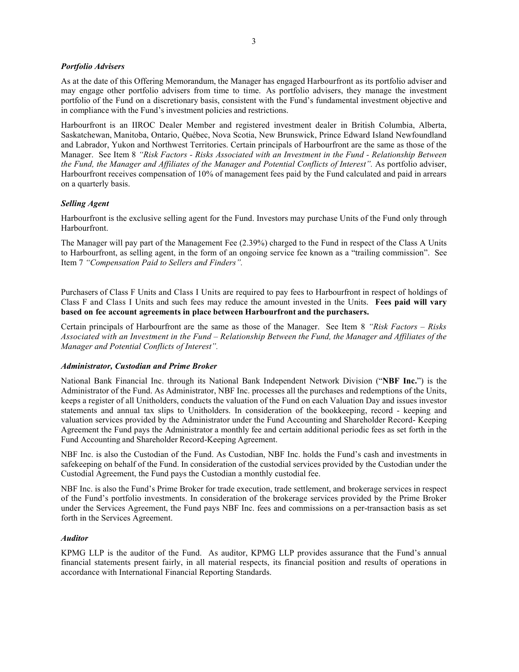#### *Portfolio Advisers*

As at the date of this Offering Memorandum, the Manager has engaged Harbourfront as its portfolio adviser and may engage other portfolio advisers from time to time. As portfolio advisers, they manage the investment portfolio of the Fund on a discretionary basis, consistent with the Fund's fundamental investment objective and in compliance with the Fund's investment policies and restrictions.

Harbourfront is an IIROC Dealer Member and registered investment dealer in British Columbia, Alberta, Saskatchewan, Manitoba, Ontario, Québec, Nova Scotia, New Brunswick, Prince Edward Island Newfoundland and Labrador, Yukon and Northwest Territories. Certain principals of Harbourfront are the same as those of the Manager. See Item 8 *"Risk Factors - Risks Associated with an Investment in the Fund - Relationship Between the Fund, the Manager and Affiliates of the Manager and Potential Conflicts of Interest".* As portfolio adviser, Harbourfront receives compensation of 10% of management fees paid by the Fund calculated and paid in arrears on a quarterly basis.

#### *Selling Agent*

Harbourfront is the exclusive selling agent for the Fund. Investors may purchase Units of the Fund only through Harbourfront.

The Manager will pay part of the Management Fee (2.39%) charged to the Fund in respect of the Class A Units to Harbourfront, as selling agent, in the form of an ongoing service fee known as a "trailing commission". See Item 7 *"Compensation Paid to Sellers and Finders".* 

Purchasers of Class F Units and Class I Units are required to pay fees to Harbourfront in respect of holdings of Class F and Class I Units and such fees may reduce the amount invested in the Units. **Fees paid will vary based on fee account agreements in place between Harbourfront and the purchasers.**

Certain principals of Harbourfront are the same as those of the Manager. See Item 8 *"Risk Factors – Risks Associated with an Investment in the Fund – Relationship Between the Fund, the Manager and Affiliates of the Manager and Potential Conflicts of Interest".*

#### *Administrator, Custodian and Prime Broker*

National Bank Financial Inc. through its National Bank Independent Network Division ("**NBF Inc.**") is the Administrator of the Fund. As Administrator, NBF Inc. processes all the purchases and redemptions of the Units, keeps a register of all Unitholders, conducts the valuation of the Fund on each Valuation Day and issues investor statements and annual tax slips to Unitholders. In consideration of the bookkeeping, record - keeping and valuation services provided by the Administrator under the Fund Accounting and Shareholder Record- Keeping Agreement the Fund pays the Administrator a monthly fee and certain additional periodic fees as set forth in the Fund Accounting and Shareholder Record-Keeping Agreement.

NBF Inc. is also the Custodian of the Fund. As Custodian, NBF Inc. holds the Fund's cash and investments in safekeeping on behalf of the Fund. In consideration of the custodial services provided by the Custodian under the Custodial Agreement, the Fund pays the Custodian a monthly custodial fee.

NBF Inc. is also the Fund's Prime Broker for trade execution, trade settlement, and brokerage services in respect of the Fund's portfolio investments. In consideration of the brokerage services provided by the Prime Broker under the Services Agreement, the Fund pays NBF Inc. fees and commissions on a per-transaction basis as set forth in the Services Agreement.

#### *Auditor*

KPMG LLP is the auditor of the Fund. As auditor, KPMG LLP provides assurance that the Fund's annual financial statements present fairly, in all material respects, its financial position and results of operations in accordance with International Financial Reporting Standards.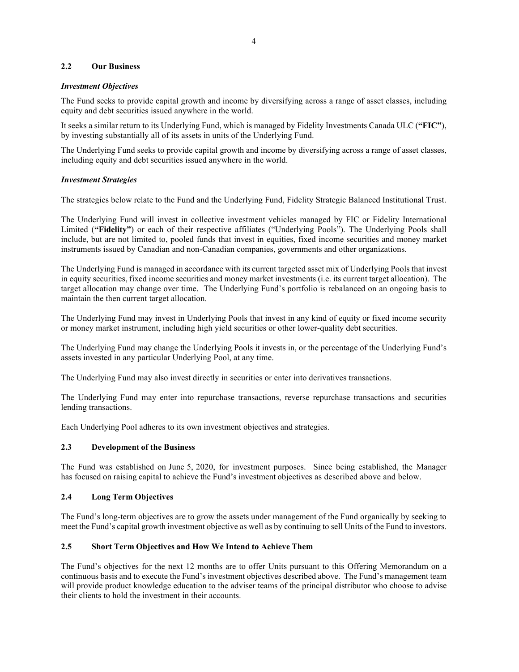#### **2.2 Our Business**

#### *Investment Objectives*

The Fund seeks to provide capital growth and income by diversifying across a range of asset classes, including equity and debt securities issued anywhere in the world.

It seeks a similar return to its Underlying Fund, which is managed by Fidelity Investments Canada ULC (**"FIC"**), by investing substantially all of its assets in units of the Underlying Fund.

The Underlying Fund seeks to provide capital growth and income by diversifying across a range of asset classes, including equity and debt securities issued anywhere in the world.

#### *Investment Strategies*

The strategies below relate to the Fund and the Underlying Fund, Fidelity Strategic Balanced Institutional Trust.

The Underlying Fund will invest in collective investment vehicles managed by FIC or Fidelity International Limited (**"Fidelity"**) or each of their respective affiliates ("Underlying Pools"). The Underlying Pools shall include, but are not limited to, pooled funds that invest in equities, fixed income securities and money market instruments issued by Canadian and non-Canadian companies, governments and other organizations.

The Underlying Fund is managed in accordance with its current targeted asset mix of Underlying Pools that invest in equity securities, fixed income securities and money market investments (i.e. its current target allocation). The target allocation may change over time. The Underlying Fund's portfolio is rebalanced on an ongoing basis to maintain the then current target allocation.

The Underlying Fund may invest in Underlying Pools that invest in any kind of equity or fixed income security or money market instrument, including high yield securities or other lower-quality debt securities.

The Underlying Fund may change the Underlying Pools it invests in, or the percentage of the Underlying Fund's assets invested in any particular Underlying Pool, at any time.

The Underlying Fund may also invest directly in securities or enter into derivatives transactions.

The Underlying Fund may enter into repurchase transactions, reverse repurchase transactions and securities lending transactions.

Each Underlying Pool adheres to its own investment objectives and strategies.

### **2.3 Development of the Business**

The Fund was established on June 5, 2020, for investment purposes. Since being established, the Manager has focused on raising capital to achieve the Fund's investment objectives as described above and below.

### **2.4 Long Term Objectives**

The Fund's long-term objectives are to grow the assets under management of the Fund organically by seeking to meet the Fund's capital growth investment objective as well as by continuing to sell Units of the Fund to investors.

### **2.5 Short Term Objectives and How We Intend to Achieve Them**

The Fund's objectives for the next 12 months are to offer Units pursuant to this Offering Memorandum on a continuous basis and to execute the Fund's investment objectives described above. The Fund's management team will provide product knowledge education to the adviser teams of the principal distributor who choose to advise their clients to hold the investment in their accounts.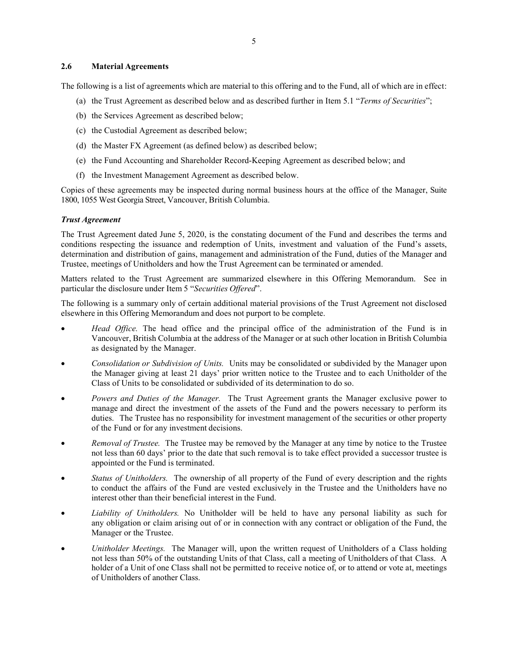#### **2.6 Material Agreements**

The following is a list of agreements which are material to this offering and to the Fund, all of which are in effect:

- (a) the Trust Agreement as described below and as described further in Item 5.1 "*Terms of Securities*";
- (b) the Services Agreement as described below;
- (c) the Custodial Agreement as described below;
- (d) the Master FX Agreement (as defined below) as described below;
- (e) the Fund Accounting and Shareholder Record-Keeping Agreement as described below; and
- (f) the Investment Management Agreement as described below.

Copies of these agreements may be inspected during normal business hours at the office of the Manager, Suite 1800, 1055 West Georgia Street, Vancouver, British Columbia.

#### *Trust Agreement*

The Trust Agreement dated June 5, 2020, is the constating document of the Fund and describes the terms and conditions respecting the issuance and redemption of Units, investment and valuation of the Fund's assets, determination and distribution of gains, management and administration of the Fund, duties of the Manager and Trustee, meetings of Unitholders and how the Trust Agreement can be terminated or amended.

Matters related to the Trust Agreement are summarized elsewhere in this Offering Memorandum. See in particular the disclosure under Item 5 "*Securities Offered*".

The following is a summary only of certain additional material provisions of the Trust Agreement not disclosed elsewhere in this Offering Memorandum and does not purport to be complete.

- *Head Office.* The head office and the principal office of the administration of the Fund is in Vancouver, British Columbia at the address of the Manager or at such other location in British Columbia as designated by the Manager.
- *Consolidation or Subdivision of Units.* Units may be consolidated or subdivided by the Manager upon the Manager giving at least 21 days' prior written notice to the Trustee and to each Unitholder of the Class of Units to be consolidated or subdivided of its determination to do so.
- *Powers and Duties of the Manager.* The Trust Agreement grants the Manager exclusive power to manage and direct the investment of the assets of the Fund and the powers necessary to perform its duties. The Trustee has no responsibility for investment management of the securities or other property of the Fund or for any investment decisions.
- *Removal of Trustee.* The Trustee may be removed by the Manager at any time by notice to the Trustee not less than 60 days' prior to the date that such removal is to take effect provided a successor trustee is appointed or the Fund is terminated.
- *Status of Unitholders.* The ownership of all property of the Fund of every description and the rights to conduct the affairs of the Fund are vested exclusively in the Trustee and the Unitholders have no interest other than their beneficial interest in the Fund.
- *Liability of Unitholders.* No Unitholder will be held to have any personal liability as such for any obligation or claim arising out of or in connection with any contract or obligation of the Fund, the Manager or the Trustee.
- *Unitholder Meetings.* The Manager will, upon the written request of Unitholders of a Class holding not less than 50% of the outstanding Units of that Class, call a meeting of Unitholders of that Class. A holder of a Unit of one Class shall not be permitted to receive notice of, or to attend or vote at, meetings of Unitholders of another Class.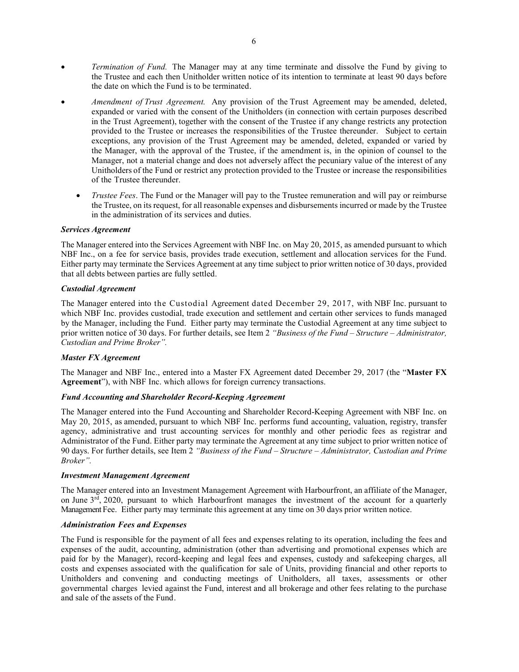- *Termination of Fund.* The Manager may at any time terminate and dissolve the Fund by giving to the Trustee and each then Unitholder written notice of its intention to terminate at least 90 days before the date on which the Fund is to be terminated.
- *Amendment of Trust Agreement.* Any provision of the Trust Agreement may be amended, deleted, expanded or varied with the consent of the Unitholders (in connection with certain purposes described in the Trust Agreement), together with the consent of the Trustee if any change restricts any protection provided to the Trustee or increases the responsibilities of the Trustee thereunder. Subject to certain exceptions, any provision of the Trust Agreement may be amended, deleted, expanded or varied by the Manager, with the approval of the Trustee, if the amendment is, in the opinion of counsel to the Manager, not a material change and does not adversely affect the pecuniary value of the interest of any Unitholders of the Fund or restrict any protection provided to the Trustee or increase the responsibilities of the Trustee thereunder.
	- *Trustee Fees*. The Fund or the Manager will pay to the Trustee remuneration and will pay or reimburse the Trustee, on its request, for all reasonable expenses and disbursements incurred or made by the Trustee in the administration of its services and duties.

#### *Services Agreement*

The Manager entered into the Services Agreement with NBF Inc. on May 20, 2015, as amended pursuant to which NBF Inc., on a fee for service basis, provides trade execution, settlement and allocation services for the Fund. Either party may terminate the Services Agreement at any time subject to prior written notice of 30 days, provided that all debts between parties are fully settled.

#### *Custodial Agreement*

The Manager entered into the Custodial Agreement dated December 29, 2017, with NBF Inc. pursuant to which NBF Inc. provides custodial, trade execution and settlement and certain other services to funds managed by the Manager, including the Fund. Either party may terminate the Custodial Agreement at any time subject to prior written notice of 30 days. For further details, see Item 2 *"Business of the Fund – Structure – Administrator, Custodian and Prime Broker".*

### *Master FX Agreement*

The Manager and NBF Inc., entered into a Master FX Agreement dated December 29, 2017 (the "**Master FX Agreement**"), with NBF Inc. which allows for foreign currency transactions.

## *Fund Accounting and Shareholder Record-Keeping Agreement*

The Manager entered into the Fund Accounting and Shareholder Record-Keeping Agreement with NBF Inc. on May 20, 2015, as amended, pursuant to which NBF Inc. performs fund accounting, valuation, registry, transfer agency, administrative and trust accounting services for monthly and other periodic fees as registrar and Administrator of the Fund. Either party may terminate the Agreement at any time subject to prior written notice of 90 days. For further details, see Item 2 *"Business of the Fund – Structure – Administrator, Custodian and Prime Broker".*

#### *Investment Management Agreement*

The Manager entered into an Investment Management Agreement with Harbourfront, an affiliate of the Manager, on June  $3<sup>rd</sup>$ , 2020, pursuant to which Harbourfront manages the investment of the account for a quarterly Management Fee. Either party may terminate this agreement at any time on 30 days prior written notice.

#### *Administration Fees and Expenses*

The Fund is responsible for the payment of all fees and expenses relating to its operation, including the fees and expenses of the audit, accounting, administration (other than advertising and promotional expenses which are paid for by the Manager), record-keeping and legal fees and expenses, custody and safekeeping charges, all costs and expenses associated with the qualification for sale of Units, providing financial and other reports to Unitholders and convening and conducting meetings of Unitholders, all taxes, assessments or other governmental charges levied against the Fund, interest and all brokerage and other fees relating to the purchase and sale of the assets of the Fund .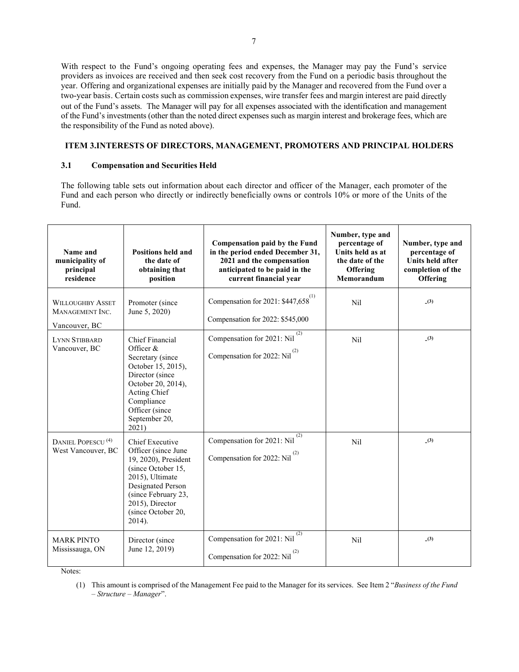With respect to the Fund's ongoing operating fees and expenses, the Manager may pay the Fund's service providers as invoices are received and then seek cost recovery from the Fund on a periodic basis throughout the year. Offering and organizational expenses are initially paid by the Manager and recovered from the Fund over a two-year basis. Certain costs such as commission expenses, wire transfer fees and margin interest are paid directly out of the Fund's assets. The Manager will pay for all expenses associated with the identification and management of the Fund's investments (other than the noted direct expenses such as margin interest and brokerage fees, which are the responsibility of the Fund as noted above).

### **ITEM 3.INTERESTS OF DIRECTORS, MANAGEMENT, PROMOTERS AND PRINCIPAL HOLDERS**

#### **3.1 Compensation and Securities Held**

The following table sets out information about each director and officer of the Manager, each promoter of the Fund and each person who directly or indirectly beneficially owns or controls 10% or more of the Units of the Fund.

| Name and<br>municipality of<br>principal<br>residence       | <b>Positions held and</b><br>the date of<br>obtaining that<br>position                                                                                                                                 | Compensation paid by the Fund<br>in the period ended December 31,<br>2021 and the compensation<br>anticipated to be paid in the<br>current financial year | Number, type and<br>percentage of<br>Units held as at<br>the date of the<br>Offering<br>Memorandum | Number, type and<br>percentage of<br>Units held after<br>completion of the<br>Offering |
|-------------------------------------------------------------|--------------------------------------------------------------------------------------------------------------------------------------------------------------------------------------------------------|-----------------------------------------------------------------------------------------------------------------------------------------------------------|----------------------------------------------------------------------------------------------------|----------------------------------------------------------------------------------------|
| <b>WILLOUGHBY ASSET</b><br>MANAGEMENT INC.<br>Vancouver, BC | Promoter (since<br>June 5, 2020)                                                                                                                                                                       | Compensation for 2021: $$447,658^{(1)}$<br>Compensation for 2022: \$545,000                                                                               | Nil                                                                                                | (3)                                                                                    |
| <b>LYNN STIBBARD</b><br>Vancouver, BC                       | Chief Financial<br>Officer &<br>Secretary (since<br>October 15, 2015),<br>Director (since<br>October 20, 2014),<br>Acting Chief<br>Compliance<br>Officer (since<br>September 20,<br>2021)              | (2)<br>Compensation for 2021: Nil<br>Compensation for 2022: Nil <sup>(2)</sup>                                                                            | N <sub>i</sub> l                                                                                   | (3)                                                                                    |
| DANIEL POPESCU <sup>(4)</sup><br>West Vancouver, BC         | Chief Executive<br>Officer (since June<br>19, 2020), President<br>(since October 15,<br>2015), Ultimate<br>Designated Person<br>(since February 23,<br>2015), Director<br>(since October 20,<br>2014). | (2)<br>Compensation for 2021: Nil<br>Compensation for 2022: Nil                                                                                           | Nil                                                                                                | (3)                                                                                    |
| <b>MARK PINTO</b><br>Mississauga, ON                        | Director (since<br>June 12, 2019)                                                                                                                                                                      | (2)<br>Compensation for 2021: Nil<br>(2)<br>Compensation for 2022: Nil                                                                                    | Nil                                                                                                | (3)                                                                                    |

Notes:

(1) This amount is comprised of the Management Fee paid to the Manager for its services. See Item 2 "*Business of the Fund – Structure – Manager*".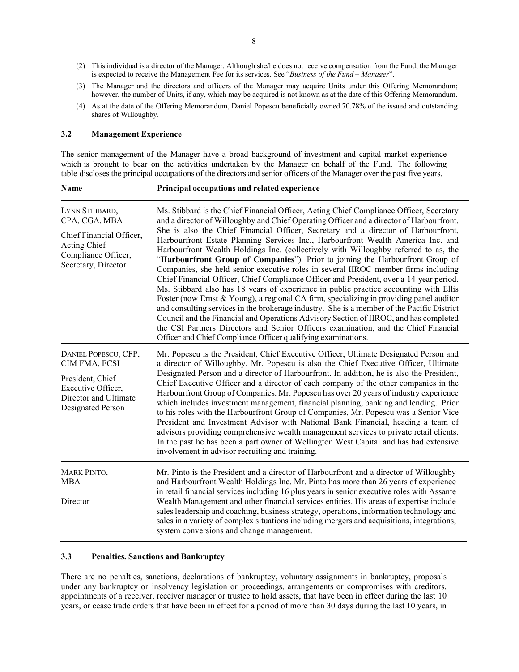- (2) This individual is a director of the Manager. Although she/he does not receive compensation from the Fund, the Manager is expected to receive the Management Fee for its services. See "*Business of the Fund – Manager*".
- (3) The Manager and the directors and officers of the Manager may acquire Units under this Offering Memorandum; however, the number of Units, if any, which may be acquired is not known as at the date of this Offering Memorandum.
- (4) As at the date of the Offering Memorandum, Daniel Popescu beneficially owned 70.78% of the issued and outstanding shares of Willoughby.

#### **3.2 Management Experience**

The senior management of the Manager have a broad background of investment and capital market experience which is brought to bear on the activities undertaken by the Manager on behalf of the Fund. The following table discloses the principal occupations of the directors and senior officers of the Manager over the past five years.

| Name                                                                                                                                                                                                                                                                                                                                                                                                                                                                                                                                                                                                                                                                                                                                                                                                                                                                                                                                                                                                                                                                                                 | Principal occupations and related experience                                                                                                                                                                                                                                                                                                                                                                                                                                                                                                                                                                                                                                                                                                                                                                                                                                                                                                                                                                                                                                                                                                                                                                                                               |  |  |  |
|------------------------------------------------------------------------------------------------------------------------------------------------------------------------------------------------------------------------------------------------------------------------------------------------------------------------------------------------------------------------------------------------------------------------------------------------------------------------------------------------------------------------------------------------------------------------------------------------------------------------------------------------------------------------------------------------------------------------------------------------------------------------------------------------------------------------------------------------------------------------------------------------------------------------------------------------------------------------------------------------------------------------------------------------------------------------------------------------------|------------------------------------------------------------------------------------------------------------------------------------------------------------------------------------------------------------------------------------------------------------------------------------------------------------------------------------------------------------------------------------------------------------------------------------------------------------------------------------------------------------------------------------------------------------------------------------------------------------------------------------------------------------------------------------------------------------------------------------------------------------------------------------------------------------------------------------------------------------------------------------------------------------------------------------------------------------------------------------------------------------------------------------------------------------------------------------------------------------------------------------------------------------------------------------------------------------------------------------------------------------|--|--|--|
| LYNN STIBBARD,<br>CPA, CGA, MBA<br>Chief Financial Officer,<br>Acting Chief<br>Compliance Officer,<br>Secretary, Director                                                                                                                                                                                                                                                                                                                                                                                                                                                                                                                                                                                                                                                                                                                                                                                                                                                                                                                                                                            | Ms. Stibbard is the Chief Financial Officer, Acting Chief Compliance Officer, Secretary<br>and a director of Willoughby and Chief Operating Officer and a director of Harbourfront.<br>She is also the Chief Financial Officer, Secretary and a director of Harbourfront,<br>Harbourfront Estate Planning Services Inc., Harbourfront Wealth America Inc. and<br>Harbourfront Wealth Holdings Inc. (collectively with Willoughby referred to as, the<br>"Harbourfront Group of Companies"). Prior to joining the Harbourfront Group of<br>Companies, she held senior executive roles in several IIROC member firms including<br>Chief Financial Officer, Chief Compliance Officer and President, over a 14-year period.<br>Ms. Stibbard also has 18 years of experience in public practice accounting with Ellis<br>Foster (now Ernst & Young), a regional CA firm, specializing in providing panel auditor<br>and consulting services in the brokerage industry. She is a member of the Pacific District<br>Council and the Financial and Operations Advisory Section of IIROC, and has completed<br>the CSI Partners Directors and Senior Officers examination, and the Chief Financial<br>Officer and Chief Compliance Officer qualifying examinations. |  |  |  |
| DANIEL POPESCU, CFP,<br>Mr. Popescu is the President, Chief Executive Officer, Ultimate Designated Person and<br>a director of Willoughby. Mr. Popescu is also the Chief Executive Officer, Ultimate<br>CIM FMA, FCSI<br>Designated Person and a director of Harbourfront. In addition, he is also the President,<br>President, Chief<br>Chief Executive Officer and a director of each company of the other companies in the<br>Executive Officer,<br>Harbourfront Group of Companies. Mr. Popescu has over 20 years of industry experience<br>Director and Ultimate<br>which includes investment management, financial planning, banking and lending. Prior<br>Designated Person<br>to his roles with the Harbourfront Group of Companies, Mr. Popescu was a Senior Vice<br>President and Investment Advisor with National Bank Financial, heading a team of<br>advisors providing comprehensive wealth management services to private retail clients.<br>In the past he has been a part owner of Wellington West Capital and has had extensive<br>involvement in advisor recruiting and training. |                                                                                                                                                                                                                                                                                                                                                                                                                                                                                                                                                                                                                                                                                                                                                                                                                                                                                                                                                                                                                                                                                                                                                                                                                                                            |  |  |  |
| MARK PINTO,<br><b>MBA</b><br>Director                                                                                                                                                                                                                                                                                                                                                                                                                                                                                                                                                                                                                                                                                                                                                                                                                                                                                                                                                                                                                                                                | Mr. Pinto is the President and a director of Harbourfront and a director of Willoughby<br>and Harbourfront Wealth Holdings Inc. Mr. Pinto has more than 26 years of experience<br>in retail financial services including 16 plus years in senior executive roles with Assante<br>Wealth Management and other financial services entities. His areas of expertise include<br>sales leadership and coaching, business strategy, operations, information technology and<br>sales in a variety of complex situations including mergers and acquisitions, integrations,<br>system conversions and change management.                                                                                                                                                                                                                                                                                                                                                                                                                                                                                                                                                                                                                                            |  |  |  |

#### **3.3 Penalties, Sanctions and Bankruptcy**

There are no penalties, sanctions, declarations of bankruptcy, voluntary assignments in bankruptcy, proposals under any bankruptcy or insolvency legislation or proceedings, arrangements or compromises with creditors, appointments of a receiver, receiver manager or trustee to hold assets, that have been in effect during the last 10 years, or cease trade orders that have been in effect for a period of more than 30 days during the last 10 years, in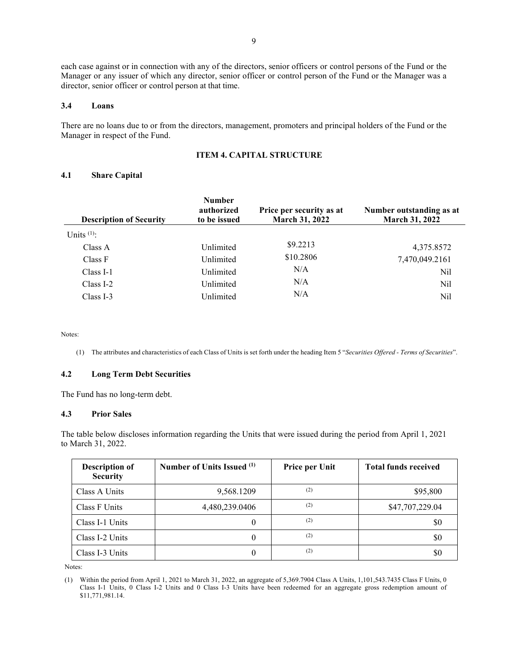each case against or in connection with any of the directors, senior officers or control persons of the Fund or the Manager or any issuer of which any director, senior officer or control person of the Fund or the Manager was a director, senior officer or control person at that time.

#### **3.4 Loans**

There are no loans due to or from the directors, management, promoters and principal holders of the Fund or the Manager in respect of the Fund.

### **ITEM 4. CAPITAL STRUCTURE**

#### **4.1 Share Capital**

| <b>Description of Security</b> | <b>Number</b><br>authorized<br>to be issued | Price per security as at<br><b>March 31, 2022</b> | Number outstanding as at<br>March 31, 2022 |
|--------------------------------|---------------------------------------------|---------------------------------------------------|--------------------------------------------|
| Units $(1)$ :                  |                                             |                                                   |                                            |
| Class A                        | Unlimited                                   | \$9.2213                                          | 4,375.8572                                 |
| Class F                        | Unlimited                                   | \$10.2806                                         | 7,470,049.2161                             |
| Class I-1                      | Unlimited                                   | N/A                                               | Nil                                        |
| Class I-2                      | Unlimited                                   | N/A                                               | Nil                                        |
| Class I-3                      | Unlimited                                   | N/A                                               | Nil                                        |

Notes:

(1) The attributes and characteristics of each Class of Units is set forth under the heading Item 5 "*Securities Offered - Terms of Securities*".

#### **4.2 Long Term Debt Securities**

The Fund has no long-term debt.

#### **4.3 Prior Sales**

The table below discloses information regarding the Units that were issued during the period from April 1, 2021 to March 31, 2022.

| <b>Description of</b><br><b>Security</b> | Number of Units Issued (1) | Price per Unit | <b>Total funds received</b> |
|------------------------------------------|----------------------------|----------------|-----------------------------|
| Class A Units                            | 9,568.1209                 | (2)            | \$95,800                    |
| Class F Units                            | 4,480,239.0406             | (2)            | \$47,707,229.04             |
| Class I-1 Units                          |                            | (2)            | \$0                         |
| Class I-2 Units                          |                            | (2)            | \$0                         |
| Class I-3 Units                          |                            | (2)            | DΓ.                         |

Notes:

<sup>(1)</sup> Within the period from April 1, 2021 to March 31, 2022, an aggregate of 5,369.7904 Class A Units, 1,101,543.7435 Class F Units, 0 Class I-1 Units, 0 Class I-2 Units and 0 Class I-3 Units have been redeemed for an aggregate gross redemption amount of \$11,771,981.14.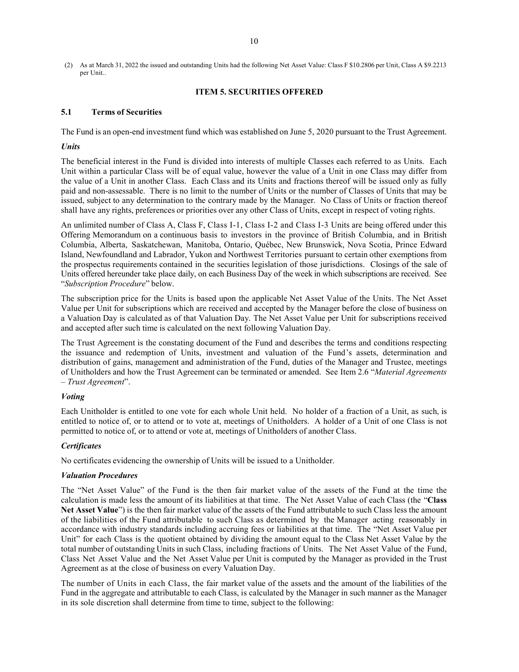(2) As at March 31, 2022 the issued and outstanding Units had the following Net Asset Value: Class F \$10.2806 per Unit, Class A \$9.2213 per Unit..

### **ITEM 5. SECURITIES OFFERED**

### **5.1 Terms of Securities**

The Fund is an open-end investment fund which was established on June 5, 2020 pursuant to the Trust Agreement.

#### *Units*

The beneficial interest in the Fund is divided into interests of multiple Classes each referred to as Units. Each Unit within a particular Class will be of equal value, however the value of a Unit in one Class may differ from the value of a Unit in another Class. Each Class and its Units and fractions thereof will be issued only as fully paid and non-assessable. There is no limit to the number of Units or the number of Classes of Units that may be issued, subject to any determination to the contrary made by the Manager. No Class of Units or fraction thereof shall have any rights, preferences or priorities over any other Class of Units, except in respect of voting rights.

An unlimited number of Class A, Class F, Class I-1, Class I-2 and Class I-3 Units are being offered under this Offering Memorandum on a continuous basis to investors in the province of British Columbia, and in British Columbia, Alberta, Saskatchewan, Manitoba, Ontario, Québec, New Brunswick, Nova Scotia, Prince Edward Island, Newfoundland and Labrador, Yukon and Northwest Territories pursuant to certain other exemptions from the prospectus requirements contained in the securities legislation of those jurisdictions. Closings of the sale of Units offered hereunder take place daily, on each Business Day of the week in which subscriptions are received. See "*Subscription Procedure*" below.

The subscription price for the Units is based upon the applicable Net Asset Value of the Units. The Net Asset Value per Unit for subscriptions which are received and accepted by the Manager before the close of business on a Valuation Day is calculated as of that Valuation Day. The Net Asset Value per Unit for subscriptions received and accepted after such time is calculated on the next following Valuation Day.

The Trust Agreement is the constating document of the Fund and describes the terms and conditions respecting the issuance and redemption of Units, investment and valuation of the Fund's assets, determination and distribution of gains, management and administration of the Fund, duties of the Manager and Trustee, meetings of Unitholders and how the Trust Agreement can be terminated or amended. See Item 2.6 "*Material Agreements – Trust Agreement*".

### *Voting*

Each Unitholder is entitled to one vote for each whole Unit held. No holder of a fraction of a Unit, as such, is entitled to notice of, or to attend or to vote at, meetings of Unitholders. A holder of a Unit of one Class is not permitted to notice of, or to attend or vote at, meetings of Unitholders of another Class.

### *Certificates*

No certificates evidencing the ownership of Units will be issued to a Unitholder.

#### *Valuation Procedures*

The "Net Asset Value" of the Fund is the then fair market value of the assets of the Fund at the time the calculation is made less the amount of its liabilities at that time. The Net Asset Value of each Class (the "**Class Net Asset Value**") is the then fair market value of the assets of the Fund attributable to such Class less the amount of the liabilities of the Fund attributable to such Class as determined by the Manager acting reasonably in accordance with industry standards including accruing fees or liabilities at that time. The "Net Asset Value per Unit" for each Class is the quotient obtained by dividing the amount equal to the Class Net Asset Value by the total number of outstanding Units in such Class, including fractions of Units. The Net Asset Value of the Fund, Class Net Asset Value and the Net Asset Value per Unit is computed by the Manager as provided in the Trust Agreement as at the close of business on every Valuation Day.

The number of Units in each Class, the fair market value of the assets and the amount of the liabilities of the Fund in the aggregate and attributable to each Class, is calculated by the Manager in such manner as the Manager in its sole discretion shall determine from time to time, subject to the following: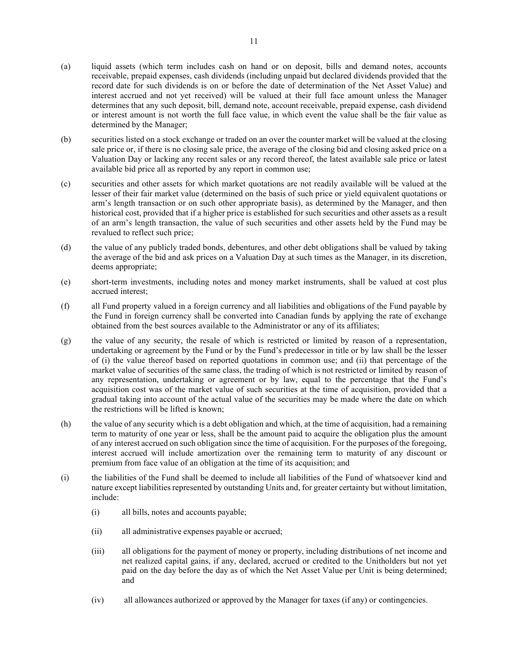- (b) securities listed on a stock exchange or traded on an over the counter market will be valued at the closing sale price or, if there is no closing sale price, the average of the closing bid and closing asked price on a Valuation Day or lacking any recent sales or any record thereof, the latest available sale price or latest available bid price all as reported by any report in common use;
- (c) securities and other assets for which market quotations are not readily available will be valued at the lesser of their fair market value (determined on the basis of such price or yield equivalent quotations or arm's length transaction or on such other appropriate basis), as determined by the Manager, and then historical cost, provided that if a higher price is established for such securities and other assets as a result of an arm's length transaction, the value of such securities and other assets held by the Fund may be revalued to reflect such price;
- (d) the value of any publicly traded bonds, debentures, and other debt obligations shall be valued by taking the average of the bid and ask prices on a Valuation Day at such times as the Manager, in its discretion, deems appropriate;
- (e) short-term investments, including notes and money market instruments, shall be valued at cost plus accrued interest;
- (f) all Fund property valued in a foreign currency and all liabilities and obligations of the Fund payable by the Fund in foreign currency shall be converted into Canadian funds by applying the rate of exchange obtained from the best sources available to the Administrator or any of its affiliates;
- (g) the value of any security, the resale of which is restricted or limited by reason of a representation, undertaking or agreement by the Fund or by the Fund's predecessor in title or by law shall be the lesser of (i) the value thereof based on reported quotations in common use; and (ii) that percentage of the market value of securities of the same class, the trading of which is not restricted or limited by reason of any representation, undertaking or agreement or by law, equal to the percentage that the Fund's acquisition cost was of the market value of such securities at the time of acquisition, provided that a gradual taking into account of the actual value of the securities may be made where the date on which the restrictions will be lifted is known;
- (h) the value of any security which is a debt obligation and which, at the time of acquisition, had a remaining term to maturity of one year or less, shall be the amount paid to acquire the obligation plus the amount of any interest accrued on such obligation since the time of acquisition. For the purposes of the foregoing, interest accrued will include amortization over the remaining term to maturity of any discount or premium from face value of an obligation at the time of its acquisition; and
- (i) the liabilities of the Fund shall be deemed to include all liabilities of the Fund of whatsoever kind and nature except liabilities represented by outstanding Units and, for greater certainty but without limitation, include:
	- (i) all bills, notes and accounts payable;
	- (ii) all administrative expenses payable or accrued;
	- (iii) all obligations for the payment of money or property, including distributions of net income and net realized capital gains, if any, declared, accrued or credited to the Unitholders but not yet paid on the day before the day as of which the Net Asset Value per Unit is being determined; and
	- (iv) all allowances authorized or approved by the Manager for taxes (if any) or contingencies.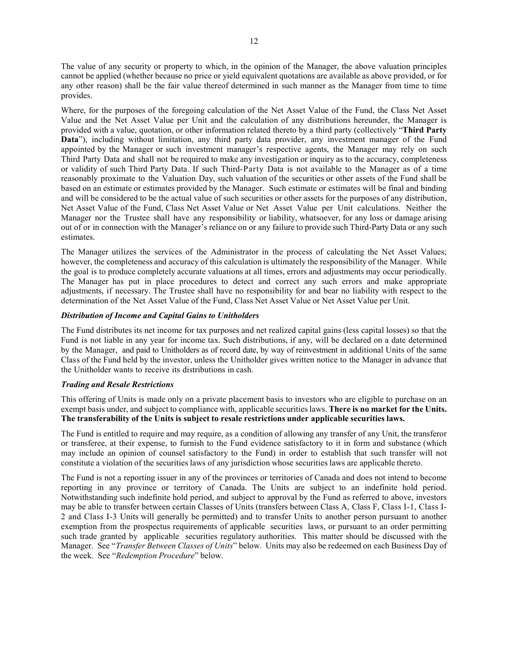The value of any security or property to which, in the opinion of the Manager, the above valuation principles cannot be applied (whether because no price or yield equivalent quotations are available as above provided, or for any other reason) shall be the fair value thereof determined in such manner as the Manager from time to time provides.

Where, for the purposes of the foregoing calculation of the Net Asset Value of the Fund, the Class Net Asset Value and the Net Asset Value per Unit and the calculation of any distributions hereunder, the Manager is provided with a value, quotation, or other information related thereto by a third party (collectively "**Third Party Data**"), including without limitation, any third party data provider, any investment manager of the Fund appointed by the Manager or such investment manager's respective agents, the Manager may rely on such Third Party Data and shall not be required to make any investigation or inquiry as to the accuracy, completeness or validity of such Third Party Data . If such Third-Party Data is not available to the Manager as of a time reasonably proximate to the Valuation Day, such valuation of the securities or other assets of the Fund shall be based on an estimate or estimates provided by the Manager. Such estimate or estimates will be final and binding and will be considered to be the actual value of such securities or other assets for the purposes of any distribution, Net Asset Value of the Fund, Class Net Asset Value or Net Asset Value per Unit calculations. Neither the Manager nor the Trustee shall have any responsibility or liability, whatsoever, for any loss or damage arising out of or in connection with the Manager's reliance on or any failure to provide such Third-Party Data or any such estimates.

The Manager utilizes the services of the Administrator in the process of calculating the Net Asset Values; however, the completeness and accuracy of this calculation is ultimately the responsibility of the Manager. While the goal is to produce completely accurate valuations at all times, errors and adjustments may occur periodically. The Manager has put in place procedures to detect and correct any such errors and make appropriate adjustments, if necessary. The Trustee shall have no responsibility for and bear no liability with respect to the determination of the Net Asset Value of the Fund, Class Net Asset Value or Net Asset Value per Unit.

#### *Distribution of Income and Capital Gains to Unitholders*

The Fund distributes its net income for tax purposes and net realized capital gains (less capital losses) so that the Fund is not liable in any year for income tax. Such distributions, if any, will be declared on a date determined by the Manager, and paid to Unitholders as of record date, by way of reinvestment in additional Units of the same Class of the Fund held by the investor, unless the Unitholder gives written notice to the Manager in advance that the Unitholder wants to receive its distributions in cash.

#### *Trading and Resale Restrictions*

This offering of Units is made only on a private placement basis to investors who are eligible to purchase on an exempt basis under, and subject to compliance with, applicable securities laws. **There is no market for the Units. The transferability of the Units is subject to resale restrictions under applicable securities laws.**

The Fund is entitled to require and may require, as a condition of allowing any transfer of any Unit, the transferor or transferee, at their expense, to furnish to the Fund evidence satisfactory to it in form and substance (which may include an opinion of counsel satisfactory to the Fund) in order to establish that such transfer will not constitute a violation of the securities laws of any jurisdiction whose securities laws are applicable thereto.

The Fund is not a reporting issuer in any of the provinces or territories of Canada and does not intend to become reporting in any province or territory of Canada. The Units are subject to an indefinite hold period. Notwithstanding such indefinite hold period, and subject to approval by the Fund as referred to above, investors may be able to transfer between certain Classes of Units (transfers between Class A, Class F, Class I-1, Class I-2 and Class I-3 Units will generally be permitted) and to transfer Units to another person pursuant to another exemption from the prospectus requirements of applicable securities laws, or pursuant to an order permitting such trade granted by applicable securities regulatory authorities. This matter should be discussed with the Manager. See "*Transfer Between Classes of Units*" below. Units may also be redeemed on each Business Day of the week. See "*Redemption Procedure*" below.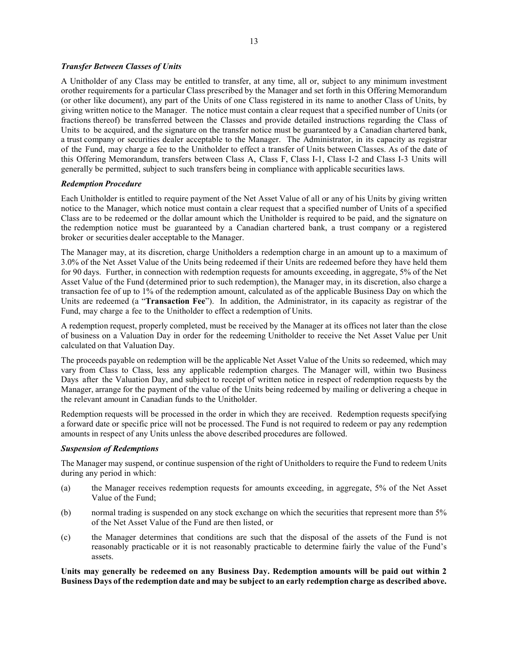### *Transfer Between Classes of Units*

A Unitholder of any Class may be entitled to transfer, at any time, all or, subject to any minimum investment or other requirements for a particular Class prescribed by the Manager and set forth in this Offering Memorandum (or other like document), any part of the Units of one Class registered in its name to another Class of Units, by giving written notice to the Manager. The notice must contain a clear request that a specified number of Units (or fractions thereof) be transferred between the Classes and provide detailed instructions regarding the Class of Units to be acquired, and the signature on the transfer notice must be guaranteed by a Canadian chartered bank, a trust company or securities dealer acceptable to the Manager. The Administrator, in its capacity as registrar of the Fund, may charge a fee to the Unitholder to effect a transfer of Units between Classes. As of the date of this Offering Memorandum, transfers between Class A, Class F, Class I-1, Class I-2 and Class I-3 Units will generally be permitted, subject to such transfers being in compliance with applicable securities laws.

#### *Redemption Procedure*

Each Unitholder is entitled to require payment of the Net Asset Value of all or any of his Units by giving written notice to the Manager, which notice must contain a clear request that a specified number of Units of a specified Class are to be redeemed or the dollar amount which the Unitholder is required to be paid, and the signature on the redemption notice must be guaranteed by a Canadian chartered bank, a trust company or a registered broker or securities dealer acceptable to the Manager.

The Manager may, at its discretion, charge Unitholders a redemption charge in an amount up to a maximum of 3.0% of the Net Asset Value of the Units being redeemed if their Units are redeemed before they have held them for 90 days. Further, in connection with redemption requests for amounts exceeding, in aggregate, 5% of the Net Asset Value of the Fund (determined prior to such redemption), the Manager may, in its discretion, also charge a transaction fee of up to 1% of the redemption amount, calculated as of the applicable Business Day on which the Units are redeemed (a "**Transaction Fee**"). In addition, the Administrator, in its capacity as registrar of the Fund, may charge a fee to the Unitholder to effect a redemption of Units.

A redemption request, properly completed, must be received by the Manager at its offices not later than the close of business on a Valuation Day in order for the redeeming Unitholder to receive the Net Asset Value per Unit calculated on that Valuation Day.

The proceeds payable on redemption will be the applicable Net Asset Value of the Units so redeemed, which may vary from Class to Class, less any applicable redemption charges. The Manager will, within two Business Days after the Valuation Day, and subject to receipt of written notice in respect of redemption requests by the Manager, arrange for the payment of the value of the Units being redeemed by mailing or delivering a cheque in the relevant amount in Canadian funds to the Unitholder.

Redemption requests will be processed in the order in which they are received. Redemption requests specifying a forward date or specific price will not be processed. The Fund is not required to redeem or pay any redemption amounts in respect of any Units unless the above described procedures are followed.

#### *Suspension of Redemptions*

The Manager may suspend, or continue suspension of the right of Unitholders to require the Fund to redeem Units during any period in which:

- (a) the Manager receives redemption requests for amounts exceeding, in aggregate, 5% of the Net Asset Value of the Fund;
- (b) normal trading is suspended on any stock exchange on which the securities that represent more than 5% of the Net Asset Value of the Fund are then listed, or
- (c) the Manager determines that conditions are such that the disposal of the assets of the Fund is not reasonably practicable or it is not reasonably practicable to determine fairly the value of the Fund's assets.

**Units may generally be redeemed on any Business Day. Redemption amounts will be paid out within 2 Business Days of the redemption date and may be subject to an early redemption charge as described above.**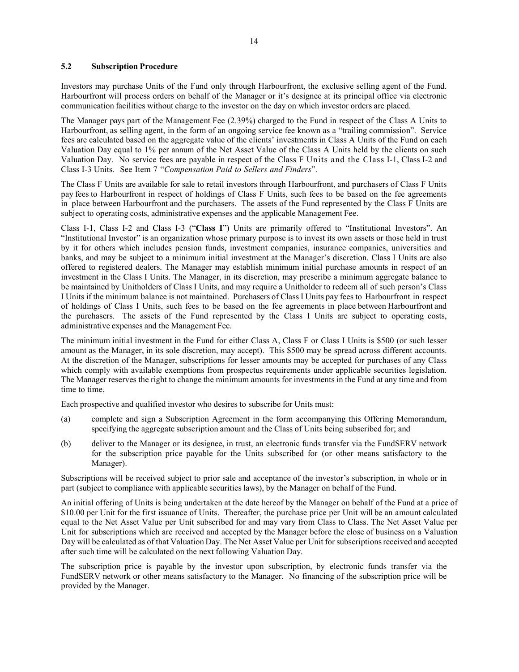#### **5.2 Subscription Procedure**

Investors may purchase Units of the Fund only through Harbourfront, the exclusive selling agent of the Fund. Harbourfront will process orders on behalf of the Manager or it's designee at its principal office via electronic communication facilities without charge to the investor on the day on which investor orders are placed.

The Manager pays part of the Management Fee (2.39%) charged to the Fund in respect of the Class A Units to Harbourfront, as selling agent, in the form of an ongoing service fee known as a "trailing commission". Service fees are calculated based on the aggregate value of the clients' investments in Class A Units of the Fund on each Valuation Day equal to 1% per annum of the Net Asset Value of the Class A Units held by the clients on such Valuation Day. No service fees are payable in respect of the Class F Units and the Class I-1, Class I-2 and Class I-3 Units. See Item 7 "*Compensation Paid to Sellers and Finders*".

The Class F Units are available for sale to retail investors through Harbourfront, and purchasers of Class F Units pay fees to Harbourfront in respect of holdings of Class F Units, such fees to be based on the fee agreements in place between Harbourfront and the purchasers. The assets of the Fund represented by the Class F Units are subject to operating costs, administrative expenses and the applicable Management Fee.

Class I-1, Class I-2 and Class I-3 ("**Class I**") Units are primarily offered to "Institutional Investors". An "Institutional Investor" is an organization whose primary purpose is to invest its own assets or those held in trust by it for others which includes pension funds, investment companies, insurance companies, universities and banks, and may be subject to a minimum initial investment at the Manager's discretion. Class I Units are also offered to registered dealers. The Manager may establish minimum initial purchase amounts in respect of an investment in the Class I Units. The Manager, in its discretion, may prescribe a minimum aggregate balance to be maintained by Unitholders of Class I Units, and may require a Unitholder to redeem all of such person's Class I Units if the minimum balance is not maintained. Purchasers of Class I Units pay fees to Harbourfront in respect of holdings of Class I Units, such fees to be based on the fee agreements in place between Harbourfront and the purchasers. The assets of the Fund represented by the Class I Units are subject to operating costs, administrative expenses and the Management Fee.

The minimum initial investment in the Fund for either Class A, Class F or Class I Units is \$500 (or such lesser amount as the Manager, in its sole discretion, may accept). This \$500 may be spread across different accounts. At the discretion of the Manager, subscriptions for lesser amounts may be accepted for purchases of any Class which comply with available exemptions from prospectus requirements under applicable securities legislation. The Manager reserves the right to change the minimum amounts for investments in the Fund at any time and from time to time.

Each prospective and qualified investor who desires to subscribe for Units must:

- (a) complete and sign a Subscription Agreement in the form accompanying this Offering Memorandum, specifying the aggregate subscription amount and the Class of Units being subscribed for; and
- (b) deliver to the Manager or its designee, in trust, an electronic funds transfer via the FundSERV network for the subscription price payable for the Units subscribed for (or other means satisfactory to the Manager).

Subscriptions will be received subject to prior sale and acceptance of the investor's subscription, in whole or in part (subject to compliance with applicable securities laws), by the Manager on behalf of the Fund.

An initial offering of Units is being undertaken at the date hereof by the Manager on behalf of the Fund at a price of \$10.00 per Unit for the first issuance of Units. Thereafter, the purchase price per Unit will be an amount calculated equal to the Net Asset Value per Unit subscribed for and may vary from Class to Class. The Net Asset Value per Unit for subscriptions which are received and accepted by the Manager before the close of business on a Valuation Day will be calculated as of that Valuation Day. The Net Asset Value per Unit for subscriptions received and accepted after such time will be calculated on the next following Valuation Day.

The subscription price is payable by the investor upon subscription, by electronic funds transfer via the FundSERV network or other means satisfactory to the Manager. No financing of the subscription price will be provided by the Manager.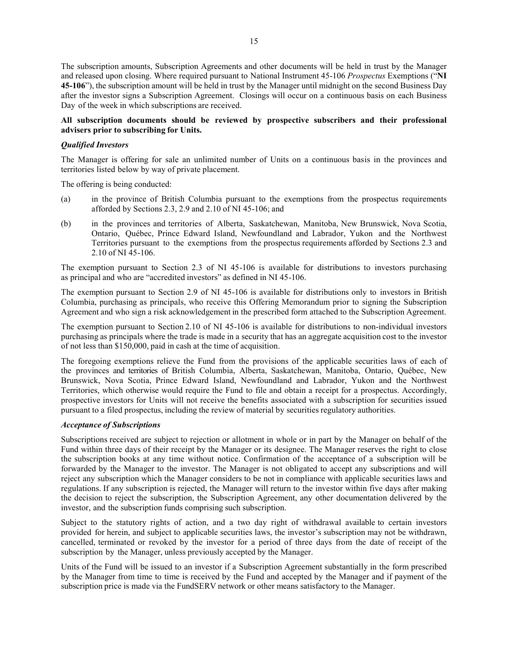The subscription amounts, Subscription Agreements and other documents will be held in trust by the Manager and released upon closing. Where required pursuant to National Instrument 45-106 *Prospectus* Exemptions ("**NI 45-106**"), the subscription amount will be held in trust by the Manager until midnight on the second Business Day after the investor signs a Subscription Agreement. Closings will occur on a continuous basis on each Business Day of the week in which subscriptions are received.

#### **All subscription documents should be reviewed by prospective subscribers and their professional advisers prior to subscribing for Units.**

#### *Qualified Investors*

The Manager is offering for sale an unlimited number of Units on a continuous basis in the provinces and territories listed below by way of private placement.

The offering is being conducted:

- (a) in the province of British Columbia pursuant to the exemptions from the prospectus requirements afforded by Sections 2.3, 2.9 and 2.10 of NI 45-106; and
- (b) in the provinces and territories of Alberta, Saskatchewan, Manitoba, New Brunswick, Nova Scotia, Ontario, Québec, Prince Edward Island, Newfoundland and Labrador, Yukon and the Northwest Territories pursuant to the exemptions from the prospectus requirements afforded by Sections 2.3 and 2.10 of NI 45-106.

The exemption pursuant to Section 2.3 of NI 45-106 is available for distributions to investors purchasing as principal and who are "accredited investors" as defined in NI 45-106.

The exemption pursuant to Section 2.9 of NI 45-106 is available for distributions only to investors in British Columbia, purchasing as principals, who receive this Offering Memorandum prior to signing the Subscription Agreement and who sign a risk acknowledgement in the prescribed form attached to the Subscription Agreement.

The exemption pursuant to Section 2.10 of NI 45-106 is available for distributions to non-individual investors purchasing as principals where the trade is made in a security that has an aggregate acquisition cost to the investor of not less than \$150,000, paid in cash at the time of acquisition.

The foregoing exemptions relieve the Fund from the provisions of the applicable securities laws of each of the provinces and territories of British Columbia, Alberta, Saskatchewan, Manitoba, Ontario, Québec, New Brunswick, Nova Scotia, Prince Edward Island, Newfoundland and Labrador, Yukon and the Northwest Territories, which otherwise would require the Fund to file and obtain a receipt for a prospectus. Accordingly, prospective investors for Units will not receive the benefits associated with a subscription for securities issued pursuant to a filed prospectus, including the review of material by securities regulatory authorities.

#### *Acceptance of Subscriptions*

Subscriptions received are subject to rejection or allotment in whole or in part by the Manager on behalf of the Fund within three days of their receipt by the Manager or its designee. The Manager reserves the right to close the subscription books at any time without notice. Confirmation of the acceptance of a subscription will be forwarded by the Manager to the investor. The Manager is not obligated to accept any subscriptions and will reject any subscription which the Manager considers to be not in compliance with applicable securities laws and regulations. If any subscription is rejected, the Manager will return to the investor within five days after making the decision to reject the subscription, the Subscription Agreement, any other documentation delivered by the investor, and the subscription funds comprising such subscription.

Subject to the statutory rights of action, and a two day right of withdrawal available to certain investors provided for herein, and subject to applicable securities laws, the investor's subscription may not be withdrawn, cancelled, terminated or revoked by the investor for a period of three days from the date of receipt of the subscription by the Manager, unless previously accepted by the Manager.

Units of the Fund will be issued to an investor if a Subscription Agreement substantially in the form prescribed by the Manager from time to time is received by the Fund and accepted by the Manager and if payment of the subscription price is made via the FundSERV network or other means satisfactory to the Manager.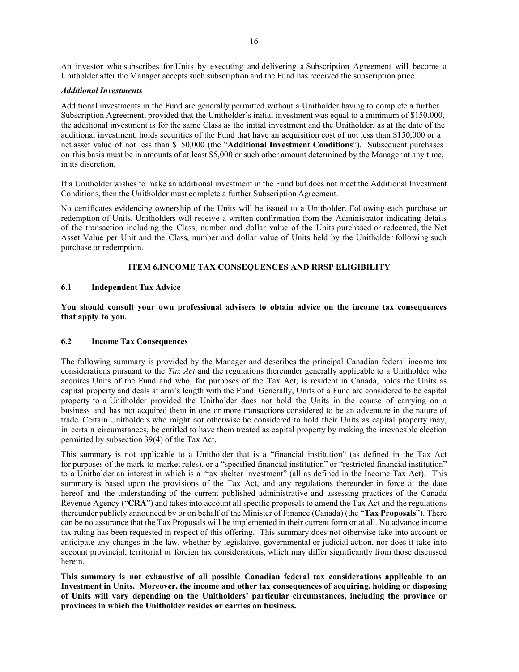An investor who subscribes for Units by executing and delivering a Subscription Agreement will become a Unitholder after the Manager accepts such subscription and the Fund has received the subscription price.

#### *Additional Investments*

Additional investments in the Fund are generally permitted without a Unitholder having to complete a further Subscription Agreement, provided that the Unitholder's initial investment was equal to a minimum of \$150,000, the additional investment is for the same Class as the initial investment and the Unitholder, as at the date of the additional investment, holds securities of the Fund that have an acquisition cost of not less than \$150,000 or a net asset value of not less than \$150,000 (the "**Additional Investment Conditions**"). Subsequent purchases on this basis must be in amounts of at least \$5,000 or such other amount determined by the Manager at any time, in its discretion.

If a Unitholder wishes to make an additional investment in the Fund but does not meet the Additional Investment Conditions, then the Unitholder must complete a further Subscription Agreement.

No certificates evidencing ownership of the Units will be issued to a Unitholder. Following each purchase or redemption of Units, Unitholders will receive a written confirmation from the Administrator indicating details of the transaction including the Class, number and dollar value of the Units purchased or redeemed, the Net Asset Value per Unit and the Class, number and dollar value of Units held by the Unitholder following such purchase or redemption.

#### **ITEM 6.INCOME TAX CONSEQUENCES AND RRSP ELIGIBILITY**

#### **6.1 Independent Tax Advice**

**You should consult your own professional advisers to obtain advice on the income tax consequences that apply to you.** 

### **6.2 Income Tax Consequences**

The following summary is provided by the Manager and describes the principal Canadian federal income tax considerations pursuant to the *Tax Act* and the regulations thereunder generally applicable to a Unitholder who acquires Units of the Fund and who, for purposes of the Tax Act, is resident in Canada, holds the Units as capital property and deals at arm's length with the Fund. Generally, Units of a Fund are considered to be capital property to a Unitholder provided the Unitholder does not hold the Units in the course of carrying on a business and has not acquired them in one or more transactions considered to be an adventure in the nature of trade. Certain Unitholders who might not otherwise be considered to hold their Units as capital property may, in certain circumstances, be entitled to have them treated as capital property by making the irrevocable election permitted by subsection 39(4) of the Tax Act.

This summary is not applicable to a Unitholder that is a "financial institution" (as defined in the Tax Act for purposes of the mark-to-market rules), or a "specified financial institution" or "restricted financial institution" to a Unitholder an interest in which is a "tax shelter investment" (all as defined in the Income Tax Act). This summary is based upon the provisions of the Tax Act, and any regulations thereunder in force at the date hereof and the understanding of the current published administrative and assessing practices of the Canada Revenue Agency ("**CRA**") and takes into account all specific proposals to amend the Tax Act and the regulations thereunder publicly announced by or on behalf of the Minister of Finance (Canada) (the "**Tax Proposals**"). There can be no assurance that the Tax Proposals will be implemented in their current form or at all. No advance income tax ruling has been requested in respect of this offering. This summary does not otherwise take into account or anticipate any changes in the law, whether by legislative, governmental or judicial action, nor does it take into account provincial, territorial or foreign tax considerations, which may differ significantly from those discussed herein.

**This summary is not exhaustive of all possible Canadian federal tax considerations applicable to an Investment in Units. Moreover, the income and other tax consequences of acquiring, holding or disposing of Units will vary depending on the Unitholders' particular circumstances, including the province or provinces in which the Unitholder resides or carries on business.**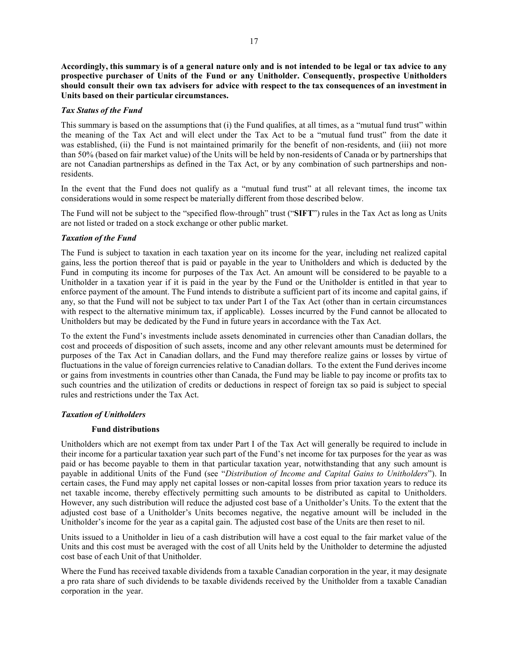**Accordingly, this summary is of a general nature only and is not intended to be legal or tax advice to any prospective purchaser of Units of the Fund or any Unitholder. Consequently, prospective Unitholders should consult their own tax advisers for advice with respect to the tax consequences of an investment in Units based on their particular circumstances.** 

#### *Tax Status of the Fund*

This summary is based on the assumptions that (i) the Fund qualifies, at all times, as a "mutual fund trust" within the meaning of the Tax Act and will elect under the Tax Act to be a "mutual fund trust" from the date it was established, (ii) the Fund is not maintained primarily for the benefit of non-residents, and (iii) not more than 50% (based on fair market value) of the Units will be held by non-residents of Canada or by partnerships that are not Canadian partnerships as defined in the Tax Act, or by any combination of such partnerships and nonresidents.

In the event that the Fund does not qualify as a "mutual fund trust" at all relevant times, the income tax considerations would in some respect be materially different from those described below.

The Fund will not be subject to the "specified flow-through" trust ("**SIFT**") rules in the Tax Act as long as Units are not listed or traded on a stock exchange or other public market.

### *Taxation of the Fund*

The Fund is subject to taxation in each taxation year on its income for the year, including net realized capital gains, less the portion thereof that is paid or payable in the year to Unitholders and which is deducted by the Fund in computing its income for purposes of the Tax Act. An amount will be considered to be payable to a Unitholder in a taxation year if it is paid in the year by the Fund or the Unitholder is entitled in that year to enforce payment of the amount. The Fund intends to distribute a sufficient part of its income and capital gains, if any, so that the Fund will not be subject to tax under Part I of the Tax Act (other than in certain circumstances with respect to the alternative minimum tax, if applicable). Losses incurred by the Fund cannot be allocated to Unitholders but may be dedicated by the Fund in future years in accordance with the Tax Act.

To the extent the Fund's investments include assets denominated in currencies other than Canadian dollars, the cost and proceeds of disposition of such assets, income and any other relevant amounts must be determined for purposes of the Tax Act in Canadian dollars, and the Fund may therefore realize gains or losses by virtue of fluctuations in the value of foreign currencies relative to Canadian dollars. To the extent the Fund derives income or gains from investments in countries other than Canada, the Fund may be liable to pay income or profits tax to such countries and the utilization of credits or deductions in respect of foreign tax so paid is subject to special rules and restrictions under the Tax Act.

### *Taxation of Unitholders*

#### **Fund distributions**

Unitholders which are not exempt from tax under Part I of the Tax Act will generally be required to include in their income for a particular taxation year such part of the Fund's net income for tax purposes for the year as was paid or has become payable to them in that particular taxation year, notwithstanding that any such amount is payable in additional Units of the Fund (see "*Distribution of Income and Capital Gains to Unitholders*"). In certain cases, the Fund may apply net capital losses or non-capital losses from prior taxation years to reduce its net taxable income, thereby effectively permitting such amounts to be distributed as capital to Unitholders. However, any such distribution will reduce the adjusted cost base of a Unitholder's Units. To the extent that the adjusted cost base of a Unitholder's Units becomes negative, the negative amount will be included in the Unitholder's income for the year as a capital gain. The adjusted cost base of the Units are then reset to nil.

Units issued to a Unitholder in lieu of a cash distribution will have a cost equal to the fair market value of the Units and this cost must be averaged with the cost of all Units held by the Unitholder to determine the adjusted cost base of each Unit of that Unitholder.

Where the Fund has received taxable dividends from a taxable Canadian corporation in the year, it may designate a pro rata share of such dividends to be taxable dividends received by the Unitholder from a taxable Canadian corporation in the year.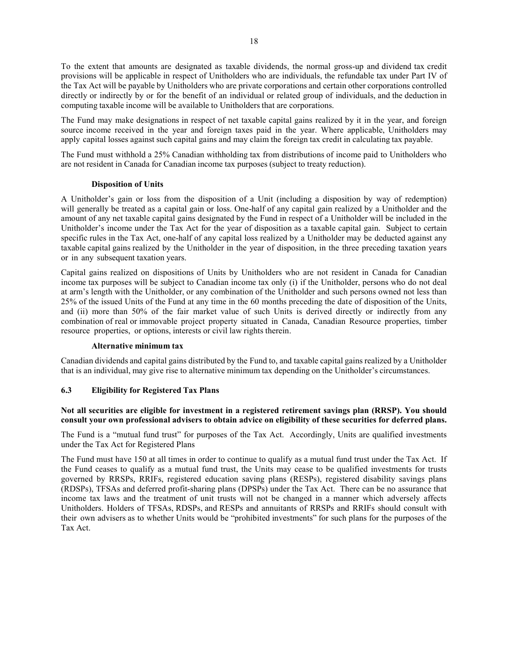To the extent that amounts are designated as taxable dividends, the normal gross-up and dividend tax credit provisions will be applicable in respect of Unitholders who are individuals, the refundable tax under Part IV of the Tax Act will be payable by Unitholders who are private corporations and certain other corporations controlled directly or indirectly by or for the benefit of an individual or related group of individuals, and the deduction in computing taxable income will be available to Unitholders that are corporations.

The Fund may make designations in respect of net taxable capital gains realized by it in the year, and foreign source income received in the year and foreign taxes paid in the year. Where applicable, Unitholders may apply capital losses against such capital gains and may claim the foreign tax credit in calculating tax payable.

The Fund must withhold a 25% Canadian withholding tax from distributions of income paid to Unitholders who are not resident in Canada for Canadian income tax purposes (subject to treaty reduction).

#### **Disposition of Units**

A Unitholder's gain or loss from the disposition of a Unit (including a disposition by way of redemption) will generally be treated as a capital gain or loss. One-half of any capital gain realized by a Unitholder and the amount of any net taxable capital gains designated by the Fund in respect of a Unitholder will be included in the Unitholder's income under the Tax Act for the year of disposition as a taxable capital gain. Subject to certain specific rules in the Tax Act, one-half of any capital loss realized by a Unitholder may be deducted against any taxable capital gains realized by the Unitholder in the year of disposition, in the three preceding taxation years or in any subsequent taxation years.

Capital gains realized on dispositions of Units by Unitholders who are not resident in Canada for Canadian income tax purposes will be subject to Canadian income tax only (i) if the Unitholder, persons who do not deal at arm's length with the Unitholder, or any combination of the Unitholder and such persons owned not less than 25% of the issued Units of the Fund at any time in the 60 months preceding the date of disposition of the Units, and (ii) more than 50% of the fair market value of such Units is derived directly or indirectly from any combination of real or immovable project property situated in Canada, Canadian Resource properties, timber resource properties, or options, interests or civil law rights therein.

#### **Alternative minimum tax**

Canadian dividends and capital gains distributed by the Fund to, and taxable capital gains realized by a Unitholder that is an individual, may give rise to alternative minimum tax depending on the Unitholder's circumstances.

#### **6.3 Eligibility for Registered Tax Plans**

#### **Not all securities are eligible for investment in a registered retirement savings plan (RRSP). You should consult your own professional advisers to obtain advice on eligibility of these securities for deferred plans.**

The Fund is a "mutual fund trust" for purposes of the Tax Act. Accordingly, Units are qualified investments under the Tax Act for Registered Plans

The Fund must have 150 at all times in order to continue to qualify as a mutual fund trust under the Tax Act. If the Fund ceases to qualify as a mutual fund trust, the Units may cease to be qualified investments for trusts governed by RRSPs, RRIFs, registered education saving plans (RESPs), registered disability savings plans (RDSPs), TFSAs and deferred profit-sharing plans (DPSPs) under the Tax Act. There can be no assurance that income tax laws and the treatment of unit trusts will not be changed in a manner which adversely affects Unitholders. Holders of TFSAs, RDSPs, and RESPs and annuitants of RRSPs and RRIFs should consult with their own advisers as to whether Units would be "prohibited investments" for such plans for the purposes of the Tax Act.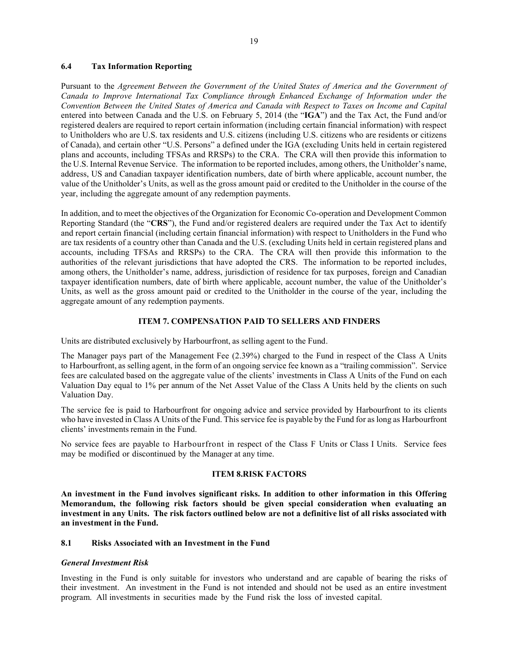#### **6.4 Tax Information Reporting**

Pursuant to the *Agreement Between the Government of the United States of America and the Government of Canada to Improve International Tax Compliance through Enhanced Exchange of Information under the Convention Between the United States of America and Canada with Respect to Taxes on Income and Capital* entered into between Canada and the U.S. on February 5, 2014 (the "**IGA**") and the Tax Act, the Fund and/or registered dealers are required to report certain information (including certain financial information) with respect to Unitholders who are U.S. tax residents and U.S. citizens (including U.S. citizens who are residents or citizens of Canada), and certain other "U.S. Persons" a defined under the IGA (excluding Units held in certain registered plans and accounts, including TFSAs and RRSPs) to the CRA. The CRA will then provide this information to the U.S. Internal Revenue Service. The information to be reported includes, among others, the Unitholder's name, address, US and Canadian taxpayer identification numbers, date of birth where applicable, account number, the value of the Unitholder's Units, as well as the gross amount paid or credited to the Unitholder in the course of the year, including the aggregate amount of any redemption payments.

In addition, and to meet the objectives of the Organization for Economic Co-operation and Development Common Reporting Standard (the "**CRS**"), the Fund and/or registered dealers are required under the Tax Act to identify and report certain financial (including certain financial information) with respect to Unitholders in the Fund who are tax residents of a country other than Canada and the U.S. (excluding Units held in certain registered plans and accounts, including TFSAs and RRSPs) to the CRA. The CRA will then provide this information to the authorities of the relevant jurisdictions that have adopted the CRS. The information to be reported includes, among others, the Unitholder's name, address, jurisdiction of residence for tax purposes, foreign and Canadian taxpayer identification numbers, date of birth where applicable, account number, the value of the Unitholder's Units, as well as the gross amount paid or credited to the Unitholder in the course of the year, including the aggregate amount of any redemption payments.

## **ITEM 7. COMPENSATION PAID TO SELLERS AND FINDERS**

Units are distributed exclusively by Harbourfront, as selling agent to the Fund.

The Manager pays part of the Management Fee (2.39%) charged to the Fund in respect of the Class A Units to Harbourfront, as selling agent, in the form of an ongoing service fee known as a "trailing commission". Service fees are calculated based on the aggregate value of the clients' investments in Class A Units of the Fund on each Valuation Day equal to 1% per annum of the Net Asset Value of the Class A Units held by the clients on such Valuation Day.

The service fee is paid to Harbourfront for ongoing advice and service provided by Harbourfront to its clients who have invested in Class A Units of the Fund. This service fee is payable by the Fund for as long as Harbourfront clients' investments remain in the Fund.

No service fees are payable to Harbourfront in respect of the Class F Units or Class I Units. Service fees may be modified or discontinued by the Manager at any time.

#### **ITEM 8.RISK FACTORS**

**An investment in the Fund involves significant risks. In addition to other information in this Offering Memorandum, the following risk factors should be given special consideration when evaluating an investment in any Units. The risk factors outlined below are not a definitive list of all risks associated with an investment in the Fund.** 

#### **8.1 Risks Associated with an Investment in the Fund**

#### *General Investment Risk*

Investing in the Fund is only suitable for investors who understand and are capable of bearing the risks of their investment. An investment in the Fund is not intended and should not be used as an entire investment program. All investments in securities made by the Fund risk the loss of invested capital.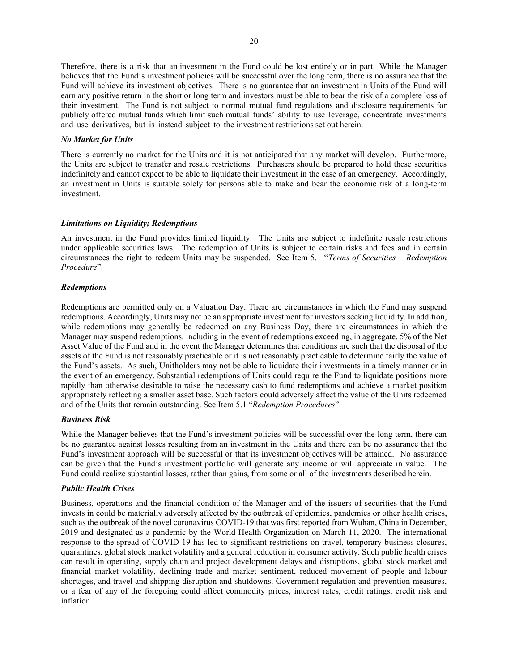Therefore, there is a risk that an investment in the Fund could be lost entirely or in part. While the Manager believes that the Fund's investment policies will be successful over the long term, there is no assurance that the Fund will achieve its investment objectives. There is no guarantee that an investment in Units of the Fund will earn any positive return in the short or long term and investors must be able to bear the risk of a complete loss of their investment. The Fund is not subject to normal mutual fund regulations and disclosure requirements for publicly offered mutual funds which limit such mutual funds' ability to use leverage, concentrate investments and use derivatives, but is instead subject to the investment restrictions set out herein.

#### *No Market for Units*

There is currently no market for the Units and it is not anticipated that any market will develop. Furthermore, the Units are subject to transfer and resale restrictions. Purchasers should be prepared to hold these securities indefinitely and cannot expect to be able to liquidate their investment in the case of an emergency. Accordingly, an investment in Units is suitable solely for persons able to make and bear the economic risk of a long-term investment.

#### *Limitations on Liquidity; Redemptions*

An investment in the Fund provides limited liquidity. The Units are subject to indefinite resale restrictions under applicable securities laws. The redemption of Units is subject to certain risks and fees and in certain circumstances the right to redeem Units may be suspended. See Item 5.1 "*Terms of Securities – Redemption Procedure*".

#### *Redemptions*

Redemptions are permitted only on a Valuation Day. There are circumstances in which the Fund may suspend redemptions. Accordingly, Units may not be an appropriate investment for investors seeking liquidity. In addition, while redemptions may generally be redeemed on any Business Day, there are circumstances in which the Manager may suspend redemptions, including in the event of redemptions exceeding, in aggregate, 5% of the Net Asset Value of the Fund and in the event the Manager determines that conditions are such that the disposal of the assets of the Fund is not reasonably practicable or it is not reasonably practicable to determine fairly the value of the Fund's assets. As such, Unitholders may not be able to liquidate their investments in a timely manner or in the event of an emergency. Substantial redemptions of Units could require the Fund to liquidate positions more rapidly than otherwise desirable to raise the necessary cash to fund redemptions and achieve a market position appropriately reflecting a smaller asset base. Such factors could adversely affect the value of the Units redeemed and of the Units that remain outstanding. See Item 5.1 "*Redemption Procedures*".

### *Business Risk*

While the Manager believes that the Fund's investment policies will be successful over the long term, there can be no guarantee against losses resulting from an investment in the Units and there can be no assurance that the Fund's investment approach will be successful or that its investment objectives will be attained. No assurance can be given that the Fund's investment portfolio will generate any income or will appreciate in value. The Fund could realize substantial losses, rather than gains, from some or all of the investments described herein.

#### *Public Health Crises*

Business, operations and the financial condition of the Manager and of the issuers of securities that the Fund invests in could be materially adversely affected by the outbreak of epidemics, pandemics or other health crises, such as the outbreak of the novel coronavirus COVID-19 that was first reported from Wuhan, China in December, 2019 and designated as a pandemic by the World Health Organization on March 11, 2020. The international response to the spread of COVID-19 has led to significant restrictions on travel, temporary business closures, quarantines, global stock market volatility and a general reduction in consumer activity. Such public health crises can result in operating, supply chain and project development delays and disruptions, global stock market and financial market volatility, declining trade and market sentiment, reduced movement of people and labour shortages, and travel and shipping disruption and shutdowns. Government regulation and prevention measures, or a fear of any of the foregoing could affect commodity prices, interest rates, credit ratings, credit risk and inflation.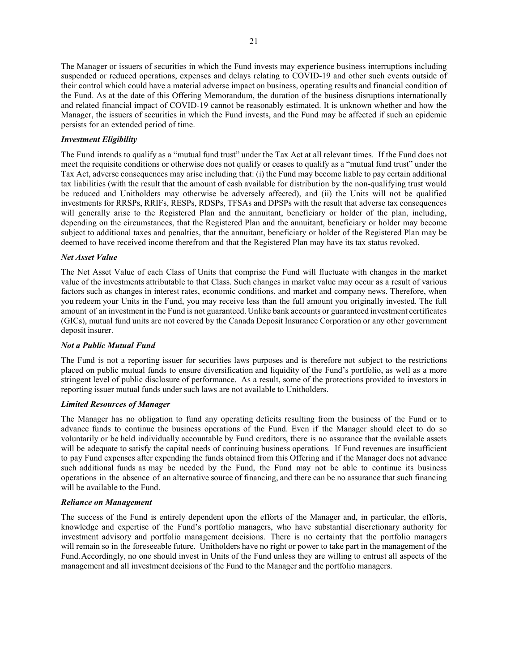The Manager or issuers of securities in which the Fund invests may experience business interruptions including suspended or reduced operations, expenses and delays relating to COVID-19 and other such events outside of their control which could have a material adverse impact on business, operating results and financial condition of the Fund. As at the date of this Offering Memorandum, the duration of the business disruptions internationally and related financial impact of COVID-19 cannot be reasonably estimated. It is unknown whether and how the Manager, the issuers of securities in which the Fund invests, and the Fund may be affected if such an epidemic persists for an extended period of time.

### *Investment Eligibility*

The Fund intends to qualify as a "mutual fund trust" under the Tax Act at all relevant times. If the Fund does not meet the requisite conditions or otherwise does not qualify or ceases to qualify as a "mutual fund trust" under the Tax Act, adverse consequences may arise including that: (i) the Fund may become liable to pay certain additional tax liabilities (with the result that the amount of cash available for distribution by the non-qualifying trust would be reduced and Unitholders may otherwise be adversely affected), and (ii) the Units will not be qualified investments for RRSPs, RRIFs, RESPs, RDSPs, TFSAs and DPSPs with the result that adverse tax consequences will generally arise to the Registered Plan and the annuitant, beneficiary or holder of the plan, including, depending on the circumstances, that the Registered Plan and the annuitant, beneficiary or holder may become subject to additional taxes and penalties, that the annuitant, beneficiary or holder of the Registered Plan may be deemed to have received income therefrom and that the Registered Plan may have its tax status revoked.

#### *Net Asset Value*

The Net Asset Value of each Class of Units that comprise the Fund will fluctuate with changes in the market value of the investments attributable to that Class. Such changes in market value may occur as a result of various factors such as changes in interest rates, economic conditions, and market and company news. Therefore, when you redeem your Units in the Fund, you may receive less than the full amount you originally invested. The full amount of an investment in the Fund is not guaranteed. Unlike bank accounts or guaranteed investment certificates (GICs), mutual fund units are not covered by the Canada Deposit Insurance Corporation or any other government deposit insurer.

#### *Not a Public Mutual Fund*

The Fund is not a reporting issuer for securities laws purposes and is therefore not subject to the restrictions placed on public mutual funds to ensure diversification and liquidity of the Fund's portfolio, as well as a more stringent level of public disclosure of performance. As a result, some of the protections provided to investors in reporting issuer mutual funds under such laws are not available to Unitholders.

#### *Limited Resources of Manager*

The Manager has no obligation to fund any operating deficits resulting from the business of the Fund or to advance funds to continue the business operations of the Fund. Even if the Manager should elect to do so voluntarily or be held individually accountable by Fund creditors, there is no assurance that the available assets will be adequate to satisfy the capital needs of continuing business operations. If Fund revenues are insufficient to pay Fund expenses after expending the funds obtained from this Offering and if the Manager does not advance such additional funds as may be needed by the Fund, the Fund may not be able to continue its business operations in the absence of an alternative source of financing, and there can be no assurance that such financing will be available to the Fund.

#### *Reliance on Management*

The success of the Fund is entirely dependent upon the efforts of the Manager and, in particular, the efforts, knowledge and expertise of the Fund's portfolio managers, who have substantial discretionary authority for investment advisory and portfolio management decisions. There is no certainty that the portfolio managers will remain so in the foreseeable future. Unitholders have no right or power to take part in the management of the Fund. Accordingly, no one should invest in Units of the Fund unless they are willing to entrust all aspects of the management and all investment decisions of the Fund to the Manager and the portfolio managers.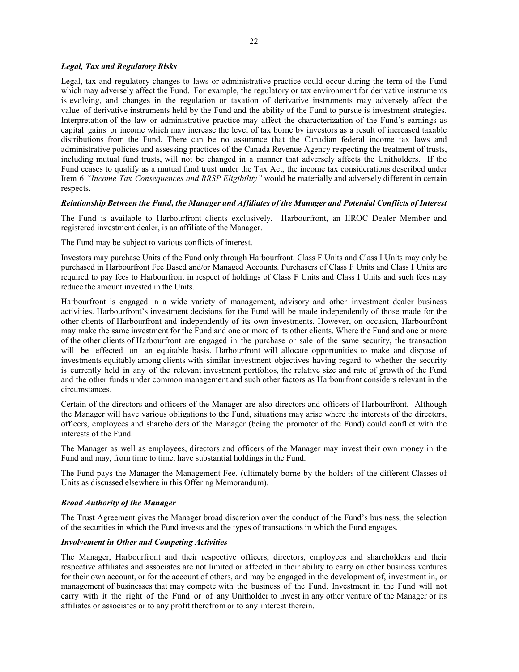#### *Legal, Tax and Regulatory Risks*

Legal, tax and regulatory changes to laws or administrative practice could occur during the term of the Fund which may adversely affect the Fund. For example, the regulatory or tax environment for derivative instruments is evolving, and changes in the regulation or taxation of derivative instruments may adversely affect the value of derivative instruments held by the Fund and the ability of the Fund to pursue is investment strategies. Interpretation of the law or administrative practice may affect the characterization of the Fund's earnings as capital gains or income which may increase the level of tax borne by investors as a result of increased taxable distributions from the Fund. There can be no assurance that the Canadian federal income tax laws and administrative policies and assessing practices of the Canada Revenue Agency respecting the treatment of trusts, including mutual fund trusts, will not be changed in a manner that adversely affects the Unitholders. If the Fund ceases to qualify as a mutual fund trust under the Tax Act, the income tax considerations described under Item 6 "*Income Tax Consequences and RRSP Eligibility"* would be materially and adversely different in certain respects.

#### *Relationship Between the Fund, the Manager and Affiliates of the Manager and Potential Conflicts of Interest*

The Fund is available to Harbourfront clients exclusively. Harbourfront, an IIROC Dealer Member and registered investment dealer, is an affiliate of the Manager.

The Fund may be subject to various conflicts of interest.

Investors may purchase Units of the Fund only through Harbourfront. Class F Units and Class I Units may only be purchased in Harbourfront Fee Based and/or Managed Accounts. Purchasers of Class F Units and Class I Units are required to pay fees to Harbourfront in respect of holdings of Class F Units and Class I Units and such fees may reduce the amount invested in the Units.

Harbourfront is engaged in a wide variety of management, advisory and other investment dealer business activities. Harbourfront's investment decisions for the Fund will be made independently of those made for the other clients of Harbourfront and independently of its own investments. However, on occasion, Harbourfront may make the same investment for the Fund and one or more of its other clients. Where the Fund and one or more of the other clients of Harbourfront are engaged in the purchase or sale of the same security, the transaction will be effected on an equitable basis. Harbourfront will allocate opportunities to make and dispose of investments equitably among clients with similar investment objectives having regard to whether the security is currently held in any of the relevant investment portfolios, the relative size and rate of growth of the Fund and the other funds under common management and such other factors as Harbourfront considers relevant in the circumstances.

Certain of the directors and officers of the Manager are also directors and officers of Harbourfront. Although the Manager will have various obligations to the Fund, situations may arise where the interests of the directors, officers, employees and shareholders of the Manager (being the promoter of the Fund) could conflict with the interests of the Fund.

The Manager as well as employees, directors and officers of the Manager may invest their own money in the Fund and may, from time to time, have substantial holdings in the Fund.

The Fund pays the Manager the Management Fee. (ultimately borne by the holders of the different Classes of Units as discussed elsewhere in this Offering Memorandum).

#### *Broad Authority of the Manager*

The Trust Agreement gives the Manager broad discretion over the conduct of the Fund's business, the selection of the securities in which the Fund invests and the types of transactions in which the Fund engages.

#### *Involvement in Other and Competing Activities*

The Manager, Harbourfront and their respective officers, directors, employees and shareholders and their respective affiliates and associates are not limited or affected in their ability to carry on other business ventures for their own account, or for the account of others, and may be engaged in the development of, investment in, or management of businesses that may compete with the business of the Fund. Investment in the Fund will not carry with it the right of the Fund or of any Unitholder to invest in any other venture of the Manager or its affiliates or associates or to any profit therefrom or to any interest therein.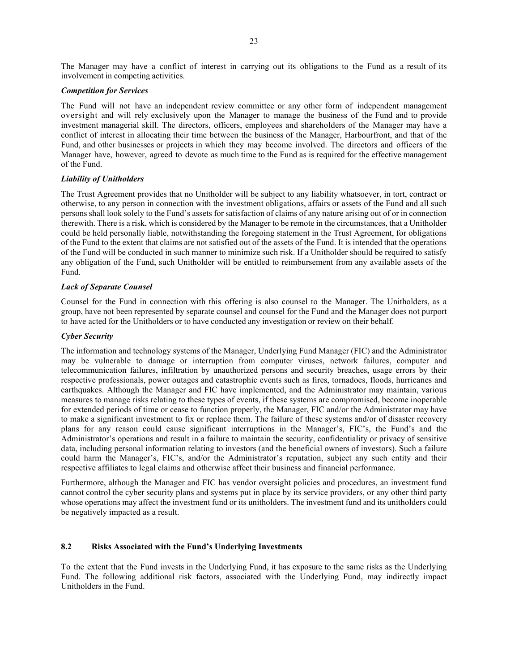The Manager may have a conflict of interest in carrying out its obligations to the Fund as a result of its involvement in competing activities.

#### *Competition for Services*

The Fund will not have an independent review committee or any other form of independent management oversight and will rely exclusively upon the Manager to manage the business of the Fund and to provide investment managerial skill. The directors, officers, employees and shareholders of the Manager may have a conflict of interest in allocating their time between the business of the Manager, Harbourfront, and that of the Fund, and other businesses or projects in which they may become involved. The directors and officers of the Manager have, however, agreed to devote as much time to the Fund as is required for the effective management of the Fund.

#### *Liability of Unitholders*

The Trust Agreement provides that no Unitholder will be subject to any liability whatsoever, in tort, contract or otherwise, to any person in connection with the investment obligations, affairs or assets of the Fund and all such persons shall look solely to the Fund's assets for satisfaction of claims of any nature arising out of or in connection therewith. There is a risk, which is considered by the Manager to be remote in the circumstances, that a Unitholder could be held personally liable, notwithstanding the foregoing statement in the Trust Agreement, for obligations of the Fund to the extent that claims are not satisfied out of the assets of the Fund. It is intended that the operations of the Fund will be conducted in such manner to minimize such risk. If a Unitholder should be required to satisfy any obligation of the Fund, such Unitholder will be entitled to reimbursement from any available assets of the Fund.

#### *Lack of Separate Counsel*

Counsel for the Fund in connection with this offering is also counsel to the Manager. The Unitholders, as a group, have not been represented by separate counsel and counsel for the Fund and the Manager does not purport to have acted for the Unitholders or to have conducted any investigation or review on their behalf.

#### *Cyber Security*

The information and technology systems of the Manager, Underlying Fund Manager (FIC) and the Administrator may be vulnerable to damage or interruption from computer viruses, network failures, computer and telecommunication failures, infiltration by unauthorized persons and security breaches, usage errors by their respective professionals, power outages and catastrophic events such as fires, tornadoes, floods, hurricanes and earthquakes. Although the Manager and FIC have implemented, and the Administrator may maintain, various measures to manage risks relating to these types of events, if these systems are compromised, become inoperable for extended periods of time or cease to function properly, the Manager, FIC and/or the Administrator may have to make a significant investment to fix or replace them. The failure of these systems and/or of disaster recovery plans for any reason could cause significant interruptions in the Manager's, FIC's, the Fund's and the Administrator's operations and result in a failure to maintain the security, confidentiality or privacy of sensitive data, including personal information relating to investors (and the beneficial owners of investors). Such a failure could harm the Manager's, FIC's, and/or the Administrator's reputation, subject any such entity and their respective affiliates to legal claims and otherwise affect their business and financial performance.

Furthermore, although the Manager and FIC has vendor oversight policies and procedures, an investment fund cannot control the cyber security plans and systems put in place by its service providers, or any other third party whose operations may affect the investment fund or its unitholders. The investment fund and its unitholders could be negatively impacted as a result.

#### **8.2 Risks Associated with the Fund's Underlying Investments**

To the extent that the Fund invests in the Underlying Fund, it has exposure to the same risks as the Underlying Fund. The following additional risk factors, associated with the Underlying Fund, may indirectly impact Unitholders in the Fund.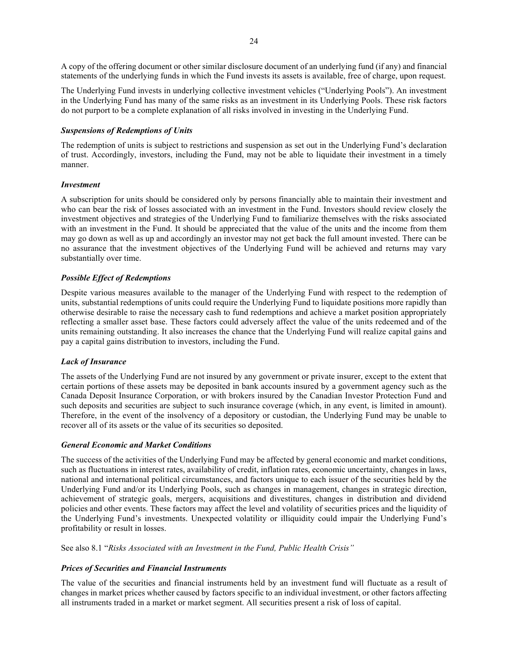A copy of the offering document or other similar disclosure document of an underlying fund (if any) and financial statements of the underlying funds in which the Fund invests its assets is available, free of charge, upon request.

The Underlying Fund invests in underlying collective investment vehicles ("Underlying Pools"). An investment in the Underlying Fund has many of the same risks as an investment in its Underlying Pools. These risk factors do not purport to be a complete explanation of all risks involved in investing in the Underlying Fund.

#### *Suspensions of Redemptions of Units*

The redemption of units is subject to restrictions and suspension as set out in the Underlying Fund's declaration of trust. Accordingly, investors, including the Fund, may not be able to liquidate their investment in a timely manner.

#### *Investment*

A subscription for units should be considered only by persons financially able to maintain their investment and who can bear the risk of losses associated with an investment in the Fund. Investors should review closely the investment objectives and strategies of the Underlying Fund to familiarize themselves with the risks associated with an investment in the Fund. It should be appreciated that the value of the units and the income from them may go down as well as up and accordingly an investor may not get back the full amount invested. There can be no assurance that the investment objectives of the Underlying Fund will be achieved and returns may vary substantially over time.

#### *Possible Effect of Redemptions*

Despite various measures available to the manager of the Underlying Fund with respect to the redemption of units, substantial redemptions of units could require the Underlying Fund to liquidate positions more rapidly than otherwise desirable to raise the necessary cash to fund redemptions and achieve a market position appropriately reflecting a smaller asset base. These factors could adversely affect the value of the units redeemed and of the units remaining outstanding. It also increases the chance that the Underlying Fund will realize capital gains and pay a capital gains distribution to investors, including the Fund.

#### *Lack of Insurance*

The assets of the Underlying Fund are not insured by any government or private insurer, except to the extent that certain portions of these assets may be deposited in bank accounts insured by a government agency such as the Canada Deposit Insurance Corporation, or with brokers insured by the Canadian Investor Protection Fund and such deposits and securities are subject to such insurance coverage (which, in any event, is limited in amount). Therefore, in the event of the insolvency of a depository or custodian, the Underlying Fund may be unable to recover all of its assets or the value of its securities so deposited.

#### *General Economic and Market Conditions*

The success of the activities of the Underlying Fund may be affected by general economic and market conditions, such as fluctuations in interest rates, availability of credit, inflation rates, economic uncertainty, changes in laws, national and international political circumstances, and factors unique to each issuer of the securities held by the Underlying Fund and/or its Underlying Pools, such as changes in management, changes in strategic direction, achievement of strategic goals, mergers, acquisitions and divestitures, changes in distribution and dividend policies and other events. These factors may affect the level and volatility of securities prices and the liquidity of the Underlying Fund's investments. Unexpected volatility or illiquidity could impair the Underlying Fund's profitability or result in losses.

See also 8.1 "*Risks Associated with an Investment in the Fund, Public Health Crisis"* 

#### *Prices of Securities and Financial Instruments*

The value of the securities and financial instruments held by an investment fund will fluctuate as a result of changes in market prices whether caused by factors specific to an individual investment, or other factors affecting all instruments traded in a market or market segment. All securities present a risk of loss of capital.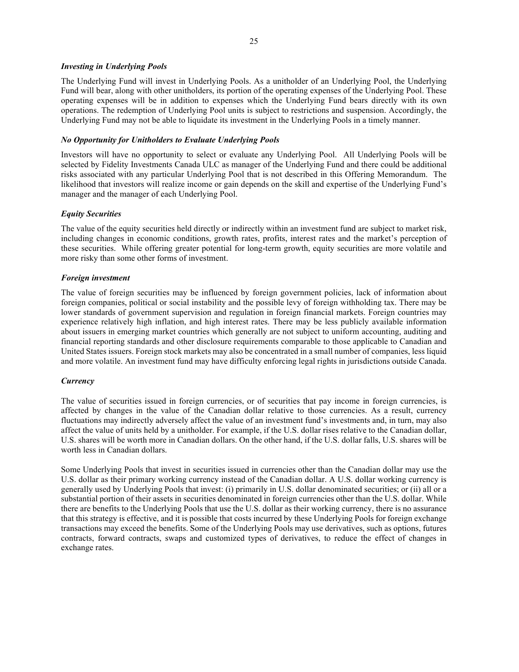#### *Investing in Underlying Pools*

The Underlying Fund will invest in Underlying Pools. As a unitholder of an Underlying Pool, the Underlying Fund will bear, along with other unitholders, its portion of the operating expenses of the Underlying Pool. These operating expenses will be in addition to expenses which the Underlying Fund bears directly with its own operations. The redemption of Underlying Pool units is subject to restrictions and suspension. Accordingly, the Underlying Fund may not be able to liquidate its investment in the Underlying Pools in a timely manner.

#### *No Opportunity for Unitholders to Evaluate Underlying Pools*

Investors will have no opportunity to select or evaluate any Underlying Pool. All Underlying Pools will be selected by Fidelity Investments Canada ULC as manager of the Underlying Fund and there could be additional risks associated with any particular Underlying Pool that is not described in this Offering Memorandum. The likelihood that investors will realize income or gain depends on the skill and expertise of the Underlying Fund's manager and the manager of each Underlying Pool.

#### *Equity Securities*

The value of the equity securities held directly or indirectly within an investment fund are subject to market risk, including changes in economic conditions, growth rates, profits, interest rates and the market's perception of these securities. While offering greater potential for long-term growth, equity securities are more volatile and more risky than some other forms of investment.

#### *Foreign investment*

The value of foreign securities may be influenced by foreign government policies, lack of information about foreign companies, political or social instability and the possible levy of foreign withholding tax. There may be lower standards of government supervision and regulation in foreign financial markets. Foreign countries may experience relatively high inflation, and high interest rates. There may be less publicly available information about issuers in emerging market countries which generally are not subject to uniform accounting, auditing and financial reporting standards and other disclosure requirements comparable to those applicable to Canadian and United States issuers. Foreign stock markets may also be concentrated in a small number of companies, less liquid and more volatile. An investment fund may have difficulty enforcing legal rights in jurisdictions outside Canada.

#### *Currency*

The value of securities issued in foreign currencies, or of securities that pay income in foreign currencies, is affected by changes in the value of the Canadian dollar relative to those currencies. As a result, currency fluctuations may indirectly adversely affect the value of an investment fund's investments and, in turn, may also affect the value of units held by a unitholder. For example, if the U.S. dollar rises relative to the Canadian dollar, U.S. shares will be worth more in Canadian dollars. On the other hand, if the U.S. dollar falls, U.S. shares will be worth less in Canadian dollars.

Some Underlying Pools that invest in securities issued in currencies other than the Canadian dollar may use the U.S. dollar as their primary working currency instead of the Canadian dollar. A U.S. dollar working currency is generally used by Underlying Pools that invest: (i) primarily in U.S. dollar denominated securities; or (ii) all or a substantial portion of their assets in securities denominated in foreign currencies other than the U.S. dollar. While there are benefits to the Underlying Pools that use the U.S. dollar as their working currency, there is no assurance that this strategy is effective, and it is possible that costs incurred by these Underlying Pools for foreign exchange transactions may exceed the benefits. Some of the Underlying Pools may use derivatives, such as options, futures contracts, forward contracts, swaps and customized types of derivatives, to reduce the effect of changes in exchange rates.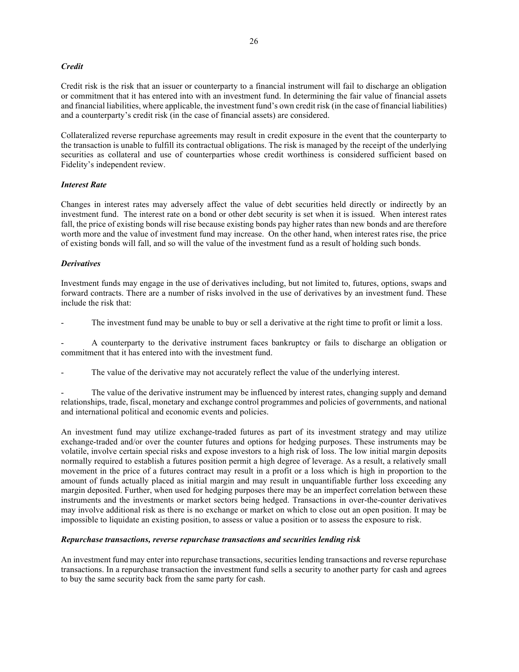#### *Credit*

Credit risk is the risk that an issuer or counterparty to a financial instrument will fail to discharge an obligation or commitment that it has entered into with an investment fund. In determining the fair value of financial assets and financial liabilities, where applicable, the investment fund's own credit risk (in the case of financial liabilities) and a counterparty's credit risk (in the case of financial assets) are considered.

Collateralized reverse repurchase agreements may result in credit exposure in the event that the counterparty to the transaction is unable to fulfill its contractual obligations. The risk is managed by the receipt of the underlying securities as collateral and use of counterparties whose credit worthiness is considered sufficient based on Fidelity's independent review.

#### *Interest Rate*

Changes in interest rates may adversely affect the value of debt securities held directly or indirectly by an investment fund. The interest rate on a bond or other debt security is set when it is issued. When interest rates fall, the price of existing bonds will rise because existing bonds pay higher rates than new bonds and are therefore worth more and the value of investment fund may increase. On the other hand, when interest rates rise, the price of existing bonds will fall, and so will the value of the investment fund as a result of holding such bonds.

#### *Derivatives*

Investment funds may engage in the use of derivatives including, but not limited to, futures, options, swaps and forward contracts. There are a number of risks involved in the use of derivatives by an investment fund. These include the risk that:

The investment fund may be unable to buy or sell a derivative at the right time to profit or limit a loss.

- A counterparty to the derivative instrument faces bankruptcy or fails to discharge an obligation or commitment that it has entered into with the investment fund.

The value of the derivative may not accurately reflect the value of the underlying interest.

The value of the derivative instrument may be influenced by interest rates, changing supply and demand relationships, trade, fiscal, monetary and exchange control programmes and policies of governments, and national and international political and economic events and policies.

An investment fund may utilize exchange-traded futures as part of its investment strategy and may utilize exchange-traded and/or over the counter futures and options for hedging purposes. These instruments may be volatile, involve certain special risks and expose investors to a high risk of loss. The low initial margin deposits normally required to establish a futures position permit a high degree of leverage. As a result, a relatively small movement in the price of a futures contract may result in a profit or a loss which is high in proportion to the amount of funds actually placed as initial margin and may result in unquantifiable further loss exceeding any margin deposited. Further, when used for hedging purposes there may be an imperfect correlation between these instruments and the investments or market sectors being hedged. Transactions in over-the-counter derivatives may involve additional risk as there is no exchange or market on which to close out an open position. It may be impossible to liquidate an existing position, to assess or value a position or to assess the exposure to risk.

#### *Repurchase transactions, reverse repurchase transactions and securities lending risk*

An investment fund may enter into repurchase transactions, securities lending transactions and reverse repurchase transactions. In a repurchase transaction the investment fund sells a security to another party for cash and agrees to buy the same security back from the same party for cash.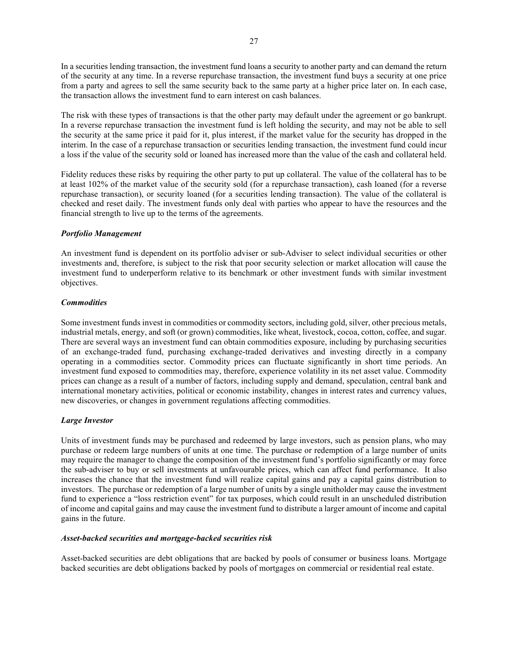In a securities lending transaction, the investment fund loans a security to another party and can demand the return of the security at any time. In a reverse repurchase transaction, the investment fund buys a security at one price from a party and agrees to sell the same security back to the same party at a higher price later on. In each case, the transaction allows the investment fund to earn interest on cash balances.

The risk with these types of transactions is that the other party may default under the agreement or go bankrupt. In a reverse repurchase transaction the investment fund is left holding the security, and may not be able to sell the security at the same price it paid for it, plus interest, if the market value for the security has dropped in the interim. In the case of a repurchase transaction or securities lending transaction, the investment fund could incur a loss if the value of the security sold or loaned has increased more than the value of the cash and collateral held.

Fidelity reduces these risks by requiring the other party to put up collateral. The value of the collateral has to be at least 102% of the market value of the security sold (for a repurchase transaction), cash loaned (for a reverse repurchase transaction), or security loaned (for a securities lending transaction). The value of the collateral is checked and reset daily. The investment funds only deal with parties who appear to have the resources and the financial strength to live up to the terms of the agreements.

#### *Portfolio Management*

An investment fund is dependent on its portfolio adviser or sub-Adviser to select individual securities or other investments and, therefore, is subject to the risk that poor security selection or market allocation will cause the investment fund to underperform relative to its benchmark or other investment funds with similar investment objectives.

#### *Commodities*

Some investment funds invest in commodities or commodity sectors, including gold, silver, other precious metals, industrial metals, energy, and soft (or grown) commodities, like wheat, livestock, cocoa, cotton, coffee, and sugar. There are several ways an investment fund can obtain commodities exposure, including by purchasing securities of an exchange-traded fund, purchasing exchange-traded derivatives and investing directly in a company operating in a commodities sector. Commodity prices can fluctuate significantly in short time periods. An investment fund exposed to commodities may, therefore, experience volatility in its net asset value. Commodity prices can change as a result of a number of factors, including supply and demand, speculation, central bank and international monetary activities, political or economic instability, changes in interest rates and currency values, new discoveries, or changes in government regulations affecting commodities.

#### *Large Investor*

Units of investment funds may be purchased and redeemed by large investors, such as pension plans, who may purchase or redeem large numbers of units at one time. The purchase or redemption of a large number of units may require the manager to change the composition of the investment fund's portfolio significantly or may force the sub-adviser to buy or sell investments at unfavourable prices, which can affect fund performance. It also increases the chance that the investment fund will realize capital gains and pay a capital gains distribution to investors. The purchase or redemption of a large number of units by a single unitholder may cause the investment fund to experience a "loss restriction event" for tax purposes, which could result in an unscheduled distribution of income and capital gains and may cause the investment fund to distribute a larger amount of income and capital gains in the future.

#### *Asset-backed securities and mortgage-backed securities risk*

Asset-backed securities are debt obligations that are backed by pools of consumer or business loans. Mortgage backed securities are debt obligations backed by pools of mortgages on commercial or residential real estate.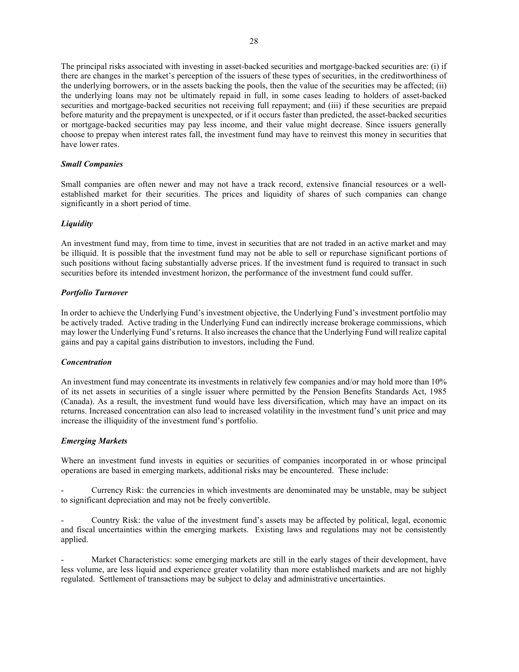The principal risks associated with investing in asset-backed securities and mortgage-backed securities are: (i) if there are changes in the market's perception of the issuers of these types of securities, in the creditworthiness of the underlying borrowers, or in the assets backing the pools, then the value of the securities may be affected; (ii) the underlying loans may not be ultimately repaid in full, in some cases leading to holders of asset-backed securities and mortgage-backed securities not receiving full repayment; and (iii) if these securities are prepaid before maturity and the prepayment is unexpected, or if it occurs faster than predicted, the asset-backed securities or mortgage-backed securities may pay less income, and their value might decrease. Since issuers generally choose to prepay when interest rates fall, the investment fund may have to reinvest this money in securities that have lower rates.

#### *Small Companies*

Small companies are often newer and may not have a track record, extensive financial resources or a wellestablished market for their securities. The prices and liquidity of shares of such companies can change significantly in a short period of time.

#### *Liquidity*

An investment fund may, from time to time, invest in securities that are not traded in an active market and may be illiquid. It is possible that the investment fund may not be able to sell or repurchase significant portions of such positions without facing substantially adverse prices. If the investment fund is required to transact in such securities before its intended investment horizon, the performance of the investment fund could suffer.

#### *Portfolio Turnover*

In order to achieve the Underlying Fund's investment objective, the Underlying Fund's investment portfolio may be actively traded. Active trading in the Underlying Fund can indirectly increase brokerage commissions, which may lower the Underlying Fund's returns. It also increases the chance that the Underlying Fund will realize capital gains and pay a capital gains distribution to investors, including the Fund.

#### *Concentration*

An investment fund may concentrate its investments in relatively few companies and/or may hold more than 10% of its net assets in securities of a single issuer where permitted by the Pension Benefits Standards Act, 1985 (Canada). As a result, the investment fund would have less diversification, which may have an impact on its returns. Increased concentration can also lead to increased volatility in the investment fund's unit price and may increase the illiquidity of the investment fund's portfolio.

#### *Emerging Markets*

Where an investment fund invests in equities or securities of companies incorporated in or whose principal operations are based in emerging markets, additional risks may be encountered. These include:

Currency Risk: the currencies in which investments are denominated may be unstable, may be subject to significant depreciation and may not be freely convertible.

- Country Risk: the value of the investment fund's assets may be affected by political, legal, economic and fiscal uncertainties within the emerging markets. Existing laws and regulations may not be consistently applied.

Market Characteristics: some emerging markets are still in the early stages of their development, have less volume, are less liquid and experience greater volatility than more established markets and are not highly regulated. Settlement of transactions may be subject to delay and administrative uncertainties.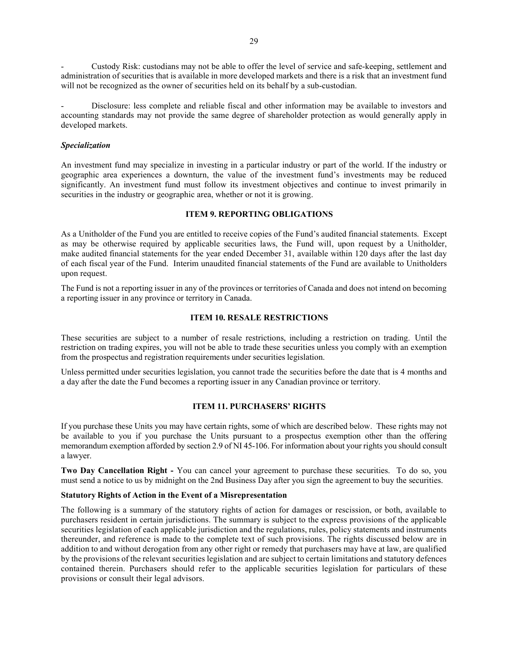Custody Risk: custodians may not be able to offer the level of service and safe-keeping, settlement and administration of securities that is available in more developed markets and there is a risk that an investment fund will not be recognized as the owner of securities held on its behalf by a sub-custodian.

- Disclosure: less complete and reliable fiscal and other information may be available to investors and accounting standards may not provide the same degree of shareholder protection as would generally apply in developed markets.

#### *Specialization*

An investment fund may specialize in investing in a particular industry or part of the world. If the industry or geographic area experiences a downturn, the value of the investment fund's investments may be reduced significantly. An investment fund must follow its investment objectives and continue to invest primarily in securities in the industry or geographic area, whether or not it is growing.

## **ITEM 9. REPORTING OBLIGATIONS**

As a Unitholder of the Fund you are entitled to receive copies of the Fund's audited financial statements. Except as may be otherwise required by applicable securities laws, the Fund will, upon request by a Unitholder, make audited financial statements for the year ended December 31, available within 120 days after the last day of each fiscal year of the Fund. Interim unaudited financial statements of the Fund are available to Unitholders upon request.

The Fund is not a reporting issuer in any of the provinces or territories of Canada and does not intend on becoming a reporting issuer in any province or territory in Canada.

### **ITEM 10. RESALE RESTRICTIONS**

These securities are subject to a number of resale restrictions, including a restriction on trading. Until the restriction on trading expires, you will not be able to trade these securities unless you comply with an exemption from the prospectus and registration requirements under securities legislation.

Unless permitted under securities legislation, you cannot trade the securities before the date that is 4 months and a day after the date the Fund becomes a reporting issuer in any Canadian province or territory.

### **ITEM 11. PURCHASERS' RIGHTS**

If you purchase these Units you may have certain rights, some of which are described below. These rights may not be available to you if you purchase the Units pursuant to a prospectus exemption other than the offering memorandum exemption afforded by section 2.9 of NI 45-106. For information about your rights you should consult a lawyer.

**Two Day Cancellation Right -** You can cancel your agreement to purchase these securities. To do so, you must send a notice to us by midnight on the 2nd Business Day after you sign the agreement to buy the securities.

#### **Statutory Rights of Action in the Event of a Misrepresentation**

The following is a summary of the statutory rights of action for damages or rescission, or both, available to purchasers resident in certain jurisdictions. The summary is subject to the express provisions of the applicable securities legislation of each applicable jurisdiction and the regulations, rules, policy statements and instruments thereunder, and reference is made to the complete text of such provisions. The rights discussed below are in addition to and without derogation from any other right or remedy that purchasers may have at law, are qualified by the provisions of the relevant securities legislation and are subject to certain limitations and statutory defences contained therein. Purchasers should refer to the applicable securities legislation for particulars of these provisions or consult their legal advisors.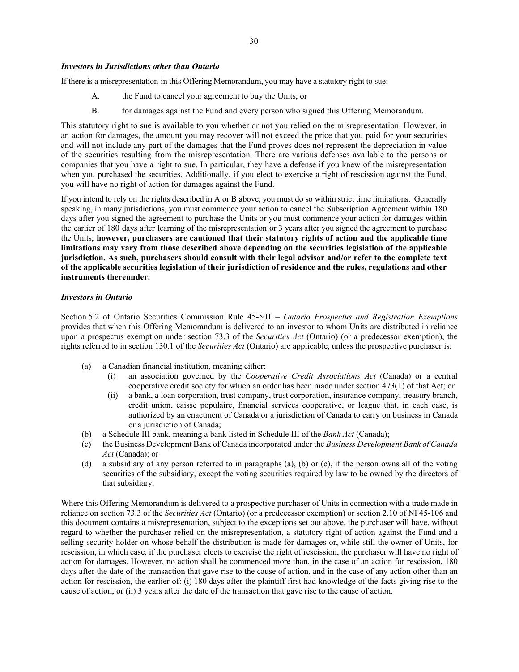#### *Investors in Jurisdictions other than Ontario*

If there is a misrepresentation in this Offering Memorandum, you may have a statutory right to sue:

- A. the Fund to cancel your agreement to buy the Units; or
- B. for damages against the Fund and every person who signed this Offering Memorandum.

This statutory right to sue is available to you whether or not you relied on the misrepresentation. However, in an action for damages, the amount you may recover will not exceed the price that you paid for your securities and will not include any part of the damages that the Fund proves does not represent the depreciation in value of the securities resulting from the misrepresentation. There are various defenses available to the persons or companies that you have a right to sue. In particular, they have a defense if you knew of the misrepresentation when you purchased the securities. Additionally, if you elect to exercise a right of rescission against the Fund, you will have no right of action for damages against the Fund.

If you intend to rely on the rights described in A or B above, you must do so within strict time limitations. Generally speaking, in many jurisdictions, you must commence your action to cancel the Subscription Agreement within 180 days after you signed the agreement to purchase the Units or you must commence your action for damages within the earlier of 180 days after learning of the misrepresentation or 3 years after you signed the agreement to purchase the Units; **however, purchasers are cautioned that their statutory rights of action and the applicable time limitations may vary from those described above depending on the securities legislation of the applicable jurisdiction. As such, purchasers should consult with their legal advisor and/or refer to the complete text of the applicable securities legislation of their jurisdiction of residence and the rules, regulations and other instruments thereunder.** 

#### *Investors in Ontario*

Section 5.2 of Ontario Securities Commission Rule 45-501 – *Ontario Prospectus and Registration Exemptions* provides that when this Offering Memorandum is delivered to an investor to whom Units are distributed in reliance upon a prospectus exemption under section 73.3 of the *Securities Act* (Ontario) (or a predecessor exemption), the rights referred to in section 130.1 of the *Securities Act* (Ontario) are applicable, unless the prospective purchaser is:

- (a) a Canadian financial institution, meaning either:
	- (i) an association governed by the *Cooperative Credit Associations Act* (Canada) or a central cooperative credit society for which an order has been made under section 473(1) of that Act; or
	- (ii) a bank, a loan corporation, trust company, trust corporation, insurance company, treasury branch, credit union, caisse populaire, financial services cooperative, or league that, in each case, is authorized by an enactment of Canada or a jurisdiction of Canada to carry on business in Canada or a jurisdiction of Canada;
- (b) a Schedule III bank, meaning a bank listed in Schedule III of the *Bank Act* (Canada);
- (c) the Business Development Bank of Canada incorporated under the *Business Development Bank of Canada Act* (Canada); or
- (d) a subsidiary of any person referred to in paragraphs (a), (b) or (c), if the person owns all of the voting securities of the subsidiary, except the voting securities required by law to be owned by the directors of that subsidiary.

Where this Offering Memorandum is delivered to a prospective purchaser of Units in connection with a trade made in reliance on section 73.3 of the *Securities Act* (Ontario) (or a predecessor exemption) or section 2.10 of NI 45-106 and this document contains a misrepresentation, subject to the exceptions set out above, the purchaser will have, without regard to whether the purchaser relied on the misrepresentation, a statutory right of action against the Fund and a selling security holder on whose behalf the distribution is made for damages or, while still the owner of Units, for rescission, in which case, if the purchaser elects to exercise the right of rescission, the purchaser will have no right of action for damages. However, no action shall be commenced more than, in the case of an action for rescission, 180 days after the date of the transaction that gave rise to the cause of action, and in the case of any action other than an action for rescission, the earlier of: (i) 180 days after the plaintiff first had knowledge of the facts giving rise to the cause of action; or (ii) 3 years after the date of the transaction that gave rise to the cause of action.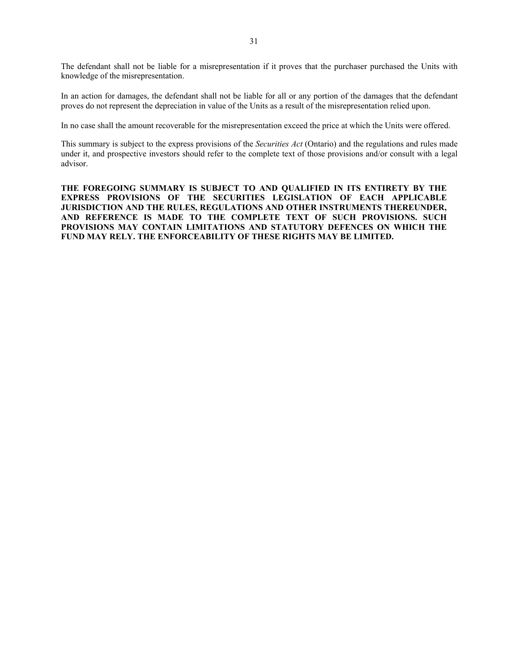The defendant shall not be liable for a misrepresentation if it proves that the purchaser purchased the Units with knowledge of the misrepresentation.

In an action for damages, the defendant shall not be liable for all or any portion of the damages that the defendant proves do not represent the depreciation in value of the Units as a result of the misrepresentation relied upon.

In no case shall the amount recoverable for the misrepresentation exceed the price at which the Units were offered.

This summary is subject to the express provisions of the *Securities Act* (Ontario) and the regulations and rules made under it, and prospective investors should refer to the complete text of those provisions and/or consult with a legal advisor.

**THE FOREGOING SUMMARY IS SUBJECT TO AND QUALIFIED IN ITS ENTIRETY BY THE EXPRESS PROVISIONS OF THE SECURITIES LEGISLATION OF EACH APPLICABLE JURISDICTION AND THE RULES, REGULATIONS AND OTHER INSTRUMENTS THEREUNDER, AND REFERENCE IS MADE TO THE COMPLETE TEXT OF SUCH PROVISIONS. SUCH PROVISIONS MAY CONTAIN LIMITATIONS AND STATUTORY DEFENCES ON WHICH THE FUND MAY RELY. THE ENFORCEABILITY OF THESE RIGHTS MAY BE LIMITED.**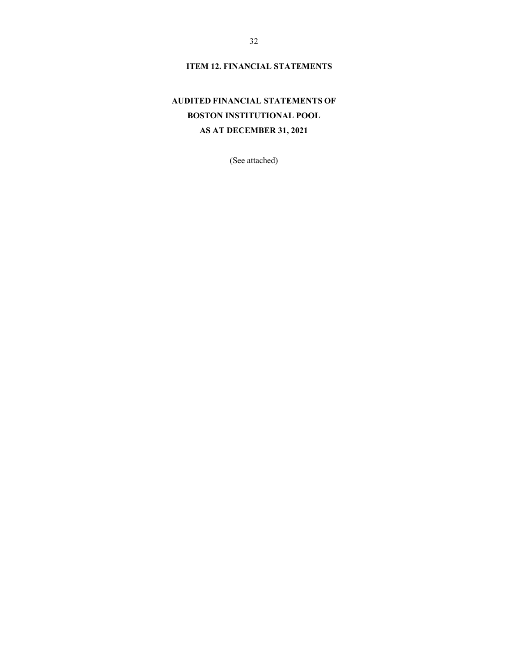# **ITEM 12. FINANCIAL STATEMENTS**

# **AUDITED FINANCIAL STATEMENTS OF BOSTON INSTITUTIONAL POOL AS AT DECEMBER 31, 2021**

(See attached)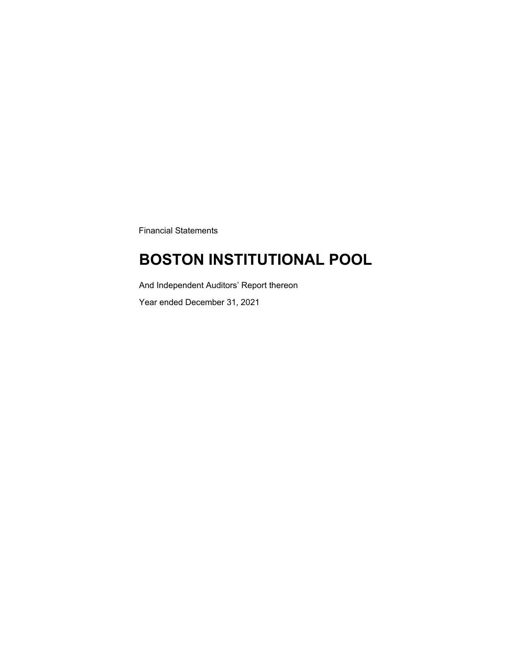Financial Statements

# **BOSTON INSTITUTIONAL POOL**

And Independent Auditors' Report thereon

Year ended December 31, 2021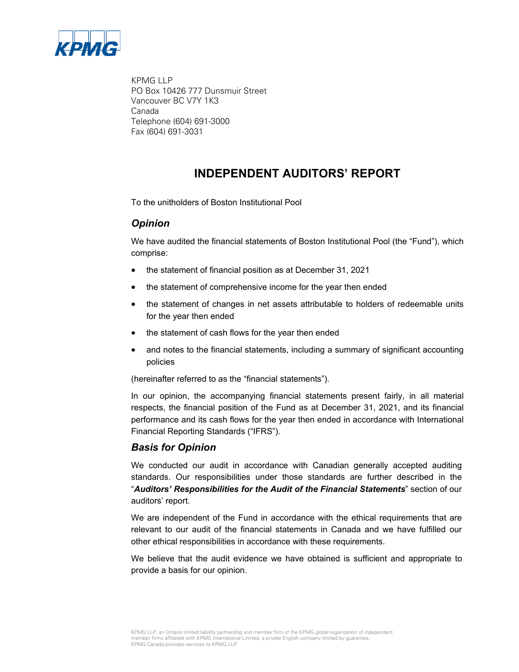

KPMG LLP PO Box 10426 777 Dunsmuir Street Vancouver BC V7Y 1K3 Canada Telephone (604) 691-3000 Fax (604) 691-3031

# **INDEPENDENT AUDITORS' REPORT**

To the unitholders of Boston Institutional Pool

# *Opinion*

We have audited the financial statements of Boston Institutional Pool (the "Fund"), which comprise:

- the statement of financial position as at December 31, 2021
- the statement of comprehensive income for the year then ended
- the statement of changes in net assets attributable to holders of redeemable units for the year then ended
- the statement of cash flows for the year then ended
- and notes to the financial statements, including a summary of significant accounting policies

(hereinafter referred to as the "financial statements").

In our opinion, the accompanying financial statements present fairly, in all material respects, the financial position of the Fund as at December 31, 2021, and its financial performance and its cash flows for the year then ended in accordance with International Financial Reporting Standards ("IFRS").

# *Basis for Opinion*

We conducted our audit in accordance with Canadian generally accepted auditing standards. Our responsibilities under those standards are further described in the "*Auditors' Responsibilities for the Audit of the Financial Statements*" section of our auditors' report.

We are independent of the Fund in accordance with the ethical requirements that are relevant to our audit of the financial statements in Canada and we have fulfilled our other ethical responsibilities in accordance with these requirements.

We believe that the audit evidence we have obtained is sufficient and appropriate to provide a basis for our opinion.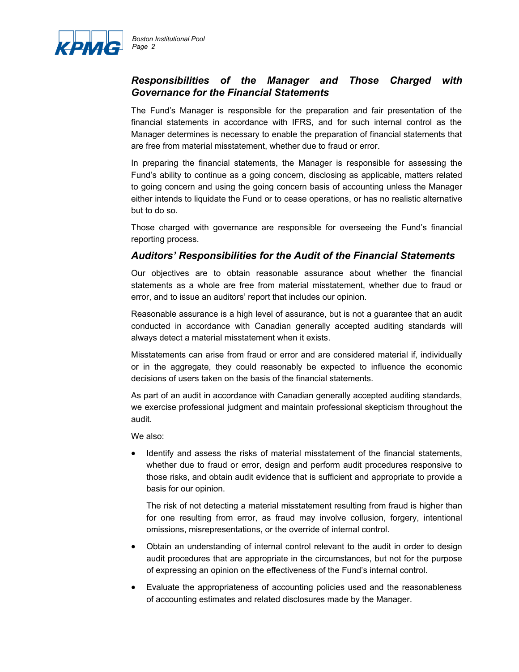

# *Responsibilities of the Manager and Those Charged with Governance for the Financial Statements*

The Fund's Manager is responsible for the preparation and fair presentation of the financial statements in accordance with IFRS, and for such internal control as the Manager determines is necessary to enable the preparation of financial statements that are free from material misstatement, whether due to fraud or error.

In preparing the financial statements, the Manager is responsible for assessing the Fund's ability to continue as a going concern, disclosing as applicable, matters related to going concern and using the going concern basis of accounting unless the Manager either intends to liquidate the Fund or to cease operations, or has no realistic alternative but to do so.

Those charged with governance are responsible for overseeing the Fund's financial reporting process.

# *Auditors' Responsibilities for the Audit of the Financial Statements*

Our objectives are to obtain reasonable assurance about whether the financial statements as a whole are free from material misstatement, whether due to fraud or error, and to issue an auditors' report that includes our opinion.

Reasonable assurance is a high level of assurance, but is not a guarantee that an audit conducted in accordance with Canadian generally accepted auditing standards will always detect a material misstatement when it exists.

Misstatements can arise from fraud or error and are considered material if, individually or in the aggregate, they could reasonably be expected to influence the economic decisions of users taken on the basis of the financial statements.

As part of an audit in accordance with Canadian generally accepted auditing standards, we exercise professional judgment and maintain professional skepticism throughout the audit.

We also:

• Identify and assess the risks of material misstatement of the financial statements, whether due to fraud or error, design and perform audit procedures responsive to those risks, and obtain audit evidence that is sufficient and appropriate to provide a basis for our opinion.

The risk of not detecting a material misstatement resulting from fraud is higher than for one resulting from error, as fraud may involve collusion, forgery, intentional omissions, misrepresentations, or the override of internal control.

- Obtain an understanding of internal control relevant to the audit in order to design audit procedures that are appropriate in the circumstances, but not for the purpose of expressing an opinion on the effectiveness of the Fund's internal control.
- Evaluate the appropriateness of accounting policies used and the reasonableness of accounting estimates and related disclosures made by the Manager.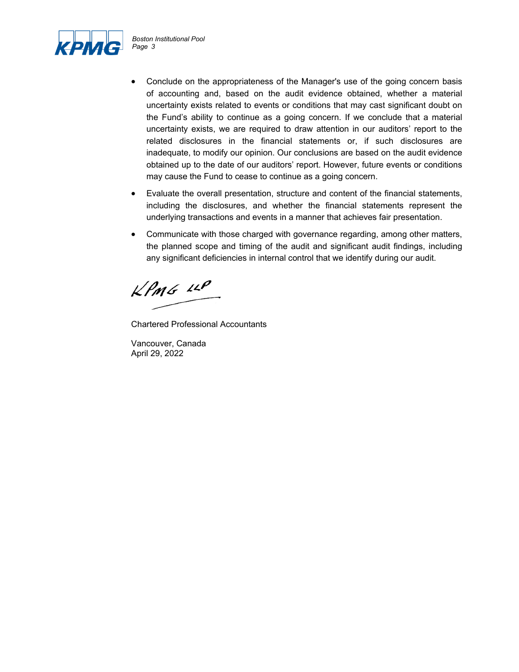

- Conclude on the appropriateness of the Manager's use of the going concern basis of accounting and, based on the audit evidence obtained, whether a material uncertainty exists related to events or conditions that may cast significant doubt on the Fund's ability to continue as a going concern. If we conclude that a material uncertainty exists, we are required to draw attention in our auditors' report to the related disclosures in the financial statements or, if such disclosures are inadequate, to modify our opinion. Our conclusions are based on the audit evidence obtained up to the date of our auditors' report. However, future events or conditions may cause the Fund to cease to continue as a going concern.
- Evaluate the overall presentation, structure and content of the financial statements, including the disclosures, and whether the financial statements represent the underlying transactions and events in a manner that achieves fair presentation.
- Communicate with those charged with governance regarding, among other matters, the planned scope and timing of the audit and significant audit findings, including any significant deficiencies in internal control that we identify during our audit.

 $k$ *PMG*  $44$ 

Chartered Professional Accountants

Vancouver, Canada April 29, 2022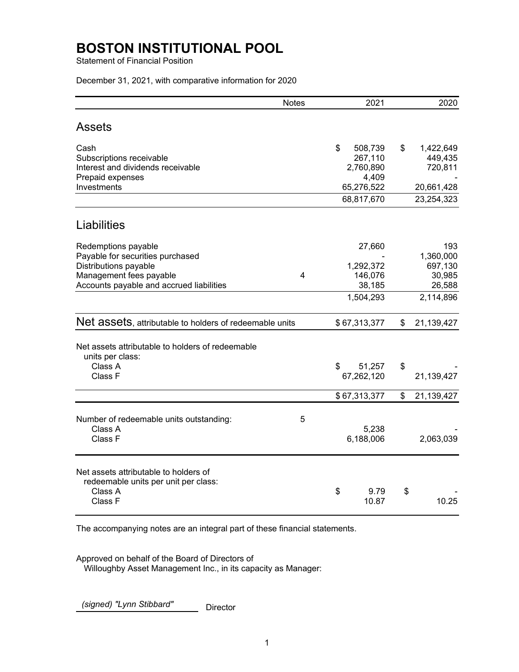Statement of Financial Position

December 31, 2021, with comparative information for 2020

|                                                                                                                                                         | <b>Notes</b> | 2021                                                         | 2020                                                         |
|---------------------------------------------------------------------------------------------------------------------------------------------------------|--------------|--------------------------------------------------------------|--------------------------------------------------------------|
| <b>Assets</b>                                                                                                                                           |              |                                                              |                                                              |
| Cash<br>Subscriptions receivable<br>Interest and dividends receivable<br>Prepaid expenses<br>Investments                                                |              | \$<br>508,739<br>267,110<br>2,760,890<br>4,409<br>65,276,522 | \$<br>1,422,649<br>449,435<br>720,811<br>20,661,428          |
|                                                                                                                                                         |              | 68,817,670                                                   | 23,254,323                                                   |
| Liabilities                                                                                                                                             |              |                                                              |                                                              |
| Redemptions payable<br>Payable for securities purchased<br>Distributions payable<br>Management fees payable<br>Accounts payable and accrued liabilities | 4            | 27,660<br>1,292,372<br>146,076<br>38,185<br>1,504,293        | 193<br>1,360,000<br>697,130<br>30,985<br>26,588<br>2,114,896 |
| Net assets, attributable to holders of redeemable units                                                                                                 |              | \$67,313,377                                                 | \$<br>21,139,427                                             |
| Net assets attributable to holders of redeemable<br>units per class:<br>Class A<br>Class F                                                              |              | \$<br>51,257<br>67,262,120                                   | \$<br>21,139,427                                             |
|                                                                                                                                                         |              | \$67,313,377                                                 | \$<br>21,139,427                                             |
| Number of redeemable units outstanding:<br>Class A<br>Class F                                                                                           | 5            | 5,238<br>6,188,006                                           | 2,063,039                                                    |
| Net assets attributable to holders of<br>redeemable units per unit per class:<br>Class A<br>Class F                                                     |              | \$<br>9.79<br>10.87                                          | \$<br>10.25                                                  |

The accompanying notes are an integral part of these financial statements.

Approved on behalf of the Board of Directors of

Willoughby Asset Management Inc., in its capacity as Manager:

*(signed)* "Lynn Stibbard" **Director**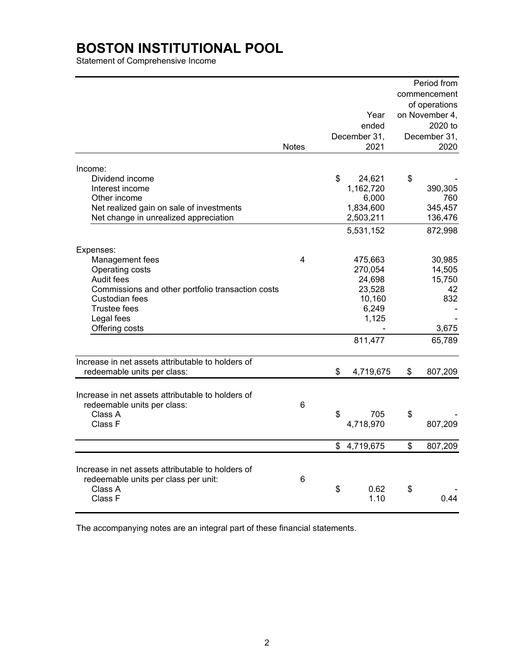Statement of Comprehensive Income

|                                                   |              |                     | Period from    |
|---------------------------------------------------|--------------|---------------------|----------------|
|                                                   |              |                     | commencement   |
|                                                   |              |                     | of operations  |
|                                                   |              | Year                | on November 4, |
|                                                   |              | ended               | 2020 to        |
|                                                   |              | December 31,        | December 31,   |
|                                                   | <b>Notes</b> | 2021                | 2020           |
|                                                   |              |                     |                |
| Income:                                           |              | \$                  |                |
| Dividend income<br>Interest income                |              | 24,621<br>1,162,720 | \$<br>390,305  |
| Other income                                      |              | 6,000               | 760            |
| Net realized gain on sale of investments          |              | 1,834,600           | 345,457        |
| Net change in unrealized appreciation             |              | 2,503,211           | 136,476        |
|                                                   |              |                     |                |
|                                                   |              | 5,531,152           | 872,998        |
| Expenses:                                         |              |                     |                |
| Management fees                                   | 4            | 475,663             | 30,985         |
| Operating costs                                   |              | 270,054             | 14,505         |
| Audit fees                                        |              | 24,698              | 15,750         |
| Commissions and other portfolio transaction costs |              | 23,528              | 42             |
| Custodian fees                                    |              | 10,160              | 832            |
| <b>Trustee fees</b>                               |              | 6,249               |                |
| Legal fees                                        |              | 1,125               |                |
| Offering costs                                    |              |                     | 3,675          |
|                                                   |              | 811,477             | 65,789         |
| Increase in net assets attributable to holders of |              |                     |                |
| redeemable units per class:                       |              | \$<br>4,719,675     | \$<br>807,209  |
|                                                   |              |                     |                |
| Increase in net assets attributable to holders of |              |                     |                |
| redeemable units per class:                       | 6            |                     |                |
| Class A                                           |              | \$<br>705           | \$             |
| Class F                                           |              | 4,718,970           | 807,209        |
|                                                   |              |                     |                |
|                                                   |              | \$<br>4,719,675     | \$<br>807,209  |
|                                                   |              |                     |                |
| Increase in net assets attributable to holders of |              |                     |                |
| redeemable units per class per unit:              | 6            |                     |                |
| Class A                                           |              | \$<br>0.62          | \$             |
| Class F                                           |              | 1.10                | 0.44           |

The accompanying notes are an integral part of these financial statements.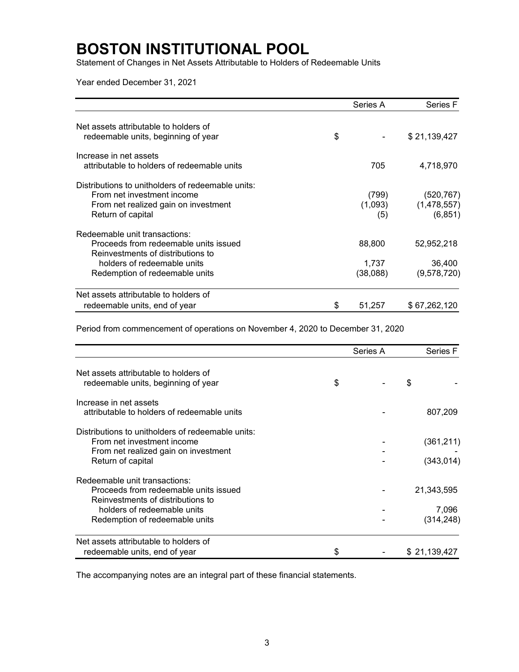Statement of Changes in Net Assets Attributable to Holders of Redeemable Units

Year ended December 31, 2021

|                                                                                                                                                                              | Series A                    | Series F                              |
|------------------------------------------------------------------------------------------------------------------------------------------------------------------------------|-----------------------------|---------------------------------------|
| Net assets attributable to holders of<br>redeemable units, beginning of year                                                                                                 | \$                          | \$21,139,427                          |
| Increase in net assets<br>attributable to holders of redeemable units                                                                                                        | 705                         | 4,718,970                             |
| Distributions to unitholders of redeemable units:<br>From net investment income<br>From net realized gain on investment<br>Return of capital                                 | (799)<br>(1,093)<br>(5)     | (520, 767)<br>(1,478,557)<br>(6, 851) |
| Redeemable unit transactions:<br>Proceeds from redeemable units issued<br>Reinvestments of distributions to<br>holders of redeemable units<br>Redemption of redeemable units | 88,800<br>1,737<br>(38,088) | 52,952,218<br>36,400<br>(9,578,720)   |
| Net assets attributable to holders of<br>redeemable units, end of year                                                                                                       | \$<br>51,257                | \$67,262,120                          |

Period from commencement of operations on November 4, 2020 to December 31, 2020

|                                                                                                                                                                              | Series A | Series F                          |
|------------------------------------------------------------------------------------------------------------------------------------------------------------------------------|----------|-----------------------------------|
| Net assets attributable to holders of<br>redeemable units, beginning of year                                                                                                 | \$       | \$                                |
| Increase in net assets<br>attributable to holders of redeemable units                                                                                                        |          | 807,209                           |
| Distributions to unitholders of redeemable units:<br>From net investment income<br>From net realized gain on investment<br>Return of capital                                 |          | (361, 211)<br>(343, 014)          |
| Redeemable unit transactions:<br>Proceeds from redeemable units issued<br>Reinvestments of distributions to<br>holders of redeemable units<br>Redemption of redeemable units |          | 21,343,595<br>7,096<br>(314, 248) |
| Net assets attributable to holders of<br>redeemable units, end of year                                                                                                       | \$       | \$21,139,427                      |

The accompanying notes are an integral part of these financial statements.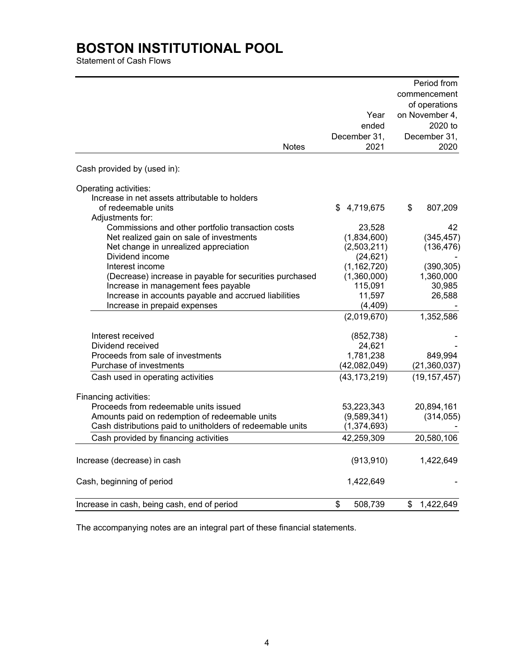Statement of Cash Flows

|                                                                                             |                     | Period from      |
|---------------------------------------------------------------------------------------------|---------------------|------------------|
|                                                                                             |                     | commencement     |
|                                                                                             |                     | of operations    |
|                                                                                             | Year                | on November 4,   |
|                                                                                             | ended               | 2020 to          |
|                                                                                             | December 31,        | December 31,     |
| <b>Notes</b>                                                                                | 2021                | 2020             |
| Cash provided by (used in):                                                                 |                     |                  |
| Operating activities:                                                                       |                     |                  |
| Increase in net assets attributable to holders                                              |                     |                  |
| of redeemable units                                                                         | 4,719,675<br>\$     | \$<br>807,209    |
| Adjustments for:                                                                            |                     |                  |
| Commissions and other portfolio transaction costs                                           | 23,528              | 42               |
| Net realized gain on sale of investments                                                    | (1,834,600)         | (345, 457)       |
| Net change in unrealized appreciation                                                       | (2,503,211)         | (136, 476)       |
| Dividend income                                                                             | (24, 621)           |                  |
| Interest income                                                                             | (1, 162, 720)       | (390, 305)       |
| (Decrease) increase in payable for securities purchased                                     | (1,360,000)         | 1,360,000        |
| Increase in management fees payable<br>Increase in accounts payable and accrued liabilities | 115,091<br>11,597   | 30,985<br>26,588 |
| Increase in prepaid expenses                                                                | (4, 409)            |                  |
|                                                                                             | (2,019,670)         | 1,352,586        |
|                                                                                             |                     |                  |
| Interest received                                                                           | (852, 738)          |                  |
| Dividend received<br>Proceeds from sale of investments                                      | 24,621<br>1,781,238 | 849,994          |
| Purchase of investments                                                                     | (42,082,049)        | (21, 360, 037)   |
| Cash used in operating activities                                                           | (43, 173, 219)      | (19, 157, 457)   |
|                                                                                             |                     |                  |
| Financing activities:                                                                       |                     |                  |
| Proceeds from redeemable units issued                                                       | 53,223,343          | 20,894,161       |
| Amounts paid on redemption of redeemable units                                              | (9,589,341)         | (314, 055)       |
| Cash distributions paid to unitholders of redeemable units                                  | (1,374,693)         |                  |
| Cash provided by financing activities                                                       | 42,259,309          | 20,580,106       |
| Increase (decrease) in cash                                                                 | (913, 910)          | 1,422,649        |
| Cash, beginning of period                                                                   | 1,422,649           |                  |
| Increase in cash, being cash, end of period                                                 | \$<br>508,739       | 1,422,649<br>\$  |

The accompanying notes are an integral part of these financial statements.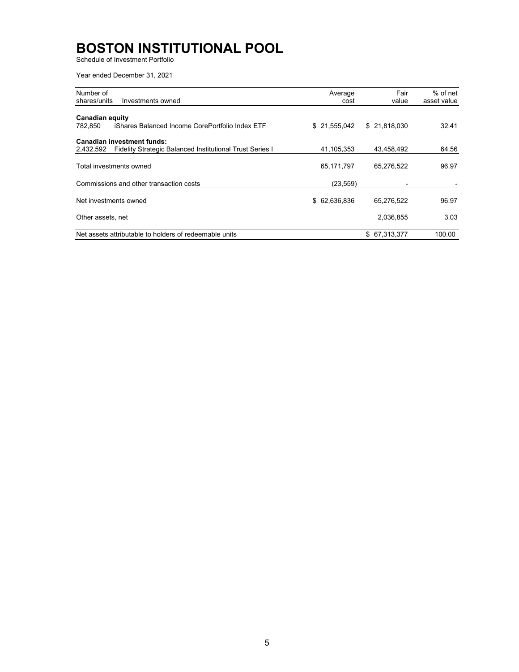Schedule of Investment Portfolio

Year ended December 31, 2021

|              |                                     | % of net                                                      |
|--------------|-------------------------------------|---------------------------------------------------------------|
| cost         | value                               | asset value                                                   |
|              |                                     |                                                               |
|              |                                     |                                                               |
| \$21,555,042 | \$ 21,818,030                       | 32.41                                                         |
|              |                                     |                                                               |
|              |                                     | 64.56                                                         |
|              |                                     |                                                               |
|              |                                     | 96.97                                                         |
|              |                                     |                                                               |
| (23, 559)    | $\blacksquare$                      |                                                               |
|              |                                     |                                                               |
| \$62,636,836 | 65,276,522                          | 96.97                                                         |
|              |                                     |                                                               |
|              |                                     | 3.03                                                          |
|              |                                     | 100.00                                                        |
|              | Average<br>41,105,353<br>65,171,797 | Fair<br>43.458.492<br>65,276,522<br>2,036,855<br>\$67,313,377 |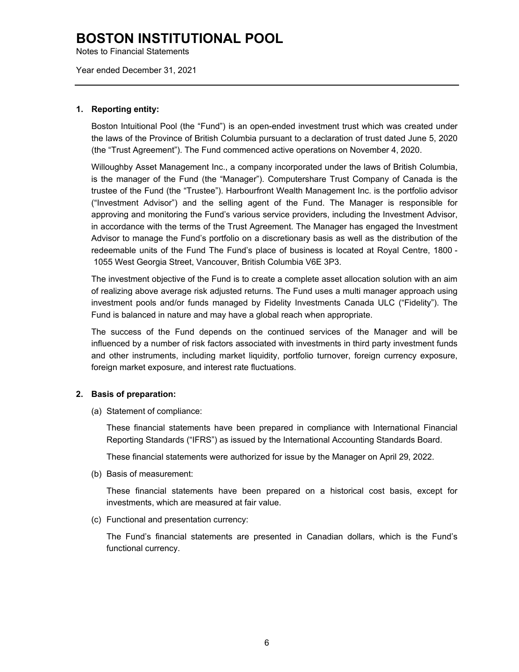Notes to Financial Statements

Year ended December 31, 2021

# **1. Reporting entity:**

Boston Intuitional Pool (the "Fund") is an open-ended investment trust which was created under the laws of the Province of British Columbia pursuant to a declaration of trust dated June 5, 2020 (the "Trust Agreement"). The Fund commenced active operations on November 4, 2020.

Willoughby Asset Management Inc., a company incorporated under the laws of British Columbia, is the manager of the Fund (the "Manager"). Computershare Trust Company of Canada is the trustee of the Fund (the "Trustee"). Harbourfront Wealth Management Inc. is the portfolio advisor ("Investment Advisor") and the selling agent of the Fund. The Manager is responsible for approving and monitoring the Fund's various service providers, including the Investment Advisor, in accordance with the terms of the Trust Agreement. The Manager has engaged the Investment Advisor to manage the Fund's portfolio on a discretionary basis as well as the distribution of the redeemable units of the Fund The Fund's place of business is located at Royal Centre, 1800 - 1055 West Georgia Street, Vancouver, British Columbia V6E 3P3.

The investment objective of the Fund is to create a complete asset allocation solution with an aim of realizing above average risk adjusted returns. The Fund uses a multi manager approach using investment pools and/or funds managed by Fidelity Investments Canada ULC ("Fidelity"). The Fund is balanced in nature and may have a global reach when appropriate.

The success of the Fund depends on the continued services of the Manager and will be influenced by a number of risk factors associated with investments in third party investment funds and other instruments, including market liquidity, portfolio turnover, foreign currency exposure, foreign market exposure, and interest rate fluctuations.

# **2. Basis of preparation:**

(a) Statement of compliance:

These financial statements have been prepared in compliance with International Financial Reporting Standards ("IFRS") as issued by the International Accounting Standards Board.

These financial statements were authorized for issue by the Manager on April 29, 2022.

(b) Basis of measurement:

These financial statements have been prepared on a historical cost basis, except for investments, which are measured at fair value.

(c) Functional and presentation currency:

The Fund's financial statements are presented in Canadian dollars, which is the Fund's functional currency.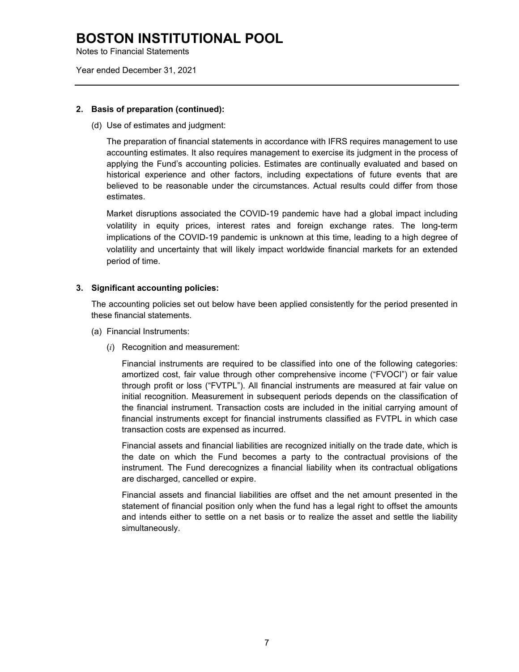Notes to Financial Statements

Year ended December 31, 2021

# **2. Basis of preparation (continued):**

(d) Use of estimates and judgment:

The preparation of financial statements in accordance with IFRS requires management to use accounting estimates. It also requires management to exercise its judgment in the process of applying the Fund's accounting policies. Estimates are continually evaluated and based on historical experience and other factors, including expectations of future events that are believed to be reasonable under the circumstances. Actual results could differ from those estimates.

Market disruptions associated the COVID-19 pandemic have had a global impact including volatility in equity prices, interest rates and foreign exchange rates. The long-term implications of the COVID-19 pandemic is unknown at this time, leading to a high degree of volatility and uncertainty that will likely impact worldwide financial markets for an extended period of time.

# **3. Significant accounting policies:**

The accounting policies set out below have been applied consistently for the period presented in these financial statements.

- (a) Financial Instruments:
	- (*i*) Recognition and measurement:

Financial instruments are required to be classified into one of the following categories: amortized cost, fair value through other comprehensive income ("FVOCI") or fair value through profit or loss ("FVTPL"). All financial instruments are measured at fair value on initial recognition. Measurement in subsequent periods depends on the classification of the financial instrument. Transaction costs are included in the initial carrying amount of financial instruments except for financial instruments classified as FVTPL in which case transaction costs are expensed as incurred.

Financial assets and financial liabilities are recognized initially on the trade date, which is the date on which the Fund becomes a party to the contractual provisions of the instrument. The Fund derecognizes a financial liability when its contractual obligations are discharged, cancelled or expire.

Financial assets and financial liabilities are offset and the net amount presented in the statement of financial position only when the fund has a legal right to offset the amounts and intends either to settle on a net basis or to realize the asset and settle the liability simultaneously.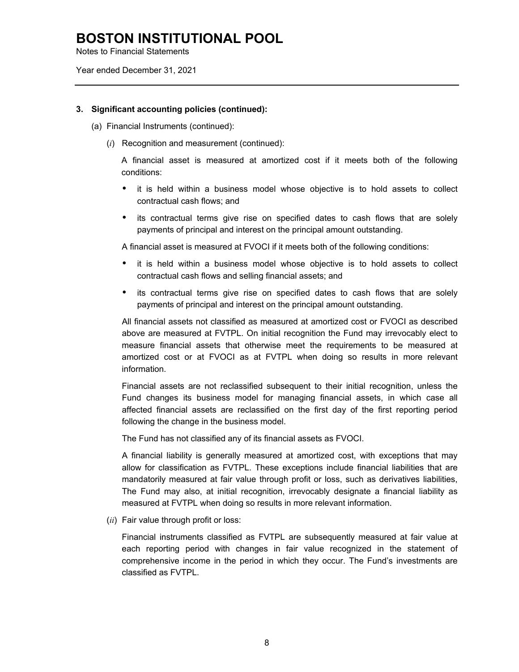Notes to Financial Statements

Year ended December 31, 2021

# **3. Significant accounting policies (continued):**

(a) Financial Instruments (continued):

(*i*) Recognition and measurement (continued):

A financial asset is measured at amortized cost if it meets both of the following conditions:

- it is held within a business model whose objective is to hold assets to collect contractual cash flows; and
- its contractual terms give rise on specified dates to cash flows that are solely payments of principal and interest on the principal amount outstanding.

A financial asset is measured at FVOCI if it meets both of the following conditions:

- it is held within a business model whose objective is to hold assets to collect contractual cash flows and selling financial assets; and
- its contractual terms give rise on specified dates to cash flows that are solely payments of principal and interest on the principal amount outstanding.

All financial assets not classified as measured at amortized cost or FVOCI as described above are measured at FVTPL. On initial recognition the Fund may irrevocably elect to measure financial assets that otherwise meet the requirements to be measured at amortized cost or at FVOCI as at FVTPL when doing so results in more relevant information.

Financial assets are not reclassified subsequent to their initial recognition, unless the Fund changes its business model for managing financial assets, in which case all affected financial assets are reclassified on the first day of the first reporting period following the change in the business model.

The Fund has not classified any of its financial assets as FVOCI.

A financial liability is generally measured at amortized cost, with exceptions that may allow for classification as FVTPL. These exceptions include financial liabilities that are mandatorily measured at fair value through profit or loss, such as derivatives liabilities, The Fund may also, at initial recognition, irrevocably designate a financial liability as measured at FVTPL when doing so results in more relevant information.

(*ii*) Fair value through profit or loss:

Financial instruments classified as FVTPL are subsequently measured at fair value at each reporting period with changes in fair value recognized in the statement of comprehensive income in the period in which they occur. The Fund's investments are classified as FVTPL.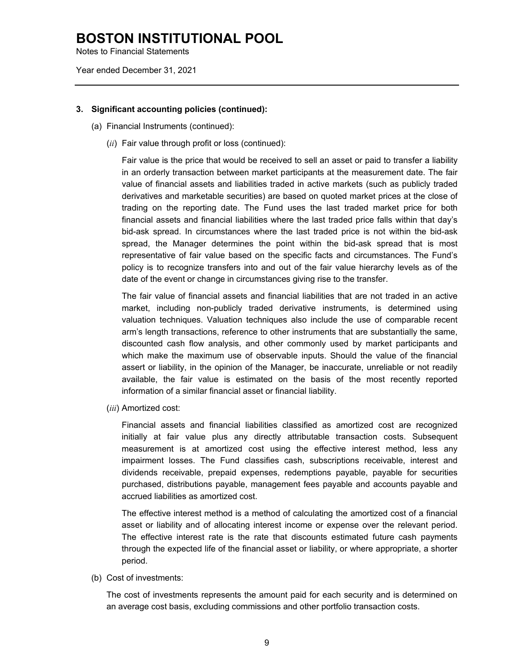Notes to Financial Statements

Year ended December 31, 2021

# **3. Significant accounting policies (continued):**

- (a) Financial Instruments (continued):
	- (*ii*) Fair value through profit or loss (continued):

Fair value is the price that would be received to sell an asset or paid to transfer a liability in an orderly transaction between market participants at the measurement date. The fair value of financial assets and liabilities traded in active markets (such as publicly traded derivatives and marketable securities) are based on quoted market prices at the close of trading on the reporting date. The Fund uses the last traded market price for both financial assets and financial liabilities where the last traded price falls within that day's bid-ask spread. In circumstances where the last traded price is not within the bid-ask spread, the Manager determines the point within the bid-ask spread that is most representative of fair value based on the specific facts and circumstances. The Fund's policy is to recognize transfers into and out of the fair value hierarchy levels as of the date of the event or change in circumstances giving rise to the transfer.

The fair value of financial assets and financial liabilities that are not traded in an active market, including non-publicly traded derivative instruments, is determined using valuation techniques. Valuation techniques also include the use of comparable recent arm's length transactions, reference to other instruments that are substantially the same, discounted cash flow analysis, and other commonly used by market participants and which make the maximum use of observable inputs. Should the value of the financial assert or liability, in the opinion of the Manager, be inaccurate, unreliable or not readily available, the fair value is estimated on the basis of the most recently reported information of a similar financial asset or financial liability.

(*iii*) Amortized cost:

Financial assets and financial liabilities classified as amortized cost are recognized initially at fair value plus any directly attributable transaction costs. Subsequent measurement is at amortized cost using the effective interest method, less any impairment losses. The Fund classifies cash, subscriptions receivable, interest and dividends receivable, prepaid expenses, redemptions payable, payable for securities purchased, distributions payable, management fees payable and accounts payable and accrued liabilities as amortized cost.

The effective interest method is a method of calculating the amortized cost of a financial asset or liability and of allocating interest income or expense over the relevant period. The effective interest rate is the rate that discounts estimated future cash payments through the expected life of the financial asset or liability, or where appropriate, a shorter period.

(b) Cost of investments:

The cost of investments represents the amount paid for each security and is determined on an average cost basis, excluding commissions and other portfolio transaction costs.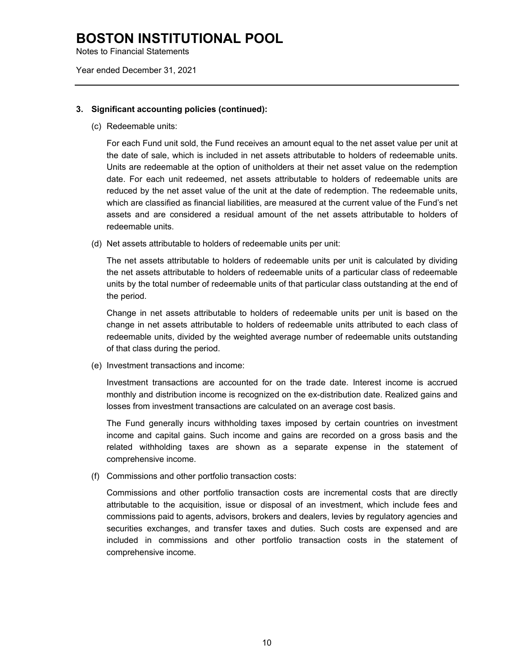Notes to Financial Statements

Year ended December 31, 2021

# **3. Significant accounting policies (continued):**

(c) Redeemable units:

For each Fund unit sold, the Fund receives an amount equal to the net asset value per unit at the date of sale, which is included in net assets attributable to holders of redeemable units. Units are redeemable at the option of unitholders at their net asset value on the redemption date. For each unit redeemed, net assets attributable to holders of redeemable units are reduced by the net asset value of the unit at the date of redemption. The redeemable units, which are classified as financial liabilities, are measured at the current value of the Fund's net assets and are considered a residual amount of the net assets attributable to holders of redeemable units.

(d) Net assets attributable to holders of redeemable units per unit:

The net assets attributable to holders of redeemable units per unit is calculated by dividing the net assets attributable to holders of redeemable units of a particular class of redeemable units by the total number of redeemable units of that particular class outstanding at the end of the period.

Change in net assets attributable to holders of redeemable units per unit is based on the change in net assets attributable to holders of redeemable units attributed to each class of redeemable units, divided by the weighted average number of redeemable units outstanding of that class during the period.

(e) Investment transactions and income:

Investment transactions are accounted for on the trade date. Interest income is accrued monthly and distribution income is recognized on the ex-distribution date. Realized gains and losses from investment transactions are calculated on an average cost basis.

The Fund generally incurs withholding taxes imposed by certain countries on investment income and capital gains. Such income and gains are recorded on a gross basis and the related withholding taxes are shown as a separate expense in the statement of comprehensive income.

(f) Commissions and other portfolio transaction costs:

Commissions and other portfolio transaction costs are incremental costs that are directly attributable to the acquisition, issue or disposal of an investment, which include fees and commissions paid to agents, advisors, brokers and dealers, levies by regulatory agencies and securities exchanges, and transfer taxes and duties. Such costs are expensed and are included in commissions and other portfolio transaction costs in the statement of comprehensive income.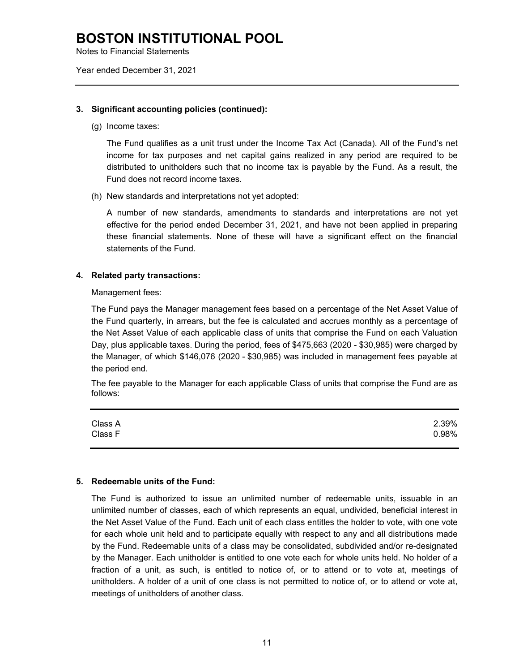Notes to Financial Statements

Year ended December 31, 2021

# **3. Significant accounting policies (continued):**

(g) Income taxes:

The Fund qualifies as a unit trust under the Income Tax Act (Canada). All of the Fund's net income for tax purposes and net capital gains realized in any period are required to be distributed to unitholders such that no income tax is payable by the Fund. As a result, the Fund does not record income taxes.

(h) New standards and interpretations not yet adopted:

A number of new standards, amendments to standards and interpretations are not yet effective for the period ended December 31, 2021, and have not been applied in preparing these financial statements. None of these will have a significant effect on the financial statements of the Fund.

# **4. Related party transactions:**

# Management fees:

The Fund pays the Manager management fees based on a percentage of the Net Asset Value of the Fund quarterly, in arrears, but the fee is calculated and accrues monthly as a percentage of the Net Asset Value of each applicable class of units that comprise the Fund on each Valuation Day, plus applicable taxes. During the period, fees of \$475,663 (2020 - \$30,985) were charged by the Manager, of which \$146,076 (2020 - \$30,985) was included in management fees payable at the period end.

The fee payable to the Manager for each applicable Class of units that comprise the Fund are as follows:

| Class A | 2.39% |
|---------|-------|
| Class F | 0.98% |

# **5. Redeemable units of the Fund:**

The Fund is authorized to issue an unlimited number of redeemable units, issuable in an unlimited number of classes, each of which represents an equal, undivided, beneficial interest in the Net Asset Value of the Fund. Each unit of each class entitles the holder to vote, with one vote for each whole unit held and to participate equally with respect to any and all distributions made by the Fund. Redeemable units of a class may be consolidated, subdivided and/or re-designated by the Manager. Each unitholder is entitled to one vote each for whole units held. No holder of a fraction of a unit, as such, is entitled to notice of, or to attend or to vote at, meetings of unitholders. A holder of a unit of one class is not permitted to notice of, or to attend or vote at, meetings of unitholders of another class.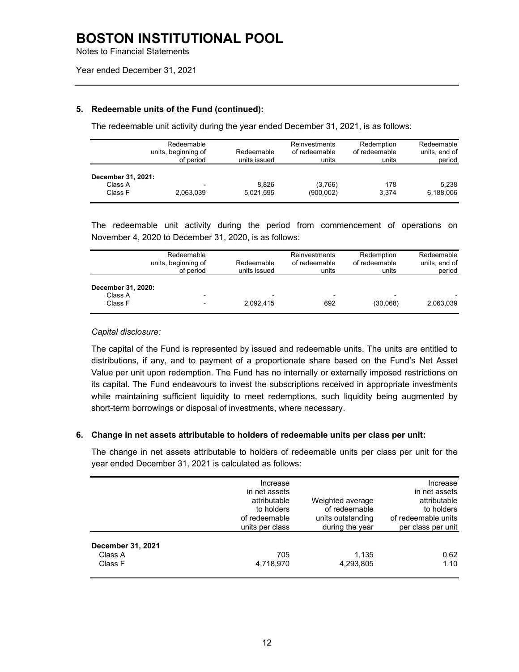Notes to Financial Statements

Year ended December 31, 2021

# **5. Redeemable units of the Fund (continued):**

The redeemable unit activity during the year ended December 31, 2021, is as follows:

|                                          | Redeemable<br>units, beginning of<br>of period | Redeemable<br>units issued | Reinvestments<br>of redeemable<br>units | Redemption<br>of redeemable<br>units | Redeemable<br>units, end of<br>period |
|------------------------------------------|------------------------------------------------|----------------------------|-----------------------------------------|--------------------------------------|---------------------------------------|
| December 31, 2021:<br>Class A<br>Class F | 2,063,039                                      | 8.826<br>5,021,595         | (3,766)<br>(900,002)                    | 178<br>3.374                         | 5.238<br>6,188,006                    |

The redeemable unit activity during the period from commencement of operations on November 4, 2020 to December 31, 2020, is as follows:

|                               | Redeemable<br>units, beginning of<br>of period | Redeemable<br>units issued | Reinvestments<br>of redeemable<br>units | Redemption<br>of redeemable<br>units | Redeemable<br>units, end of<br>period |
|-------------------------------|------------------------------------------------|----------------------------|-----------------------------------------|--------------------------------------|---------------------------------------|
| December 31, 2020:<br>Class A |                                                |                            | $\overline{\phantom{a}}$                |                                      |                                       |
| Class F                       | -                                              | 2.092.415                  | 692                                     | (30,068)                             | 2,063,039                             |

### *Capital disclosure:*

The capital of the Fund is represented by issued and redeemable units. The units are entitled to distributions, if any, and to payment of a proportionate share based on the Fund's Net Asset Value per unit upon redemption. The Fund has no internally or externally imposed restrictions on its capital. The Fund endeavours to invest the subscriptions received in appropriate investments while maintaining sufficient liquidity to meet redemptions, such liquidity being augmented by short-term borrowings or disposal of investments, where necessary.

### **6. Change in net assets attributable to holders of redeemable units per class per unit:**

The change in net assets attributable to holders of redeemable units per class per unit for the year ended December 31, 2021 is calculated as follows:

|                              | Increase        |                   | Increase            |
|------------------------------|-----------------|-------------------|---------------------|
|                              | in net assets   |                   | in net assets       |
|                              | attributable    | Weighted average  | attributable        |
|                              | to holders      | of redeemable     | to holders          |
|                              | of redeemable   | units outstanding | of redeemable units |
|                              | units per class | during the year   | per class per unit  |
| December 31, 2021<br>Class A | 705             | 1,135             | 0.62                |
| Class F                      | 4,718,970       | 4,293,805         | 1.10                |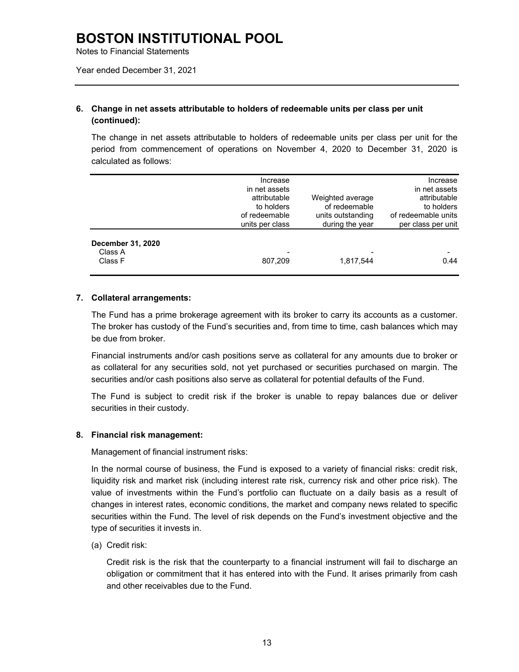Notes to Financial Statements

Year ended December 31, 2021

# **6. Change in net assets attributable to holders of redeemable units per class per unit (continued):**

The change in net assets attributable to holders of redeemable units per class per unit for the period from commencement of operations on November 4, 2020 to December 31, 2020 is calculated as follows:

|                                         | Increase<br>in net assets<br>attributable<br>to holders<br>of redeemable<br>units per class | Weighted average<br>of redeemable<br>units outstanding<br>during the year | Increase<br>in net assets<br>attributable<br>to holders<br>of redeemable units<br>per class per unit |
|-----------------------------------------|---------------------------------------------------------------------------------------------|---------------------------------------------------------------------------|------------------------------------------------------------------------------------------------------|
| December 31, 2020<br>Class A<br>Class F | $\overline{\phantom{a}}$<br>807,209                                                         | -<br>1,817,544                                                            | 0.44                                                                                                 |

# **7. Collateral arrangements:**

The Fund has a prime brokerage agreement with its broker to carry its accounts as a customer. The broker has custody of the Fund's securities and, from time to time, cash balances which may be due from broker.

Financial instruments and/or cash positions serve as collateral for any amounts due to broker or as collateral for any securities sold, not yet purchased or securities purchased on margin. The securities and/or cash positions also serve as collateral for potential defaults of the Fund.

The Fund is subject to credit risk if the broker is unable to repay balances due or deliver securities in their custody.

# **8. Financial risk management:**

Management of financial instrument risks:

In the normal course of business, the Fund is exposed to a variety of financial risks: credit risk, liquidity risk and market risk (including interest rate risk, currency risk and other price risk). The value of investments within the Fund's portfolio can fluctuate on a daily basis as a result of changes in interest rates, economic conditions, the market and company news related to specific securities within the Fund. The level of risk depends on the Fund's investment objective and the type of securities it invests in.

(a) Credit risk:

Credit risk is the risk that the counterparty to a financial instrument will fail to discharge an obligation or commitment that it has entered into with the Fund. It arises primarily from cash and other receivables due to the Fund.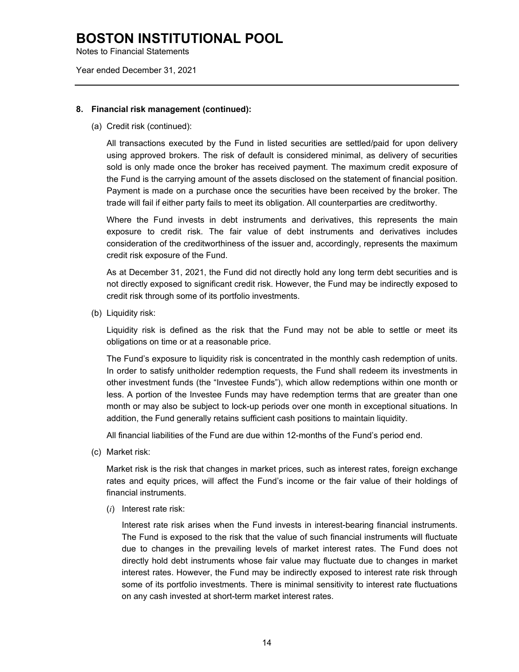Notes to Financial Statements

Year ended December 31, 2021

# **8. Financial risk management (continued):**

(a) Credit risk (continued):

All transactions executed by the Fund in listed securities are settled/paid for upon delivery using approved brokers. The risk of default is considered minimal, as delivery of securities sold is only made once the broker has received payment. The maximum credit exposure of the Fund is the carrying amount of the assets disclosed on the statement of financial position. Payment is made on a purchase once the securities have been received by the broker. The trade will fail if either party fails to meet its obligation. All counterparties are creditworthy.

Where the Fund invests in debt instruments and derivatives, this represents the main exposure to credit risk. The fair value of debt instruments and derivatives includes consideration of the creditworthiness of the issuer and, accordingly, represents the maximum credit risk exposure of the Fund.

As at December 31, 2021, the Fund did not directly hold any long term debt securities and is not directly exposed to significant credit risk. However, the Fund may be indirectly exposed to credit risk through some of its portfolio investments.

(b) Liquidity risk:

Liquidity risk is defined as the risk that the Fund may not be able to settle or meet its obligations on time or at a reasonable price.

The Fund's exposure to liquidity risk is concentrated in the monthly cash redemption of units. In order to satisfy unitholder redemption requests, the Fund shall redeem its investments in other investment funds (the "Investee Funds"), which allow redemptions within one month or less. A portion of the Investee Funds may have redemption terms that are greater than one month or may also be subject to lock-up periods over one month in exceptional situations. In addition, the Fund generally retains sufficient cash positions to maintain liquidity.

All financial liabilities of the Fund are due within 12-months of the Fund's period end.

(c) Market risk:

Market risk is the risk that changes in market prices, such as interest rates, foreign exchange rates and equity prices, will affect the Fund's income or the fair value of their holdings of financial instruments.

(*i*) Interest rate risk:

Interest rate risk arises when the Fund invests in interest-bearing financial instruments. The Fund is exposed to the risk that the value of such financial instruments will fluctuate due to changes in the prevailing levels of market interest rates. The Fund does not directly hold debt instruments whose fair value may fluctuate due to changes in market interest rates. However, the Fund may be indirectly exposed to interest rate risk through some of its portfolio investments. There is minimal sensitivity to interest rate fluctuations on any cash invested at short-term market interest rates.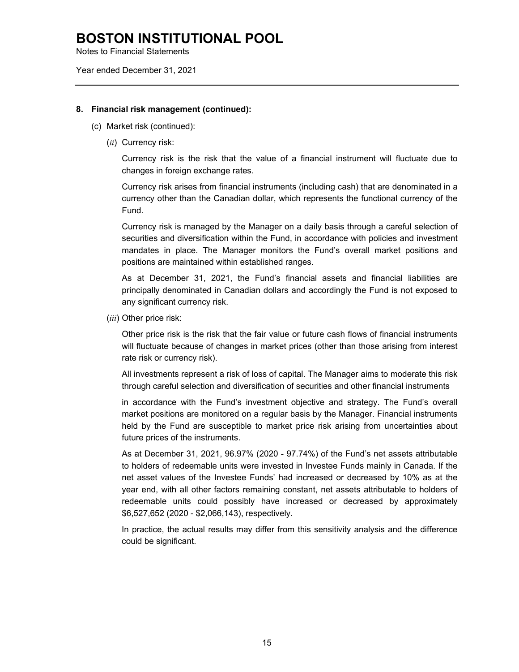Notes to Financial Statements

Year ended December 31, 2021

# **8. Financial risk management (continued):**

- (c) Market risk (continued):
	- (*ii*) Currency risk:

Currency risk is the risk that the value of a financial instrument will fluctuate due to changes in foreign exchange rates.

Currency risk arises from financial instruments (including cash) that are denominated in a currency other than the Canadian dollar, which represents the functional currency of the Fund.

Currency risk is managed by the Manager on a daily basis through a careful selection of securities and diversification within the Fund, in accordance with policies and investment mandates in place. The Manager monitors the Fund's overall market positions and positions are maintained within established ranges.

As at December 31, 2021, the Fund's financial assets and financial liabilities are principally denominated in Canadian dollars and accordingly the Fund is not exposed to any significant currency risk.

(*iii*) Other price risk:

Other price risk is the risk that the fair value or future cash flows of financial instruments will fluctuate because of changes in market prices (other than those arising from interest rate risk or currency risk).

All investments represent a risk of loss of capital. The Manager aims to moderate this risk through careful selection and diversification of securities and other financial instruments

in accordance with the Fund's investment objective and strategy. The Fund's overall market positions are monitored on a regular basis by the Manager. Financial instruments held by the Fund are susceptible to market price risk arising from uncertainties about future prices of the instruments.

As at December 31, 2021, 96.97% (2020 - 97.74%) of the Fund's net assets attributable to holders of redeemable units were invested in Investee Funds mainly in Canada. If the net asset values of the Investee Funds' had increased or decreased by 10% as at the year end, with all other factors remaining constant, net assets attributable to holders of redeemable units could possibly have increased or decreased by approximately \$6,527,652 (2020 - \$2,066,143), respectively.

In practice, the actual results may differ from this sensitivity analysis and the difference could be significant.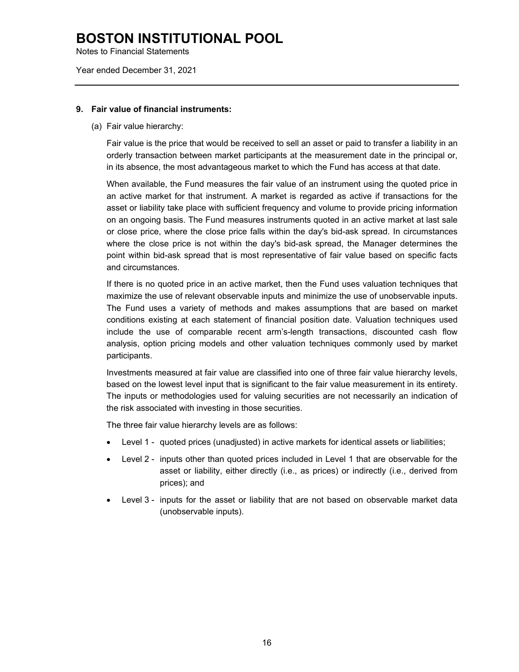Notes to Financial Statements

Year ended December 31, 2021

# **9. Fair value of financial instruments:**

(a) Fair value hierarchy:

Fair value is the price that would be received to sell an asset or paid to transfer a liability in an orderly transaction between market participants at the measurement date in the principal or, in its absence, the most advantageous market to which the Fund has access at that date.

When available, the Fund measures the fair value of an instrument using the quoted price in an active market for that instrument. A market is regarded as active if transactions for the asset or liability take place with sufficient frequency and volume to provide pricing information on an ongoing basis. The Fund measures instruments quoted in an active market at last sale or close price, where the close price falls within the day's bid-ask spread. In circumstances where the close price is not within the day's bid-ask spread, the Manager determines the point within bid-ask spread that is most representative of fair value based on specific facts and circumstances.

If there is no quoted price in an active market, then the Fund uses valuation techniques that maximize the use of relevant observable inputs and minimize the use of unobservable inputs. The Fund uses a variety of methods and makes assumptions that are based on market conditions existing at each statement of financial position date. Valuation techniques used include the use of comparable recent arm's-length transactions, discounted cash flow analysis, option pricing models and other valuation techniques commonly used by market participants.

Investments measured at fair value are classified into one of three fair value hierarchy levels, based on the lowest level input that is significant to the fair value measurement in its entirety. The inputs or methodologies used for valuing securities are not necessarily an indication of the risk associated with investing in those securities.

The three fair value hierarchy levels are as follows:

- Level 1 quoted prices (unadjusted) in active markets for identical assets or liabilities;
- Level 2 inputs other than quoted prices included in Level 1 that are observable for the asset or liability, either directly (i.e., as prices) or indirectly (i.e., derived from prices); and
- Level 3 inputs for the asset or liability that are not based on observable market data (unobservable inputs).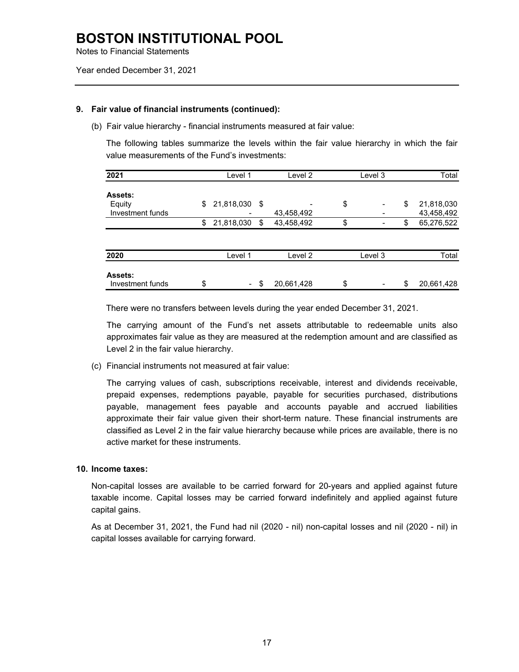Notes to Financial Statements

Year ended December 31, 2021

# **9. Fair value of financial instruments (continued):**

(b) Fair value hierarchy - financial instruments measured at fair value:

The following tables summarize the levels within the fair value hierarchy in which the fair value measurements of the Fund's investments:

| 2021             |    | Level 1        |      | Level 2    | Level 3 | Total            |
|------------------|----|----------------|------|------------|---------|------------------|
| <b>Assets:</b>   |    |                |      |            |         |                  |
| Equity           | S  | 21,818,030     | - \$ |            | \$      | \$<br>21,818,030 |
| Investment funds |    |                |      | 43,458,492 |         | 43,458,492       |
|                  | \$ | 21,818,030     | \$   | 43,458,492 | \$      | \$<br>65,276,522 |
|                  |    |                |      |            |         |                  |
| 2020             |    | Level 1        |      | Level 2    | Level 3 | Total            |
| <b>Assets:</b>   |    |                |      |            |         |                  |
| Investment funds | \$ | $\blacksquare$ | \$   | 20,661,428 | \$      | \$<br>20,661,428 |

There were no transfers between levels during the year ended December 31, 2021.

The carrying amount of the Fund's net assets attributable to redeemable units also approximates fair value as they are measured at the redemption amount and are classified as Level 2 in the fair value hierarchy.

(c) Financial instruments not measured at fair value:

The carrying values of cash, subscriptions receivable, interest and dividends receivable, prepaid expenses, redemptions payable, payable for securities purchased, distributions payable, management fees payable and accounts payable and accrued liabilities approximate their fair value given their short-term nature. These financial instruments are classified as Level 2 in the fair value hierarchy because while prices are available, there is no active market for these instruments.

### **10. Income taxes:**

Non-capital losses are available to be carried forward for 20-years and applied against future taxable income. Capital losses may be carried forward indefinitely and applied against future capital gains.

As at December 31, 2021, the Fund had nil (2020 - nil) non-capital losses and nil (2020 - nil) in capital losses available for carrying forward.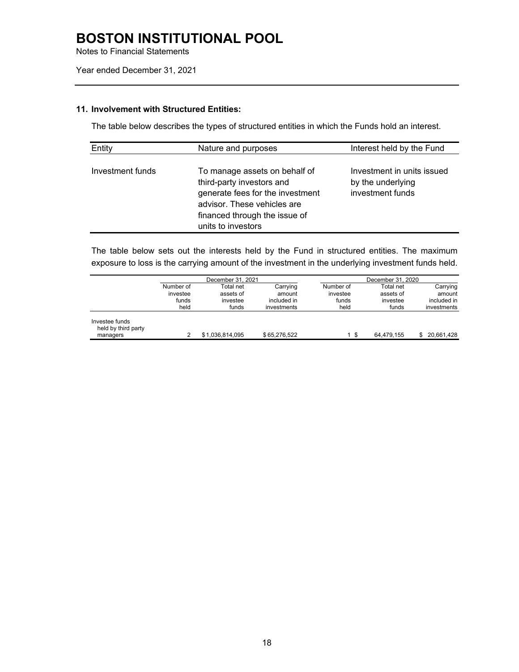Notes to Financial Statements

Year ended December 31, 2021

# **11. Involvement with Structured Entities:**

The table below describes the types of structured entities in which the Funds hold an interest.

| Entity<br>Nature and purposes |                                                                                                                                                                | Interest held by the Fund                                           |  |  |
|-------------------------------|----------------------------------------------------------------------------------------------------------------------------------------------------------------|---------------------------------------------------------------------|--|--|
| Investment funds              | To manage assets on behalf of<br>third-party investors and<br>generate fees for the investment<br>advisor. These vehicles are<br>financed through the issue of | Investment in units issued<br>by the underlying<br>investment funds |  |  |
|                               | units to investors                                                                                                                                             |                                                                     |  |  |

The table below sets out the interests held by the Fund in structured entities. The maximum exposure to loss is the carrying amount of the investment in the underlying investment funds held.

|                                                   | December 31, 2021                      |                                             |                                                  | December 31, 2020                      |                                             |                                                  |
|---------------------------------------------------|----------------------------------------|---------------------------------------------|--------------------------------------------------|----------------------------------------|---------------------------------------------|--------------------------------------------------|
|                                                   | Number of<br>investee<br>funds<br>held | Total net<br>assets of<br>investee<br>funds | Carrying<br>amount<br>included in<br>investments | Number of<br>investee<br>funds<br>held | Total net<br>assets of<br>investee<br>funds | Carrying<br>amount<br>included in<br>investments |
| Investee funds<br>held by third party<br>managers |                                        | \$1,036,814,095                             | \$65,276,522                                     | \$                                     | 64,479,155                                  | 20,661,428                                       |